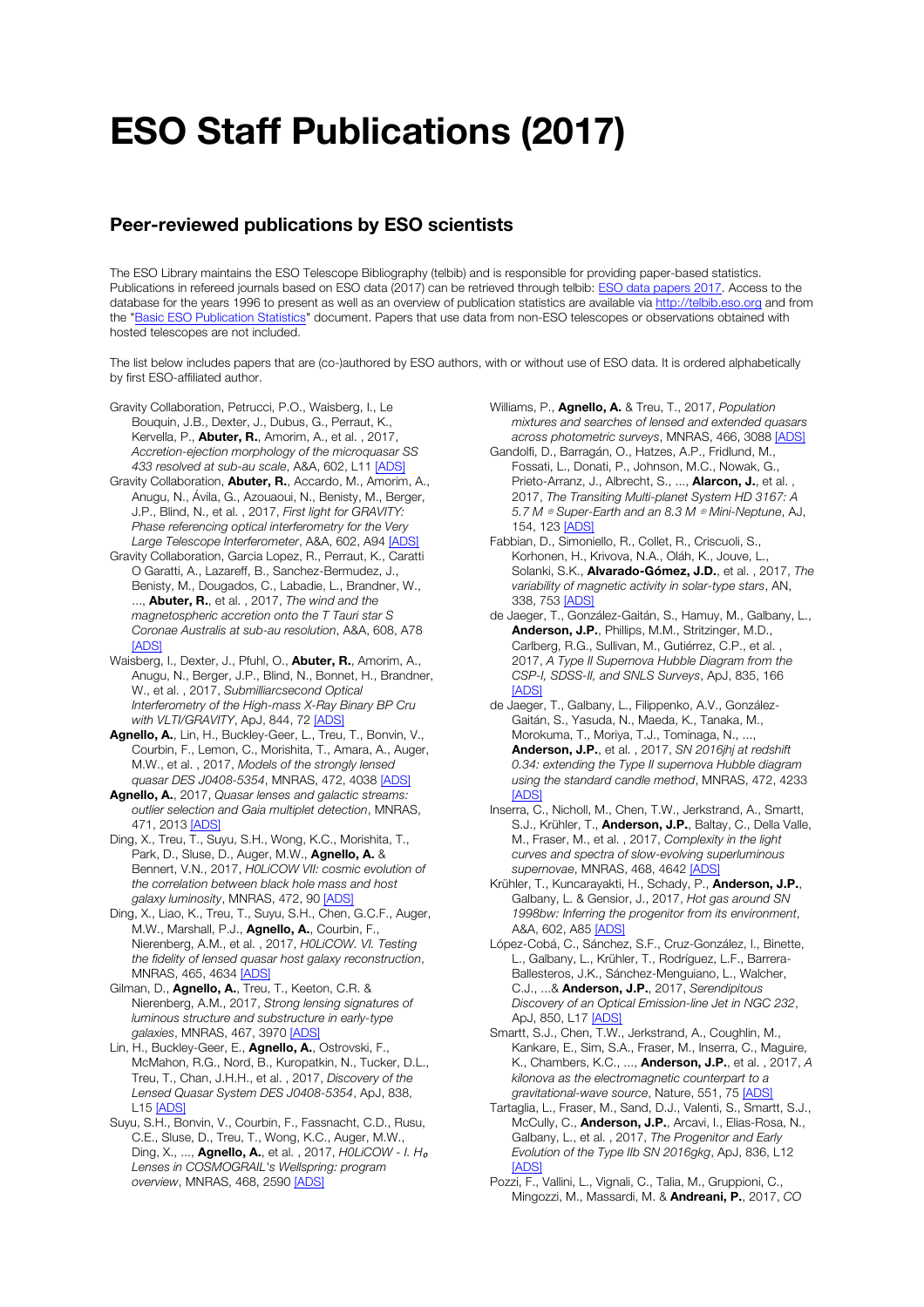## ESO Staff Publications (2017)

## Peer-reviewed publications by ESO scientists

The ESO Library maintains the ESO Telescope Bibliography (telbib) and is responsible for providing paper-based statistics. Publications in refereed journals based on ESO data (2017) can be retrieved through telbib: ESO data papers 2017. Access to the database for the years 1996 to present as well as an overview of publication statistics are available via http://telbib.eso.org and from the "Basic ESO Publication Statistics" document. Papers that use data from non-ESO telescopes or observations obtained with hosted telescopes are not included.

The list below includes papers that are (co-)authored by ESO authors, with or without use of ESO data. It is ordered alphabetically by first ESO-affiliated author.

- Gravity Collaboration, Petrucci, P.O., Waisberg, I., Le Bouquin, J.B., Dexter, J., Dubus, G., Perraut, K., Kervella, P., **Abuter, R.**, Amorim, A., et al., 2017, *Accretion-ejection morphology of the microquasar SS 433 resolved at sub-au scale*, A&A, 602, L11 [ADS]
- Gravity Collaboration, Abuter, R., Accardo, M., Amorim, A., Anugu, N., Ávila, G., Azouaoui, N., Benisty, M., Berger, J.P., Blind, N., et al. , 2017, *First light for GRAVITY: Phase referencing optical interferometry for the Very Large Telescope Interferometer*, A&A, 602, A94 [ADS]
- Gravity Collaboration, Garcia Lopez, R., Perraut, K., Caratti O Garatti, A., Lazareff, B., Sanchez-Bermudez, J., Benisty, M., Dougados, C., Labadie, L., Brandner, W., ..., Abuter, R., et al. , 2017, *The wind and the magnetospheric accretion onto the T Tauri star S Coronae Australis at sub-au resolution*, A&A, 608, A78 [ADS]
- Waisberg, I., Dexter, J., Pfuhl, O., **Abuter, R.**, Amorim, A., Anugu, N., Berger, J.P., Blind, N., Bonnet, H., Brandner, W., et al. , 2017, *Submilliarcsecond Optical Interferometry of the High-mass X-Ray Binary BP Cru with VLTI/GRAVITY*, ApJ, 844, 72 [ADS]
- Agnello, A., Lin, H., Buckley-Geer, L., Treu, T., Bonvin, V., Courbin, F., Lemon, C., Morishita, T., Amara, A., Auger, M.W., et al. , 2017, *Models of the strongly lensed quasar DES J0408-5354*, MNRAS, 472, 4038 [ADS]
- Agnello, A., 2017, *Quasar lenses and galactic streams: outlier selection and Gaia multiplet detection*, MNRAS, 471, 2013 [ADS]
- Ding, X., Treu, T., Suyu, S.H., Wong, K.C., Morishita, T., Park, D., Sluse, D., Auger, M.W., Agnello, A. & Bennert, V.N., 2017, *H0LiCOW VII: cosmic evolution of the correlation between black hole mass and host galaxy luminosity*, MNRAS, 472, 90 [ADS]
- Ding, X., Liao, K., Treu, T., Suyu, S.H., Chen, G.C.F., Auger, M.W., Marshall, P.J., Agnello, A., Courbin, F., Nierenberg, A.M., et al. , 2017, *H0LiCOW. VI. Testing the fidelity of lensed quasar host galaxy reconstruction*, MNRAS, 465, 4634 [ADS]
- Gilman, D., Agnello, A., Treu, T., Keeton, C.R. & Nierenberg, A.M., 2017, *Strong lensing signatures of luminous structure and substructure in early-type galaxies*, MNRAS, 467, 3970 [ADS]
- Lin, H., Buckley-Geer, E., Agnello, A., Ostrovski, F., McMahon, R.G., Nord, B., Kuropatkin, N., Tucker, D.L., Treu, T., Chan, J.H.H., et al. , 2017, *Discovery of the Lensed Quasar System DES J0408-5354*, ApJ, 838, L15 [ADS]
- Suyu, S.H., Bonvin, V., Courbin, F., Fassnacht, C.D., Rusu, C.E., Sluse, D., Treu, T., Wong, K.C., Auger, M.W., Ding, X., ..., **Agnello, A.**, et al., 2017, *H0LiCOW - I. H*<sub>o</sub> *Lenses in COSMOGRAIL's Wellspring: program overview*, MNRAS, 468, 2590 [ADS]
- Williams, P., Agnello, A. & Treu, T., 2017, *Population mixtures and searches of lensed and extended quasars across photometric surveys*, MNRAS, 466, 3088 [ADS]
- Gandolfi, D., Barragán, O., Hatzes, A.P., Fridlund, M., Fossati, L., Donati, P., Johnson, M.C., Nowak, G., Prieto-Arranz, J., Albrecht, S., ..., **Alarcon, J.**, et al. 2017, *The Transiting Multi-planet System HD 3167: A 5.7 M* ⊕ *Super-Earth and an 8.3 M* ⊕ *Mini-Neptune*, AJ, 154, 123 [ADS]
- Fabbian, D., Simoniello, R., Collet, R., Criscuoli, S., Korhonen, H., Krivova, N.A., Oláh, K., Jouve, L., Solanki, S.K., Alvarado-Gómez, J.D., et al. , 2017, *The variability of magnetic activity in solar-type stars*, AN, 338, 753 [ADS]
- de Jaeger, T., González-Gaitán, S., Hamuy, M., Galbany, L., Anderson, J.P., Phillips, M.M., Stritzinger, M.D., Carlberg, R.G., Sullivan, M., Gutiérrez, C.P., et al. 2017, *A Type II Supernova Hubble Diagram from the CSP-I, SDSS-II, and SNLS Surveys*, ApJ, 835, 166 **[ADS]**
- de Jaeger, T., Galbany, L., Filippenko, A.V., González-Gaitán, S., Yasuda, N., Maeda, K., Tanaka, M., Morokuma, T., Moriya, T.J., Tominaga, N., ..., Anderson, J.P., et al. , 2017, *SN 2016jhj at redshift 0.34: extending the Type II supernova Hubble diagram using the standard candle method*, MNRAS, 472, 4233 [ADS]
- Inserra, C., Nicholl, M., Chen, T.W., Jerkstrand, A., Smartt, S.J., Krühler, T., Anderson, J.P., Baltay, C., Della Valle, M., Fraser, M., et al. , 2017, *Complexity in the light curves and spectra of slow-evolving superluminous supernovae*, MNRAS, 468, 4642 [ADS]
- Krühler, T., Kuncarayakti, H., Schady, P., Anderson, J.P., Galbany, L. & Gensior, J., 2017, *Hot gas around SN 1998bw: Inferring the progenitor from its environment*, A&A, 602, A85 [ADS]
- López-Cobá, C., Sánchez, S.F., Cruz-González, I., Binette, L., Galbany, L., Krühler, T., Rodríguez, L.F., Barrera-Ballesteros, J.K., Sánchez-Menguiano, L., Walcher, C.J., ...& Anderson, J.P., 2017, *Serendipitous Discovery of an Optical Emission-line Jet in NGC 232*, ApJ, 850, L17 [ADS]
- Smartt, S.J., Chen, T.W., Jerkstrand, A., Coughlin, M., Kankare, E., Sim, S.A., Fraser, M., Inserra, C., Maguire, K., Chambers, K.C., ..., Anderson, J.P., et al. , 2017, *A kilonova as the electromagnetic counterpart to a gravitational-wave source*, Nature, 551, 75 [ADS]
- Tartaglia, L., Fraser, M., Sand, D.J., Valenti, S., Smartt, S.J., McCully, C., Anderson, J.P., Arcavi, I., Elias-Rosa, N., Galbany, L., et al. , 2017, *The Progenitor and Early Evolution of the Type IIb SN 2016gkg*, ApJ, 836, L12 [ADS]
- Pozzi, F., Vallini, L., Vignali, C., Talia, M., Gruppioni, C., Mingozzi, M., Massardi, M. & Andreani, P., 2017, *CO*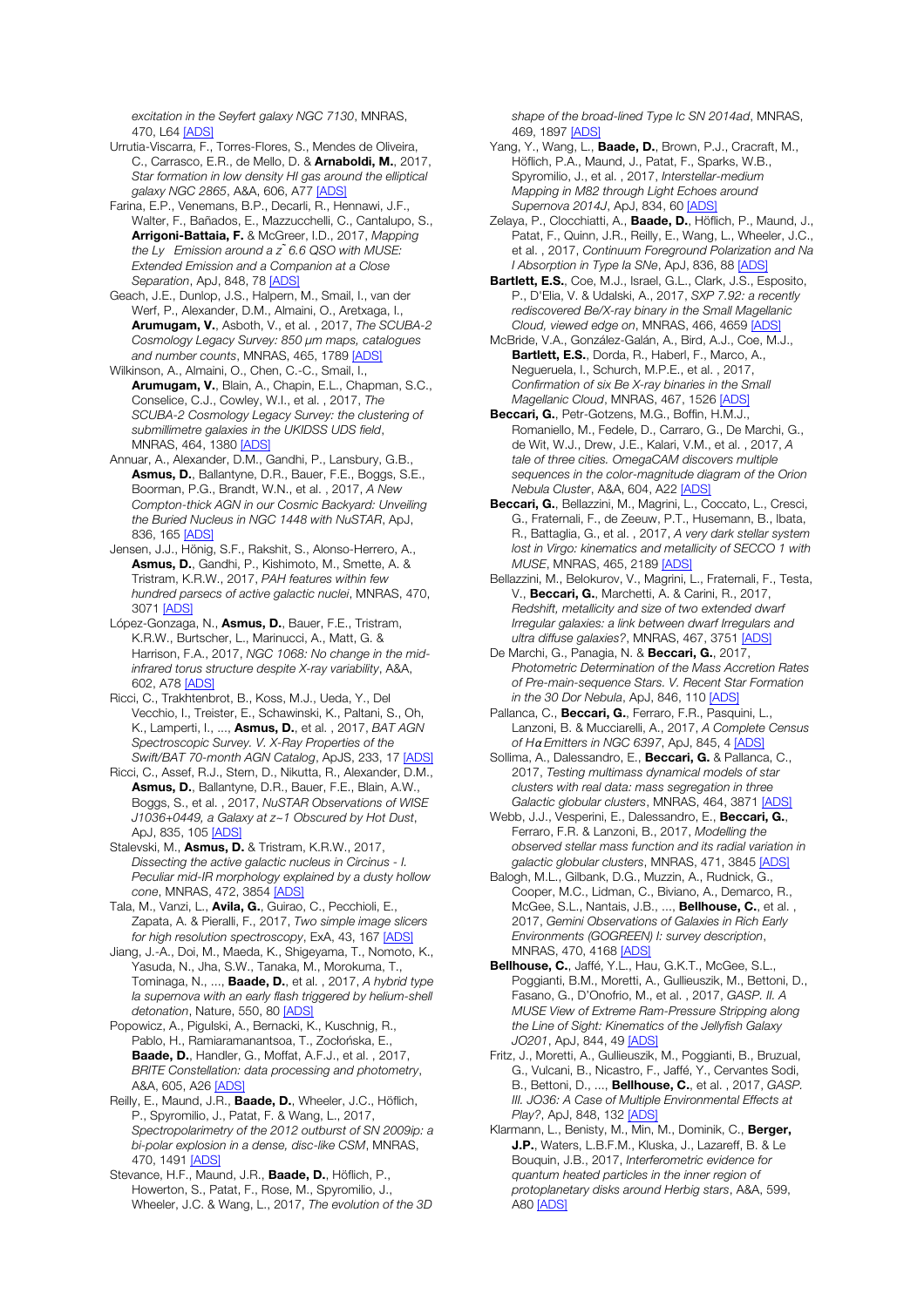*excitation in the Seyfert galaxy NGC 7130*, MNRAS, 470 L64 [ADS]

Urrutia-Viscarra, F., Torres-Flores, S., Mendes de Oliveira, C., Carrasco, E.R., de Mello, D. & Arnaboldi, M., 2017, *Star formation in low density HI gas around the elliptical galaxy NGC 2865*, A&A, 606, A77 [ADS]

Farina, E.P., Venemans, B.P., Decarli, R., Hennawi, J.F., Walter, F., Bañados, E., Mazzucchelli, C., Cantalupo, S., Arrigoni-Battaia, F. & McGreer, I.D., 2017, *Mapping the Ly Emission around a z ̃6.6 QSO with MUSE: Extended Emission and a Companion at a Close Separation*, ApJ, 848, 78 [ADS]

Geach, J.E., Dunlop, J.S., Halpern, M., Smail, I., van der Werf, P., Alexander, D.M., Almaini, O., Aretxaga, I., Arumugam, V., Asboth, V., et al. , 2017, *The SCUBA-2 Cosmology Legacy Survey: 850* μ*m maps, catalogues and number counts*, MNRAS, 465, 1789 [ADS]

Wilkinson, A., Almaini, O., Chen, C.-C., Smail, I., Arumugam, V., Blain, A., Chapin, E.L., Chapman, S.C., Conselice, C.J., Cowley, W.I., et al. , 2017, *The SCUBA-2 Cosmology Legacy Survey: the clustering of submillimetre galaxies in the UKIDSS UDS field*, MNRAS, 464, 1380 [ADS]

Annuar, A., Alexander, D.M., Gandhi, P., Lansbury, G.B., Asmus, D., Ballantyne, D.R., Bauer, F.E., Boggs, S.E., Boorman, P.G., Brandt, W.N., et al. , 2017, *A New Compton-thick AGN in our Cosmic Backyard: Unveiling the Buried Nucleus in NGC 1448 with NuSTAR*, ApJ, 836, 165 [ADS]

Jensen, J.J., Hönig, S.F., Rakshit, S., Alonso-Herrero, A., Asmus, D., Gandhi, P., Kishimoto, M., Smette, A. & Tristram, K.R.W., 2017, *PAH features within few hundred parsecs of active galactic nuclei*, MNRAS, 470, 3071 [ADS]

López-Gonzaga, N., Asmus, D., Bauer, F.E., Tristram, K.R.W., Burtscher, L., Marinucci, A., Matt, G. & Harrison, F.A., 2017, *NGC 1068: No change in the midinfrared torus structure despite X-ray variability*, A&A, 602, A78 [ADS]

Ricci, C., Trakhtenbrot, B., Koss, M.J., Ueda, Y., Del Vecchio, I., Treister, E., Schawinski, K., Paltani, S., Oh, K., Lamperti, I., ..., Asmus, D., et al. , 2017, *BAT AGN Spectroscopic Survey. V. X-Ray Properties of the Swift/BAT 70-month AGN Catalog*, ApJS, 233, 17 [ADS]

Ricci, C., Assef, R.J., Stern, D., Nikutta, R., Alexander, D.M., Asmus, D., Ballantyne, D.R., Bauer, F.E., Blain, A.W., Boggs, S., et al. , 2017, *NuSTAR Observations of WISE J1036+0449, a Galaxy at z~1 Obscured by Hot Dust*, ApJ, 835, 105 [ADS]

Stalevski, M., **Asmus, D.** & Tristram, K.R.W., 2017, *Dissecting the active galactic nucleus in Circinus - I. Peculiar mid-IR morphology explained by a dusty hollow cone*, MNRAS, 472, 3854 [ADS]

Tala, M., Vanzi, L., Avila, G., Guirao, C., Pecchioli, E., Zapata, A. & Pieralli, F., 2017, *Two simple image slicers for high resolution spectroscopy*, ExA, 43, 167 [ADS]

Jiang, J.-A., Doi, M., Maeda, K., Shigeyama, T., Nomoto, K., Yasuda, N., Jha, S.W., Tanaka, M., Morokuma, T., Tominaga, N., ..., Baade, D., et al. , 2017, *A hybrid type Ia supernova with an early flash triggered by helium-shell detonation*, Nature, 550, 80 [ADS]

Popowicz, A., Pigulski, A., Bernacki, K., Kuschnig, R., Pablo, H., Ramiaramanantsoa, T., Zocłońska, E., Baade, D., Handler, G., Moffat, A.F.J., et al., 2017, *BRITE Constellation: data processing and photometry*, A&A, 605, A26 [ADS]

Reilly, E., Maund, J.R., Baade, D., Wheeler, J.C., Höflich, P., Spyromilio, J., Patat, F. & Wang, L., 2017, *Spectropolarimetry of the 2012 outburst of SN 2009ip: a bi-polar explosion in a dense, disc-like CSM*, MNRAS, 470, 1491 **[ADS]** 

Stevance, H.F., Maund, J.R., Baade, D., Höflich, P., Howerton, S., Patat, F., Rose, M., Spyromilio, J., Wheeler, J.C. & Wang, L., 2017, *The evolution of the 3D*  *shape of the broad-lined Type Ic SN 2014ad*, MNRAS, 469, 1897 [ADS]

Yang, Y., Wang, L., Baade, D., Brown, P.J., Cracraft, M., Höflich, P.A., Maund, J., Patat, F., Sparks, W.B., Spyromilio, J., et al. , 2017, *Interstellar-medium Mapping in M82 through Light Echoes around Supernova 2014J*, ApJ, 834, 60 [ADS]

Zelaya, P., Clocchiatti, A., **Baade, D.**, Höflich, P., Maund, J., Patat, F., Quinn, J.R., Reilly, E., Wang, L., Wheeler, J.C., et al. , 2017, *Continuum Foreground Polarization and Na I Absorption in Type Ia SNe*, ApJ, 836, 88 [ADS]

Bartlett, E.S., Coe, M.J., Israel, G.L., Clark, J.S., Esposito, P., D'Elia, V. & Udalski, A., 2017, *SXP 7.92: a recently rediscovered Be/X-ray binary in the Small Magellanic Cloud, viewed edge on*, MNRAS, 466, 4659 [ADS]

McBride, V.A., González-Galán, A., Bird, A.J., Coe, M.J., Bartlett, E.S., Dorda, R., Haberl, F., Marco, A., Negueruela, I., Schurch, M.P.E., et al. , 2017, *Confirmation of six Be X-ray binaries in the Small Magellanic Cloud*, MNRAS, 467, 1526 [ADS]

Beccari, G., Petr-Gotzens, M.G., Boffin, H.M.J., Romaniello, M., Fedele, D., Carraro, G., De Marchi, G., de Wit, W.J., Drew, J.E., Kalari, V.M., et al. , 2017, *A tale of three cities. OmegaCAM discovers multiple sequences in the color-magnitude diagram of the Orion Nebula Cluster*, A&A, 604, A22 [ADS]

Beccari, G., Bellazzini, M., Magrini, L., Coccato, L., Cresci, G., Fraternali, F., de Zeeuw, P.T., Husemann, B., Ibata, R., Battaglia, G., et al. , 2017, *A very dark stellar system lost in Virgo: kinematics and metallicity of SECCO 1 with MUSE*, MNRAS, 465, 2189 [ADS]

Bellazzini, M., Belokurov, V., Magrini, L., Fraternali, F., Testa, V., Beccari, G., Marchetti, A. & Carini, R., 2017, *Redshift, metallicity and size of two extended dwarf Irregular galaxies: a link between dwarf Irregulars and ultra diffuse galaxies?*, MNRAS, 467, 3751 [ADS]

De Marchi, G., Panagia, N. & Beccari, G., 2017, *Photometric Determination of the Mass Accretion Rates of Pre-main-sequence Stars. V. Recent Star Formation in the 30 Dor Nebula*, ApJ, 846, 110 [ADS]

Pallanca, C., Beccari, G., Ferraro, F.R., Pasquini, L. Lanzoni, B. & Mucciarelli, A., 2017, *A Complete Census of H*α *Emitters in NGC 6397*, ApJ, 845, 4 [ADS]

Sollima, A., Dalessandro, E., **Beccari, G.** & Pallanca, C., 2017, *Testing multimass dynamical models of star clusters with real data: mass segregation in three Galactic globular clusters*, MNRAS, 464, 3871 [ADS]

Webb, J.J., Vesperini, E., Dalessandro, E., Beccari, G., Ferraro, F.R. & Lanzoni, B., 2017, *Modelling the observed stellar mass function and its radial variation in galactic globular clusters*, MNRAS, 471, 3845 [ADS]

Balogh, M.L., Gilbank, D.G., Muzzin, A., Rudnick, G., Cooper, M.C., Lidman, C., Biviano, A., Demarco, R., McGee, S.L., Nantais, J.B., ..., **Bellhouse, C.**, et al., 2017, *Gemini Observations of Galaxies in Rich Early Environments (GOGREEN) I: survey description*, MNRAS, 470, 4168 [ADS]

Bellhouse, C., Jaffé, Y.L., Hau, G.K.T., McGee, S.L., Poggianti, B.M., Moretti, A., Gullieuszik, M., Bettoni, D., Fasano, G., D'Onofrio, M., et al. , 2017, *GASP. II. A MUSE View of Extreme Ram-Pressure Stripping along the Line of Sight: Kinematics of the Jellyfish Galaxy JO201*, ApJ, 844, 49 [ADS]

Fritz, J., Moretti, A., Gullieuszik, M., Poggianti, B., Bruzual, G., Vulcani, B., Nicastro, F., Jaffé, Y., Cervantes Sodi, B., Bettoni, D., ..., Bellhouse, C., et al. , 2017, *GASP. III. JO36: A Case of Multiple Environmental Effects at Play?*, ApJ, 848, 132 [ADS]

Klarmann, L., Benisty, M., Min, M., Dominik, C., Berger, J.P., Waters, L.B.F.M., Kluska, J., Lazareff, B. & Le Bouquin, J.B., 2017, *Interferometric evidence for quantum heated particles in the inner region of protoplanetary disks around Herbig stars*, A&A, 599, A80 [ADS]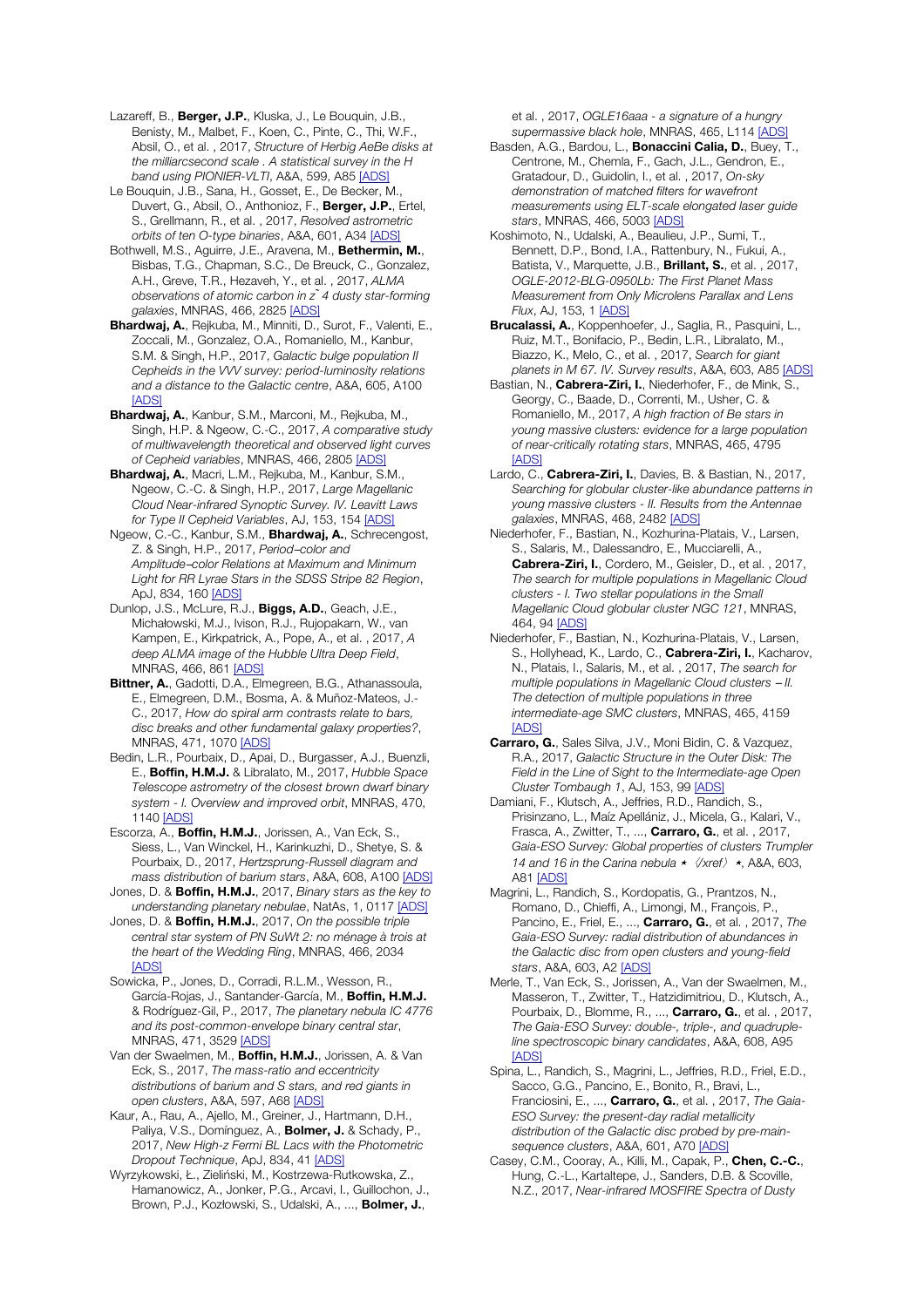Lazareff, B., Berger, J.P., Kluska, J., Le Bouquin, J.B., Benisty, M., Malbet, F., Koen, C., Pinte, C., Thi, W.F., Absil, O., et al. , 2017, *Structure of Herbig AeBe disks at the milliarcsecond scale . A statistical survey in the H band using PIONIER-VLTI*, A&A, 599, A85 [ADS]

Le Bouquin, J.B., Sana, H., Gosset, E., De Becker, M., Duvert, G., Absil, O., Anthonioz, F., Berger, J.P., Ertel, S., Grellmann, R., et al. , 2017, *Resolved astrometric orbits of ten O-type binaries*, A&A, 601, A34 [ADS]

Bothwell, M.S., Aguirre, J.E., Aravena, M., Bethermin, M., Bisbas, T.G., Chapman, S.C., De Breuck, C., Gonzalez, A.H., Greve, T.R., Hezaveh, Y., et al. , 2017, *ALMA observations of atomic carbon in z ̃4 dusty star-forming galaxies*, MNRAS, 466, 2825 [ADS]

Bhardwaj, A., Rejkuba, M., Minniti, D., Surot, F., Valenti, E., Zoccali, M., Gonzalez, O.A., Romaniello, M., Kanbur, S.M. & Singh, H.P., 2017, *Galactic bulge population II Cepheids in the VVV survey: period-luminosity relations and a distance to the Galactic centre*, A&A, 605, A100 [ADS]

Bhardwaj, A., Kanbur, S.M., Marconi, M., Rejkuba, M., Singh, H.P. & Ngeow, C.-C., 2017, *A comparative study of multiwavelength theoretical and observed light curves of Cepheid variables*, MNRAS, 466, 2805 [ADS]

Bhardwaj, A., Macri, L.M., Rejkuba, M., Kanbur, S.M., Ngeow, C.-C. & Singh, H.P., 2017, *Large Magellanic Cloud Near-infrared Synoptic Survey. IV. Leavitt Laws for Type II Cepheid Variables*, AJ, 153, 154 [ADS]

Ngeow, C.-C., Kanbur, S.M., Bhardwaj, A., Schrecengost, Z. & Singh, H.P., 2017, *Period*─*color and Amplitude*─*color Relations at Maximum and Minimum Light for RR Lyrae Stars in the SDSS Stripe 82 Region*, ApJ, 834, 160 [ADS]

Dunlop, J.S., McLure, R.J., Biggs, A.D., Geach, J.E., Michałowski, M.J., Ivison, R.J., Rujopakarn, W., van Kampen, E., Kirkpatrick, A., Pope, A., et al. , 2017, *A deep ALMA image of the Hubble Ultra Deep Field*, MNRAS, 466, 861 [ADS]

Bittner, A., Gadotti, D.A., Elmegreen, B.G., Athanassoula, E., Elmegreen, D.M., Bosma, A. & Muñoz-Mateos, J.- C., 2017, *How do spiral arm contrasts relate to bars, disc breaks and other fundamental galaxy properties?*, MNRAS, 471, 1070 [ADS]

Bedin, L.R., Pourbaix, D., Apai, D., Burgasser, A.J., Buenzli, E., Boffin, H.M.J. & Libralato, M., 2017, *Hubble Space Telescope astrometry of the closest brown dwarf binary system - I. Overview and improved orbit*, MNRAS, 470, 1140 [ADS]

Escorza, A., Boffin, H.M.J., Jorissen, A., Van Eck, S., Siess, L., Van Winckel, H., Karinkuzhi, D., Shetye, S. & Pourbaix, D., 2017, *Hertzsprung-Russell diagram and mass distribution of barium stars*, A&A, 608, A100 [ADS]

Jones, D. & Boffin, H.M.J., 2017, *Binary stars as the key to understanding planetary nebulae*, NatAs, 1, 0117 [ADS]

Jones, D. & Boffin, H.M.J., 2017, *On the possible triple central star system of PN SuWt 2: no ménage à trois at the heart of the Wedding Ring*, MNRAS, 466, 2034 [ADS]

Sowicka, P., Jones, D., Corradi, R.L.M., Wesson, R., García-Rojas, J., Santander-García, M., Boffin, H.M.J. & Rodríguez-Gil, P., 2017, *The planetary nebula IC 4776 and its post-common-envelope binary central star*, MNRAS, 471, 3529 [ADS]

Van der Swaelmen, M., Boffin, H.M.J., Jorissen, A. & Van Eck, S., 2017, *The mass-ratio and eccentricity distributions of barium and S stars, and red giants in open clusters*, A&A, 597, A68 [ADS]

Kaur, A., Rau, A., Ajello, M., Greiner, J., Hartmann, D.H., Paliya, V.S., Domínguez, A., **Bolmer, J.** & Schady, P., 2017, *New High-z Fermi BL Lacs with the Photometric Dropout Technique*, ApJ, 834, 41 [ADS]

Wyrzykowski, Ł., Zieliński, M., Kostrzewa-Rutkowska, Z., Hamanowicz, A., Jonker, P.G., Arcavi, I., Guillochon, J., Brown, P.J., Kozłowski, S., Udalski, A., ..., Bolmer, J.,

et al. , 2017, *OGLE16aaa - a signature of a hungry supermassive black hole*, MNRAS, 465, L114 [ADS]

Basden, A.G., Bardou, L., **Bonaccini Calia, D.**, Buey, T., Centrone, M., Chemla, F., Gach, J.L., Gendron, E., Gratadour, D., Guidolin, I., et al. , 2017, *On-sky demonstration of matched filters for wavefront measurements using ELT-scale elongated laser guide stars*, MNRAS, 466, 5003 [ADS]

Koshimoto, N., Udalski, A., Beaulieu, J.P., Sumi, T., Bennett, D.P., Bond, I.A., Rattenbury, N., Fukui, A., Batista, V., Marquette, J.B., **Brillant, S.**, et al., 2017, *OGLE-2012-BLG-0950Lb: The First Planet Mass Measurement from Only Microlens Parallax and Lens Flux*, AJ, 153, 1 [ADS]

Brucalassi, A., Koppenhoefer, J., Saglia, R., Pasquini, L., Ruiz, M.T., Bonifacio, P., Bedin, L.R., Libralato, M., Biazzo, K., Melo, C., et al. , 2017, *Search for giant planets in M 67. IV. Survey results*, A&A, 603, A85 [ADS]

Bastian, N., Cabrera-Ziri, I., Niederhofer, F., de Mink, S., Georgy, C., Baade, D., Correnti, M., Usher, C. & Romaniello, M., 2017, *A high fraction of Be stars in young massive clusters: evidence for a large population of near-critically rotating stars*, MNRAS, 465, 4795 [ADS]

Lardo, C., Cabrera-Ziri, I., Davies, B. & Bastian, N., 2017, *Searching for globular cluster-like abundance patterns in young massive clusters - II. Results from the Antennae galaxies*, MNRAS, 468, 2482 [ADS]

Niederhofer, F., Bastian, N., Kozhurina-Platais, V., Larsen, S., Salaris, M., Dalessandro, E., Mucciarelli, A., Cabrera-Ziri, I., Cordero, M., Geisler, D., et al. , 2017, *The search for multiple populations in Magellanic Cloud clusters - I. Two stellar populations in the Small Magellanic Cloud globular cluster NGC 121*, MNRAS, 464, 94 [ADS]

Niederhofer, F., Bastian, N., Kozhurina-Platais, V., Larsen, S., Hollyhead, K., Lardo, C., Cabrera-Ziri, I., Kacharov, N., Platais, I., Salaris, M., et al. , 2017, *The search for multiple populations in Magellanic Cloud clusters* ─ *II. The detection of multiple populations in three intermediate-age SMC clusters*, MNRAS, 465, 4159 [ADS]

Carraro, G., Sales Silva, J.V., Moni Bidin, C. & Vazquez, R.A., 2017, *Galactic Structure in the Outer Disk: The Field in the Line of Sight to the Intermediate-age Open Cluster Tombaugh 1*, AJ, 153, 99 [ADS]

Damiani, F., Klutsch, A., Jeffries, R.D., Randich, S., Prisinzano, L., Maíz Apellániz, J., Micela, G., Kalari, V., Frasca, A., Zwitter, T., ..., Carraro, G., et al. , 2017, *Gaia-ESO Survey: Global properties of clusters Trumpler 14 and 16 in the Carina nebula ★*  $\sqrt{x}$ *ref*  $\rightarrow$ , A&A, 603, A81 [ADS]

Magrini, L., Randich, S., Kordopatis, G., Prantzos, N., Romano, D., Chieffi, A., Limongi, M., François, P., Pancino, E., Friel, E., ..., Carraro, G., et al. , 2017, *The Gaia-ESO Survey: radial distribution of abundances in the Galactic disc from open clusters and young-field stars*, A&A, 603, A2 [ADS]

Merle, T., Van Eck, S., Jorissen, A., Van der Swaelmen, M., Masseron, T., Zwitter, T., Hatzidimitriou, D., Klutsch, A., Pourbaix, D., Blomme, R., ..., **Carraro, G.**, et al., 2017, *The Gaia-ESO Survey: double-, triple-, and quadrupleline spectroscopic binary candidates*, A&A, 608, A95 [ADS]

Spina, L., Randich, S., Magrini, L., Jeffries, R.D., Friel, E.D., Sacco, G.G., Pancino, E., Bonito, R., Bravi, L., Franciosini, E., ..., Carraro, G., et al. , 2017, *The Gaia-ESO Survey: the present-day radial metallicity distribution of the Galactic disc probed by pre-mainsequence clusters*, A&A, 601, A70 [ADS]

Casey, C.M., Cooray, A., Killi, M., Capak, P., Chen, C.-C., Hung, C.-L., Kartaltepe, J., Sanders, D.B. & Scoville, N.Z., 2017, *Near-infrared MOSFIRE Spectra of Dusty*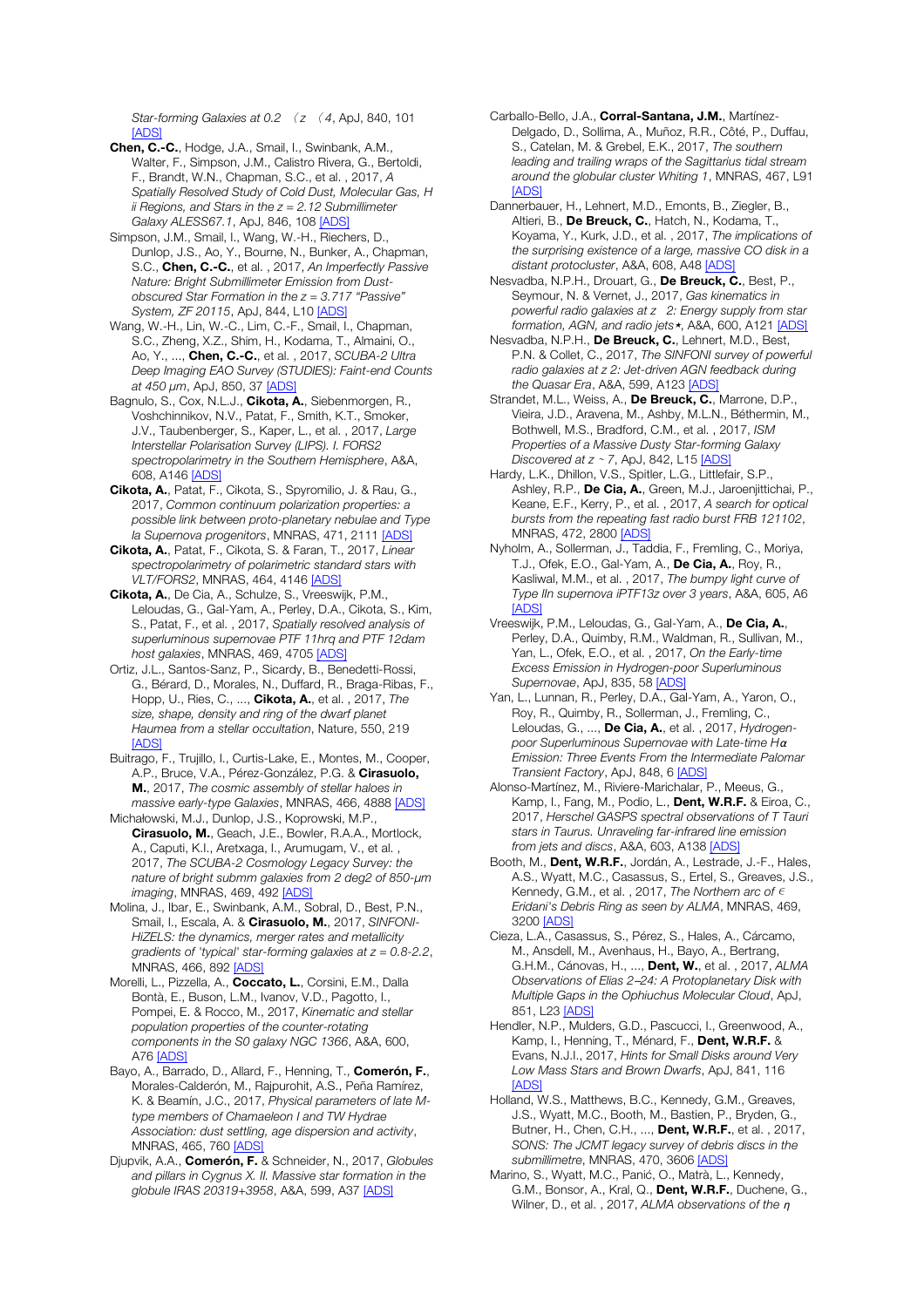*Star-forming Galaxies at 0.2* 〈 *z* 〈 *4*, ApJ, 840, 101  $[ADS]$ 

Chen, C.-C., Hodge, J.A., Smail, I., Swinbank, A.M., Walter, F., Simpson, J.M., Calistro Rivera, G., Bertoldi, F., Brandt, W.N., Chapman, S.C., et al. , 2017, *A Spatially Resolved Study of Cold Dust, Molecular Gas, H ii Regions, and Stars in the z = 2.12 Submillimeter Galaxy ALESS67.1*, ApJ, 846, 108 [ADS]

Simpson, J.M., Smail, I., Wang, W.-H., Riechers, D., Dunlop, J.S., Ao, Y., Bourne, N., Bunker, A., Chapman, S.C., Chen, C.-C., et al. , 2017, *An Imperfectly Passive Nature: Bright Submillimeter Emission from Dustobscured Star Formation in the z = 3.717 "Passive" System, ZF 20115*, ApJ, 844, L10 [ADS]

Wang, W.-H., Lin, W.-C., Lim, C.-F., Smail, I., Chapman, S.C., Zheng, X.Z., Shim, H., Kodama, T., Almaini, O., Ao, Y., ..., Chen, C.-C., et al. , 2017, *SCUBA-2 Ultra Deep Imaging EAO Survey (STUDIES): Faint-end Counts at 450* μ*m*, ApJ, 850, 37 [ADS]

Bagnulo, S., Cox, N.L.J., Cikota, A., Siebenmorgen, R., Voshchinnikov, N.V., Patat, F., Smith, K.T., Smoker, J.V., Taubenberger, S., Kaper, L., et al. , 2017, *Large Interstellar Polarisation Survey (LIPS). I. FORS2 spectropolarimetry in the Southern Hemisphere*, A&A, 608, A146 [ADS]

Cikota, A., Patat, F., Cikota, S., Spyromilio, J. & Rau, G., 2017, *Common continuum polarization properties: a possible link between proto-planetary nebulae and Type Ia Supernova progenitors*, MNRAS, 471, 2111 [ADS]

Cikota, A., Patat, F., Cikota, S. & Faran, T., 2017, *Linear spectropolarimetry of polarimetric standard stars with VLT/FORS2*, MNRAS, 464, 4146 [ADS]

Cikota, A., De Cia, A., Schulze, S., Vreeswijk, P.M., Leloudas, G., Gal-Yam, A., Perley, D.A., Cikota, S., Kim, S., Patat, F., et al. , 2017, *Spatially resolved analysis of superluminous supernovae PTF 11hrq and PTF 12dam host galaxies*, MNRAS, 469, 4705 [ADS]

Ortiz, J.L., Santos-Sanz, P., Sicardy, B., Benedetti-Rossi, G., Bérard, D., Morales, N., Duffard, R., Braga-Ribas, F., Hopp, U., Ries, C., ..., Cikota, A., et al. , 2017, *The size, shape, density and ring of the dwarf planet Haumea from a stellar occultation*, Nature, 550, 219 [ADS]

Buitrago, F., Trujillo, I., Curtis-Lake, E., Montes, M., Cooper, A.P., Bruce, V.A., Pérez-González, P.G. & Cirasuolo, M., 2017, *The cosmic assembly of stellar haloes in massive early-type Galaxies*, MNRAS, 466, 4888 [ADS]

Michałowski, M.J., Dunlop, J.S., Koprowski, M.P., Cirasuolo, M., Geach, J.E., Bowler, R.A.A., Mortlock, A., Caputi, K.I., Aretxaga, I., Arumugam, V., et al. , 2017, *The SCUBA-2 Cosmology Legacy Survey: the nature of bright submm galaxies from 2 deg2 of 850-*μ*m imaging*, MNRAS, 469, 492 [ADS]

Molina, J., Ibar, E., Swinbank, A.M., Sobral, D., Best, P.N., Smail, I., Escala, A. & Cirasuolo, M., 2017, *SINFONI-HiZELS: the dynamics, merger rates and metallicity gradients of 'typical' star-forming galaxies at z = 0.8-2.2*, MNRAS, 466, 892 [ADS]

Morelli, L., Pizzella, A., Coccato, L., Corsini, E.M., Dalla Bontà, E., Buson, L.M., Ivanov, V.D., Pagotto, I., Pompei, E. & Rocco, M., 2017, *Kinematic and stellar population properties of the counter-rotating components in the S0 galaxy NGC 1366*, A&A, 600, A76 [ADS]

Bayo, A., Barrado, D., Allard, F., Henning, T., Comerón, F., Morales-Calderón, M., Rajpurohit, A.S., Peña Ramírez, K. & Beamín, J.C., 2017, *Physical parameters of late Mtype members of Chamaeleon I and TW Hydrae Association: dust settling, age dispersion and activity*, MNRAS, 465, 760 [ADS]

Djupvik, A.A., Comerón, F. & Schneider, N., 2017, *Globules and pillars in Cygnus X. II. Massive star formation in the globule IRAS 20319+3958*, A&A, 599, A37 [ADS]

Carballo-Bello, J.A., Corral-Santana, J.M., Martínez-Delgado, D., Sollima, A., Muñoz, R.R., Côté, P., Duffau, S., Catelan, M. & Grebel, E.K., 2017, *The southern leading and trailing wraps of the Sagittarius tidal stream around the globular cluster Whiting 1*, MNRAS, 467, L91 [ADS]

Dannerbauer, H., Lehnert, M.D., Emonts, B., Ziegler, B., Altieri, B., De Breuck, C., Hatch, N., Kodama, T., Koyama, Y., Kurk, J.D., et al. , 2017, *The implications of the surprising existence of a large, massive CO disk in a distant protocluster*, A&A, 608, A48 [ADS]

Nesvadba, N.P.H., Drouart, G., De Breuck, C., Best, P., Seymour, N. & Vernet, J., 2017, *Gas kinematics in powerful radio galaxies at z 2: Energy supply from star*  formation, AGN, and radio jets<sup>\*</sup>, A&A, 600, A121 [ADS]

Nesvadba, N.P.H., De Breuck, C., Lehnert, M.D., Best, P.N. & Collet, C., 2017, *The SINFONI survey of powerful radio galaxies at z 2: Jet-driven AGN feedback during the Quasar Era*, A&A, 599, A123 [ADS]

Strandet, M.L., Weiss, A., De Breuck, C., Marrone, D.P., Vieira, J.D., Aravena, M., Ashby, M.L.N., Béthermin, M., Bothwell, M.S., Bradford, C.M., et al. , 2017, *ISM Properties of a Massive Dusty Star-forming Galaxy Discovered at z* <sup>∼</sup> *7*, ApJ, 842, L15 [ADS]

Hardy, L.K., Dhillon, V.S., Spitler, L.G., Littlefair, S.P., Ashley, R.P., De Cia, A., Green, M.J., Jaroenjittichai, P., Keane, E.F., Kerry, P., et al. , 2017, *A search for optical bursts from the repeating fast radio burst FRB 121102*, MNRAS, 472, 2800 [ADS]

Nyholm, A., Sollerman, J., Taddia, F., Fremling, C., Moriya, T.J., Ofek, E.O., Gal-Yam, A., De Cia, A., Roy, R., Kasliwal, M.M., et al. , 2017, *The bumpy light curve of Type IIn supernova iPTF13z over 3 years*, A&A, 605, A6 [ADS]

Vreeswijk, P.M., Leloudas, G., Gal-Yam, A., De Cia, A., Perley, D.A., Quimby, R.M., Waldman, R., Sullivan, M., Yan, L., Ofek, E.O., et al. , 2017, *On the Early-time Excess Emission in Hydrogen-poor Superluminous Supernovae*, ApJ, 835, 58 [ADS]

Yan, L., Lunnan, R., Perley, D.A., Gal-Yam, A., Yaron, O., Roy, R., Quimby, R., Sollerman, J., Fremling, C., Leloudas, G., ..., De Cia, A., et al. , 2017, *Hydrogenpoor Superluminous Supernovae with Late-time H*<sup>α</sup> *Emission: Three Events From the Intermediate Palomar Transient Factory*, ApJ, 848, 6 [ADS]

Alonso-Martínez, M., Riviere-Marichalar, P., Meeus, G., Kamp, I., Fang, M., Podio, L., Dent, W.R.F. & Eiroa, C., 2017, *Herschel GASPS spectral observations of T Tauri stars in Taurus. Unraveling far-infrared line emission from jets and discs*, A&A, 603, A138 [ADS]

Booth, M., Dent, W.R.F., Jordán, A., Lestrade, J.-F., Hales, A.S., Wyatt, M.C., Casassus, S., Ertel, S., Greaves, J.S., Kennedy, G.M., et al., 2017, *The Northern arc of € Eridani's Debris Ring as seen by ALMA*, MNRAS, 469, 3200 [ADS]

Cieza, L.A., Casassus, S., Pérez, S., Hales, A., Cárcamo, M., Ansdell, M., Avenhaus, H., Bayo, A., Bertrang, G.H.M., Cánovas, H., ..., Dent, W., et al. , 2017, *ALMA Observations of Elias 2*─*24: A Protoplanetary Disk with Multiple Gaps in the Ophiuchus Molecular Cloud*, ApJ, 851, L23 [ADS]

Hendler, N.P., Mulders, G.D., Pascucci, I., Greenwood, A., Kamp, I., Henning, T., Ménard, F., Dent, W.R.F. & Evans, N.J.I., 2017, *Hints for Small Disks around Very Low Mass Stars and Brown Dwarfs*, ApJ, 841, 116 [ADS]

Holland, W.S., Matthews, B.C., Kennedy, G.M., Greaves, J.S., Wyatt, M.C., Booth, M., Bastien, P., Bryden, G., Butner, H., Chen, C.H., ..., Dent, W.R.F., et al. , 2017, *SONS: The JCMT legacy survey of debris discs in the submillimetre*, MNRAS, 470, 3606 [ADS]

Marino, S., Wyatt, M.C., Panić, O., Matrà, L., Kennedy, G.M., Bonsor, A., Kral, Q., Dent, W.R.F., Duchene, G., Wilner, D., et al. , 2017, *ALMA observations of the* η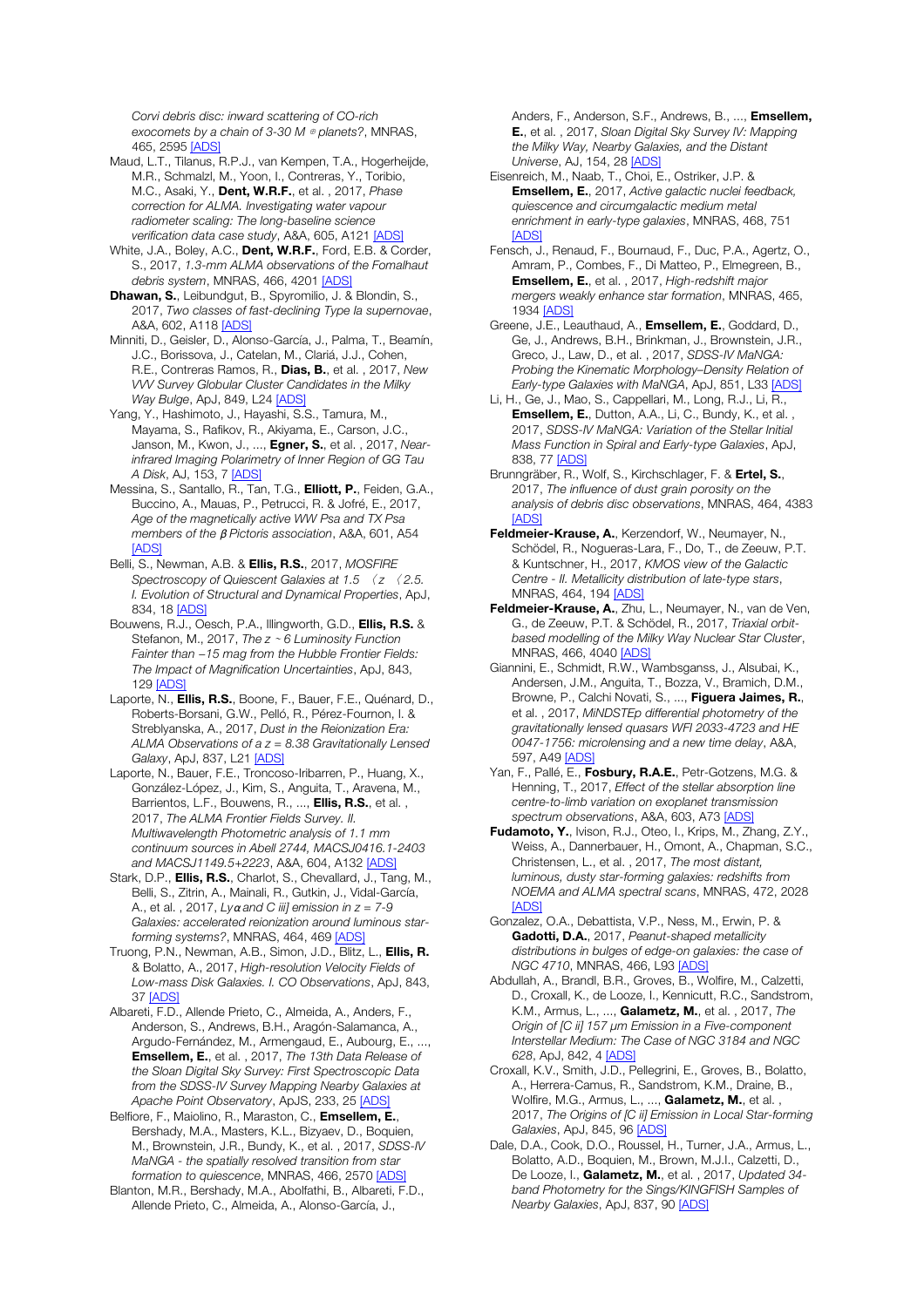*Corvi debris disc: inward scattering of CO-rich exocomets by a chain of 3-30 M* ⊕ *planets?*, MNRAS, 465, 2595 [ADS]

- Maud, L.T., Tilanus, R.P.J., van Kempen, T.A., Hogerheijde, M.R., Schmalzl, M., Yoon, I., Contreras, Y., Toribio, M.C., Asaki, Y., Dent, W.R.F., et al. , 2017, *Phase correction for ALMA. Investigating water vapour radiometer scaling: The long-baseline science verification data case study*, A&A, 605, A121 [ADS]
- White, J.A., Boley, A.C., Dent, W.R.F., Ford, E.B. & Corder, S., 2017, *1.3-mm ALMA observations of the Fomalhaut debris system*, MNRAS, 466, 4201 [ADS]
- Dhawan, S., Leibundgut, B., Spyromilio, J. & Blondin, S., 2017, *Two classes of fast-declining Type Ia supernovae*, A&A, 602, A118 [ADS]
- Minniti, D., Geisler, D., Alonso-García, J., Palma, T., Beamín, J.C., Borissova, J., Catelan, M., Clariá, J.J., Cohen, R.E., Contreras Ramos, R., Dias, B., et al. , 2017, *New VVV Survey Globular Cluster Candidates in the Milky Way Bulge*, ApJ, 849, L24 [ADS]
- Yang, Y., Hashimoto, J., Hayashi, S.S., Tamura, M., Mayama, S., Rafikov, R., Akiyama, E., Carson, J.C., Janson, M., Kwon, J., ..., Egner, S., et al. , 2017, *Nearinfrared Imaging Polarimetry of Inner Region of GG Tau A Disk*, AJ, 153, 7 [ADS]
- Messina, S., Santallo, R., Tan, T.G., Elliott, P., Feiden, G.A., Buccino, A., Mauas, P., Petrucci, R. & Jofré, E., 2017, *Age of the magnetically active WW Psa and TX Psa members of the* β *Pictoris association*, A&A, 601, A54 [ADS]
- Belli, S., Newman, A.B. & Ellis, R.S., 2017, *MOSFIRE Spectroscopy of Quiescent Galaxies at 1.5* 〈 *z* 〈 *2.5. I. Evolution of Structural and Dynamical Properties*, ApJ, 834, 18 [ADS]
- Bouwens, R.J., Oesch, P.A., Illingworth, G.D., Ellis, R.S. & Stefanon, M., 2017, *The z* <sup>∼</sup> *6 Luminosity Function Fainter than* −*15 mag from the Hubble Frontier Fields: The Impact of Magnification Uncertainties*, ApJ, 843, 129 [ADS]
- Laporte, N., **Ellis, R.S.**, Boone, F., Bauer, F.E., Quénard, D., Roberts-Borsani, G.W., Pelló, R., Pérez-Fournon, I. & Streblyanska, A., 2017, *Dust in the Reionization Era: ALMA Observations of a z = 8.38 Gravitationally Lensed Galaxy*, ApJ, 837, L21 [ADS]
- Laporte, N., Bauer, F.E., Troncoso-Iribarren, P., Huang, X., González-López, J., Kim, S., Anguita, T., Aravena, M., Barrientos, L.F., Bouwens, R., ..., **Ellis, R.S.**, et al., 2017, *The ALMA Frontier Fields Survey. II. Multiwavelength Photometric analysis of 1.1 mm continuum sources in Abell 2744, MACSJ0416.1-2403 and MACSJ1149.5+2223*, A&A, 604, A132 [ADS]
- Stark, D.P., **Ellis, R.S.**, Charlot, S., Chevallard, J., Tang, M., Belli, S., Zitrin, A., Mainali, R., Gutkin, J., Vidal-García, A., et al. , 2017, *Ly*α *and C iii] emission in z = 7-9 Galaxies: accelerated reionization around luminous starforming systems?*, MNRAS, 464, 469 [ADS]
- Truong, P.N., Newman, A.B., Simon, J.D., Blitz, L., Ellis, R. & Bolatto, A., 2017, *High-resolution Velocity Fields of Low-mass Disk Galaxies. I. CO Observations*, ApJ, 843, 37 [ADS]
- Albareti, F.D., Allende Prieto, C., Almeida, A., Anders, F., Anderson, S., Andrews, B.H., Aragón-Salamanca, A., Argudo-Fernández, M., Armengaud, E., Aubourg, E., ..., Emsellem, E., et al. , 2017, *The 13th Data Release of the Sloan Digital Sky Survey: First Spectroscopic Data from the SDSS-IV Survey Mapping Nearby Galaxies at Apache Point Observatory*, ApJS, 233, 25 [ADS]
- Belfiore, F., Maiolino, R., Maraston, C., Emsellem, E., Bershady, M.A., Masters, K.L., Bizyaev, D., Boquien, M., Brownstein, J.R., Bundy, K., et al. , 2017, *SDSS-IV MaNGA - the spatially resolved transition from star formation to quiescence*, MNRAS, 466, 2570 [ADS]
- Blanton, M.R., Bershady, M.A., Abolfathi, B., Albareti, F.D., Allende Prieto, C., Almeida, A., Alonso-García, J.,

Anders, F., Anderson, S.F., Andrews, B., ..., **Emsellem,** E., et al. , 2017, *Sloan Digital Sky Survey IV: Mapping the Milky Way, Nearby Galaxies, and the Distant Universe*, AJ, 154, 28 [ADS]

- Eisenreich, M., Naab, T., Choi, E., Ostriker, J.P. & Emsellem, E., 2017, *Active galactic nuclei feedback, quiescence and circumgalactic medium metal enrichment in early-type galaxies*, MNRAS, 468, 751 [ADS]
- Fensch, J., Renaud, F., Bournaud, F., Duc, P.A., Agertz, O., Amram, P., Combes, F., Di Matteo, P., Elmegreen, B., Emsellem, E., et al. , 2017, *High-redshift major mergers weakly enhance star formation*, MNRAS, 465, 1934 [ADS]
- Greene, J.E., Leauthaud, A., Emsellem, E., Goddard, D., Ge, J., Andrews, B.H., Brinkman, J., Brownstein, J.R., Greco, J., Law, D., et al. , 2017, *SDSS-IV MaNGA: Probing the Kinematic Morphology–Density Relation of Early-type Galaxies with MaNGA*, ApJ, 851, L33 [ADS]
- Li, H., Ge, J., Mao, S., Cappellari, M., Long, R.J., Li, R., Emsellem, E., Dutton, A.A., Li, C., Bundy, K., et al. , 2017, *SDSS-IV MaNGA: Variation of the Stellar Initial Mass Function in Spiral and Early-type Galaxies*, ApJ, 838, 77 [ADS]
- Brunngräber, R., Wolf, S., Kirchschlager, F. & Ertel, S., 2017, *The influence of dust grain porosity on the analysis of debris disc observations*, MNRAS, 464, 4383 **[ADS]**
- Feldmeier-Krause, A., Kerzendorf, W., Neumayer, N., Schödel, R., Nogueras-Lara, F., Do, T., de Zeeuw, P.T. & Kuntschner, H., 2017, *KMOS view of the Galactic Centre - II. Metallicity distribution of late-type stars*, MNRAS, 464, 194 [ADS]
- Feldmeier-Krause, A., Zhu, L., Neumayer, N., van de Ven, G., de Zeeuw, P.T. & Schödel, R., 2017, *Triaxial orbitbased modelling of the Milky Way Nuclear Star Cluster*, MNRAS, 466, 4040 [ADS]
- Giannini, E., Schmidt, R.W., Wambsganss, J., Alsubai, K., Andersen, J.M., Anguita, T., Bozza, V., Bramich, D.M., Browne, P., Calchi Novati, S., ..., Figuera Jaimes, R., et al. , 2017, *MiNDSTEp differential photometry of the gravitationally lensed quasars WFI 2033-4723 and HE 0047-1756: microlensing and a new time delay*, A&A, 597, A49 [ADS]
- Yan, F., Pallé, E., Fosbury, R.A.E., Petr-Gotzens, M.G. & Henning, T., 2017, *Effect of the stellar absorption line centre-to-limb variation on exoplanet transmission spectrum observations*, A&A, 603, A73 [ADS]
- Fudamoto, Y., Ivison, R.J., Oteo, I., Krips, M., Zhang, Z.Y., Weiss, A., Dannerbauer, H., Omont, A., Chapman, S.C., Christensen, L., et al. , 2017, *The most distant, luminous, dusty star-forming galaxies: redshifts from NOEMA and ALMA spectral scans*, MNRAS, 472, 2028 **[ADS]**
- Gonzalez, O.A., Debattista, V.P., Ness, M., Erwin, P. & Gadotti, D.A., 2017, *Peanut-shaped metallicity distributions in bulges of edge-on galaxies: the case of NGC 4710*, MNRAS, 466, L93 [ADS]
- Abdullah, A., Brandl, B.R., Groves, B., Wolfire, M., Calzetti, D., Croxall, K., de Looze, I., Kennicutt, R.C., Sandstrom, K.M., Armus, L., ..., Galametz, M., et al. , 2017, *The Origin of [C ii] 157* μ*m Emission in a Five-component Interstellar Medium: The Case of NGC 3184 and NGC 628*, ApJ, 842, 4 [ADS]
- Croxall, K.V., Smith, J.D., Pellegrini, E., Groves, B., Bolatto, A., Herrera-Camus, R., Sandstrom, K.M., Draine, B., Wolfire, M.G., Armus, L., ..., Galametz, M., et al., 2017, *The Origins of [C ii] Emission in Local Star-forming Galaxies*, ApJ, 845, 96 [ADS]
- Dale, D.A., Cook, D.O., Roussel, H., Turner, J.A., Armus, L., Bolatto, A.D., Boquien, M., Brown, M.J.I., Calzetti, D., De Looze, I., Galametz, M., et al. , 2017, *Updated 34 band Photometry for the Sings/KINGFISH Samples of Nearby Galaxies*, ApJ, 837, 90 [ADS]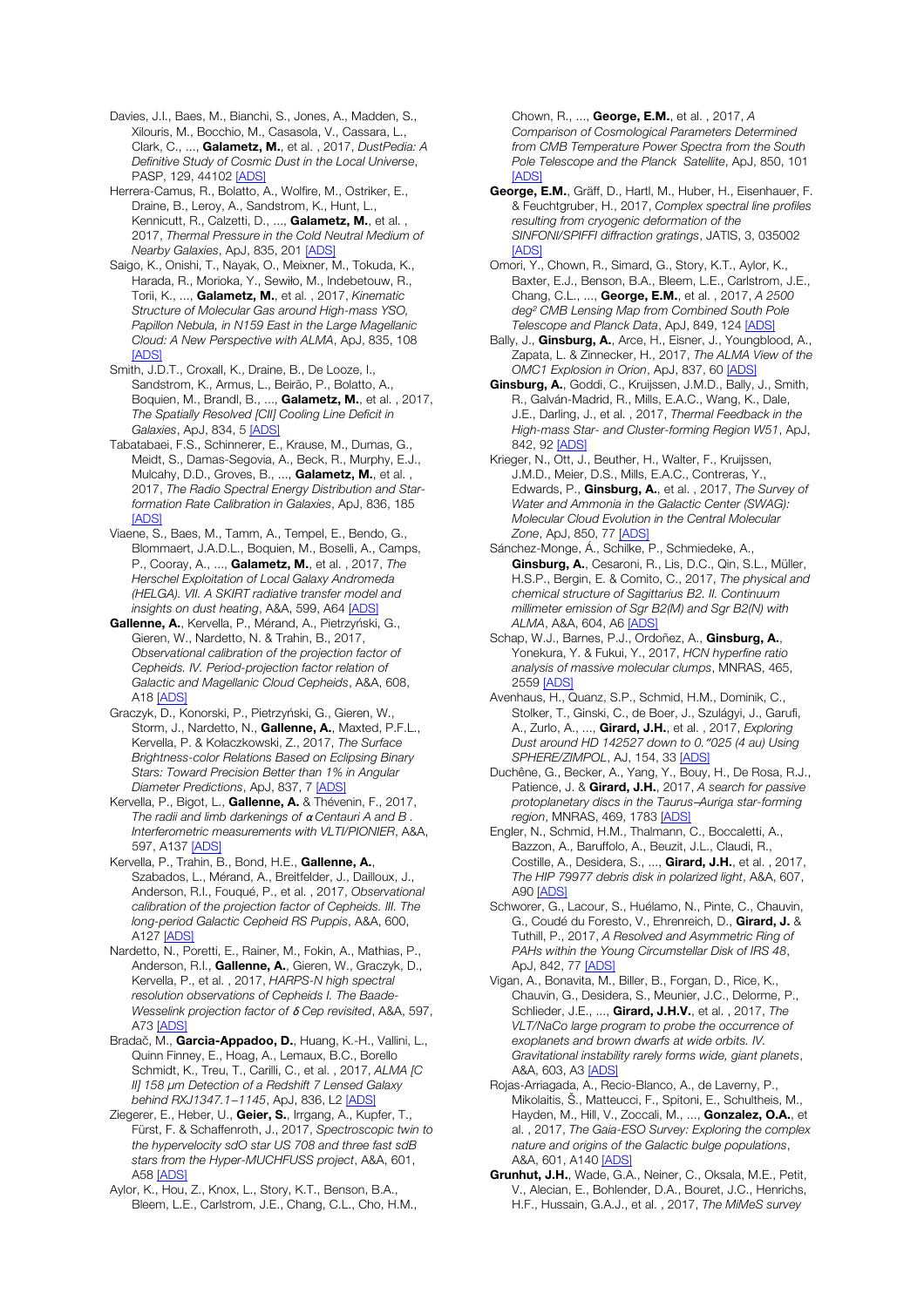Davies, J.I., Baes, M., Bianchi, S., Jones, A., Madden, S., Xilouris, M., Bocchio, M., Casasola, V., Cassara, L., Clark, C., ..., Galametz, M., et al. , 2017, *DustPedia: A Definitive Study of Cosmic Dust in the Local Universe*, PASP, 129, 44102 [ADS]

Herrera-Camus, R., Bolatto, A., Wolfire, M., Ostriker, E., Draine, B., Leroy, A., Sandstrom, K., Hunt, L., Kennicutt, R., Calzetti, D., ..., Galametz, M., et al., 2017, *Thermal Pressure in the Cold Neutral Medium of Nearby Galaxies*, ApJ, 835, 201 [ADS]

Saigo, K., Onishi, T., Nayak, O., Meixner, M., Tokuda, K., Harada, R., Morioka, Y., Sewiło, M., Indebetouw, R., Torii, K., ..., Galametz, M., et al. , 2017, *Kinematic Structure of Molecular Gas around High-mass YSO, Papillon Nebula, in N159 East in the Large Magellanic Cloud: A New Perspective with ALMA*, ApJ, 835, 108 [ADS]

Smith, J.D.T., Croxall, K., Draine, B., De Looze, I., Sandstrom, K., Armus, L., Beirão, P., Bolatto, A., Boquien, M., Brandl, B., ..., Galametz, M., et al. , 2017, *The Spatially Resolved [CII] Cooling Line Deficit in Galaxies*, ApJ, 834, 5 [ADS]

Tabatabaei, F.S., Schinnerer, E., Krause, M., Dumas, G., Meidt, S., Damas-Segovia, A., Beck, R., Murphy, E.J., Mulcahy, D.D., Groves, B., ..., Galametz, M., et al., 2017, *The Radio Spectral Energy Distribution and Starformation Rate Calibration in Galaxies*, ApJ, 836, 185 [ADS]

Viaene, S., Baes, M., Tamm, A., Tempel, E., Bendo, G., Blommaert, J.A.D.L., Boquien, M., Boselli, A., Camps, P., Cooray, A., ..., Galametz, M., et al. , 2017, *The Herschel Exploitation of Local Galaxy Andromeda (HELGA). VII. A SKIRT radiative transfer model and insights on dust heating*, A&A, 599, A64 [ADS]

Gallenne, A., Kervella, P., Mérand, A., Pietrzyński, G., Gieren, W., Nardetto, N. & Trahin, B., 2017, *Observational calibration of the projection factor of Cepheids. IV. Period-projection factor relation of Galactic and Magellanic Cloud Cepheids*, A&A, 608, A18 [ADS]

Graczyk, D., Konorski, P., Pietrzyński, G., Gieren, W., Storm, J., Nardetto, N., Gallenne, A., Maxted, P.F.L., Kervella, P. & Kołaczkowski, Z., 2017, *The Surface Brightness-color Relations Based on Eclipsing Binary Stars: Toward Precision Better than 1% in Angular Diameter Predictions*, ApJ, 837, 7 [ADS]

Kervella, P., Bigot, L., Gallenne, A. & Thévenin, F., 2017, *The radii and limb darkenings of* α *Centauri A and B . Interferometric measurements with VLTI/PIONIER*, A&A, 597, A137 [ADS]

Kervella, P., Trahin, B., Bond, H.E., Gallenne, A., Szabados, L., Mérand, A., Breitfelder, J., Dailloux, J., Anderson, R.I., Fouqué, P., et al. , 2017, *Observational calibration of the projection factor of Cepheids. III. The long-period Galactic Cepheid RS Puppis*, A&A, 600, A127 [ADS]

Nardetto, N., Poretti, E., Rainer, M., Fokin, A., Mathias, P., Anderson, R.I., Gallenne, A., Gieren, W., Graczyk, D., Kervella, P., et al. , 2017, *HARPS-N high spectral resolution observations of Cepheids I. The Baade-Wesselink projection factor of* δ *Cep revisited*, A&A, 597, A73 [ADS]

Bradač, M., Garcia-Appadoo, D., Huang, K.-H., Vallini, L., Quinn Finney, E., Hoag, A., Lemaux, B.C., Borello Schmidt, K., Treu, T., Carilli, C., et al. , 2017, *ALMA [C II] 158* μ*m Detection of a Redshift 7 Lensed Galaxy behind RXJ1347.1*−*1145*, ApJ, 836, L2 [ADS]

Ziegerer, E., Heber, U., Geier, S., Irrgang, A., Kupfer, T., Fürst, F. & Schaffenroth, J., 2017, *Spectroscopic twin to the hypervelocity sdO star US 708 and three fast sdB stars from the Hyper-MUCHFUSS project*, A&A, 601, A58 [ADS]

Aylor, K., Hou, Z., Knox, L., Story, K.T., Benson, B.A., Bleem, L.E., Carlstrom, J.E., Chang, C.L., Cho, H.M., Chown, R., ..., George, E.M., et al. , 2017, *A Comparison of Cosmological Parameters Determined from CMB Temperature Power Spectra from the South Pole Telescope and the Planck Satellite*, ApJ, 850, 101 [ADS]

George, E.M., Gräff, D., Hartl, M., Huber, H., Eisenhauer, F. & Feuchtgruber, H., 2017, *Complex spectral line profiles resulting from cryogenic deformation of the SINFONI/SPIFFI diffraction gratings*, JATIS, 3, 035002 [ADS]

Omori, Y., Chown, R., Simard, G., Story, K.T., Aylor, K., Baxter, E.J., Benson, B.A., Bleem, L.E., Carlstrom, J.E., Chang, C.L., ..., George, E.M., et al. , 2017, *A 2500 deg*² *CMB Lensing Map from Combined South Pole Telescope and Planck Data*, ApJ, 849, 124 [ADS]

Bally, J., **Ginsburg, A.**, Arce, H., Eisner, J., Youngblood, A., Zapata, L. & Zinnecker, H., 2017, *The ALMA View of the OMC1 Explosion in Orion*, ApJ, 837, 60 [ADS]

Ginsburg, A., Goddi, C., Kruijssen, J.M.D., Bally, J., Smith, R., Galván-Madrid, R., Mills, E.A.C., Wang, K., Dale, J.E., Darling, J., et al. , 2017, *Thermal Feedback in the High-mass Star- and Cluster-forming Region W51*, ApJ, 842, 92 [ADS]

Krieger, N., Ott, J., Beuther, H., Walter, F., Kruijssen, J.M.D., Meier, D.S., Mills, E.A.C., Contreras, Y., Edwards, P., Ginsburg, A., et al. , 2017, *The Survey of Water and Ammonia in the Galactic Center (SWAG): Molecular Cloud Evolution in the Central Molecular Zone*, ApJ, 850, 77 [ADS]

Sánchez-Monge, Á., Schilke, P., Schmiedeke, A., Ginsburg, A., Cesaroni, R., Lis, D.C., Qin, S.L., Müller, H.S.P., Bergin, E. & Comito, C., 2017, *The physical and chemical structure of Sagittarius B2. II. Continuum millimeter emission of Sgr B2(M) and Sgr B2(N) with ALMA*, A&A, 604, A6 [ADS]

Schap, W.J., Barnes, P.J., Ordoñez, A., Ginsburg, A., Yonekura, Y. & Fukui, Y., 2017, *HCN hyperfine ratio analysis of massive molecular clumps*, MNRAS, 465, 2559 [ADS]

Avenhaus, H., Quanz, S.P., Schmid, H.M., Dominik, C., Stolker, T., Ginski, C., de Boer, J., Szulágyi, J., Garufi, A., Zurlo, A., ..., Girard, J.H., et al. , 2017, *Exploring Dust around HD 142527 down to 0.*ʺ*025 (4 au) Using SPHERE/ZIMPOL*, AJ, 154, 33 [ADS]

Duchêne, G., Becker, A., Yang, Y., Bouy, H., De Rosa, R.J., Patience, J. & Girard, J.H., 2017, *A search for passive protoplanetary discs in the Taurus*─*Auriga star-forming region*, MNRAS, 469, 1783 [ADS]

Engler, N., Schmid, H.M., Thalmann, C., Boccaletti, A., Bazzon, A., Baruffolo, A., Beuzit, J.L., Claudi, R., Costille, A., Desidera, S., ..., Girard, J.H., et al. , 2017, *The HIP 79977 debris disk in polarized light*, A&A, 607, A90 [ADS]

Schworer, G., Lacour, S., Huélamo, N., Pinte, C., Chauvin, G., Coudé du Foresto, V., Ehrenreich, D., Girard, J. & Tuthill, P., 2017, *A Resolved and Asymmetric Ring of PAHs within the Young Circumstellar Disk of IRS 48*, ApJ, 842, 77 [ADS]

Vigan, A., Bonavita, M., Biller, B., Forgan, D., Rice, K., Chauvin, G., Desidera, S., Meunier, J.C., Delorme, P., Schlieder, J.E., ..., Girard, J.H.V., et al. , 2017, *The VLT/NaCo large program to probe the occurrence of exoplanets and brown dwarfs at wide orbits. IV. Gravitational instability rarely forms wide, giant planets*, A&A, 603, A3 [ADS]

Rojas-Arriagada, A., Recio-Blanco, A., de Laverny, P., Mikolaitis, Š., Matteucci, F., Spitoni, E., Schultheis, M., Hayden, M., Hill, V., Zoccali, M., ..., Gonzalez, O.A., et al. , 2017, *The Gaia-ESO Survey: Exploring the complex nature and origins of the Galactic bulge populations*, A&A, 601, A140 [ADS]

Grunhut, J.H., Wade, G.A., Neiner, C., Oksala, M.E., Petit, V., Alecian, E., Bohlender, D.A., Bouret, J.C., Henrichs, H.F., Hussain, G.A.J., et al. , 2017, *The MiMeS survey*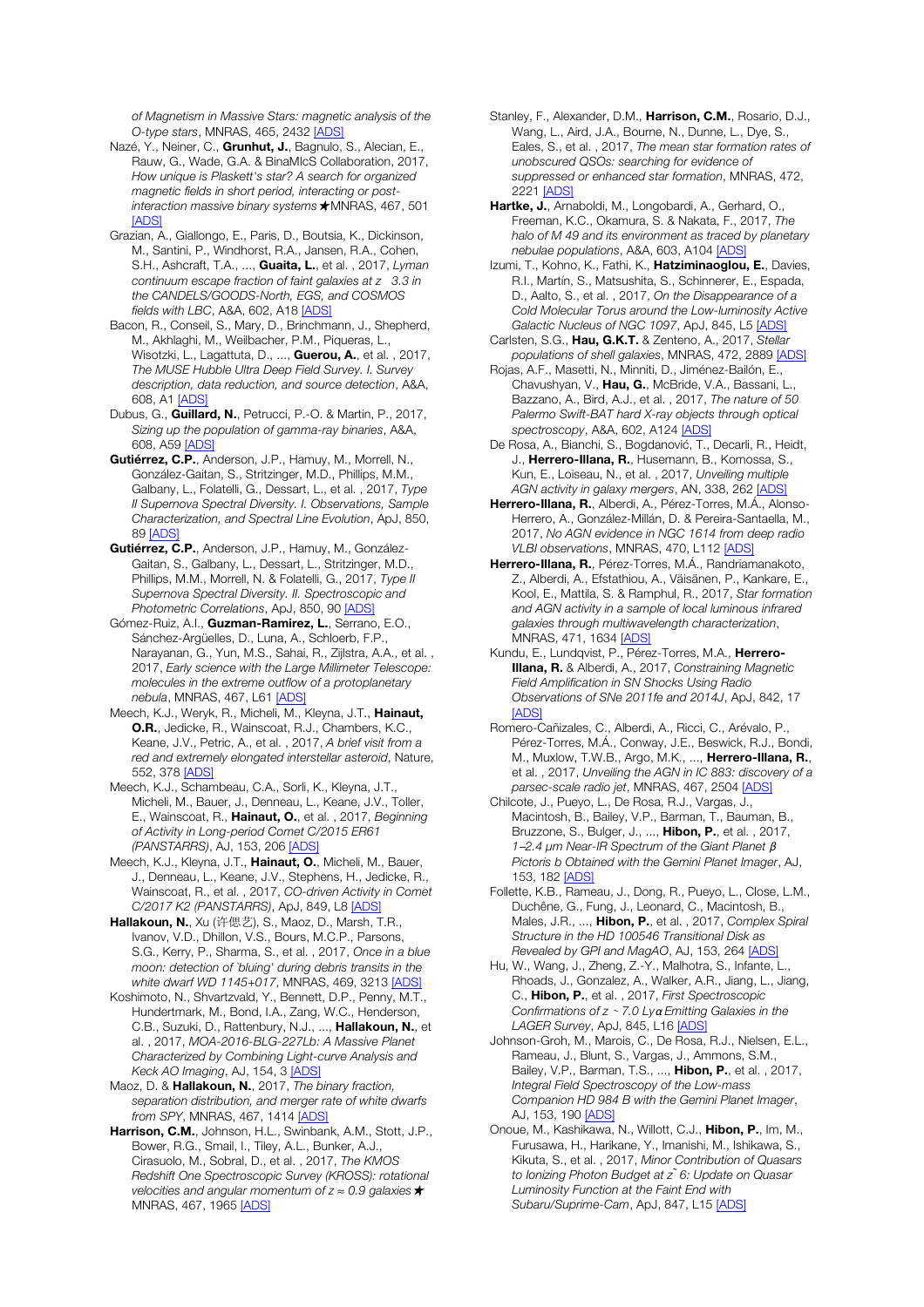*of Magnetism in Massive Stars: magnetic analysis of the O-type stars*, MNRAS, 465, 2432 [ADS]

- Nazé, Y., Neiner, C., Grunhut, J., Bagnulo, S., Alecian, E. Rauw, G., Wade, G.A. & BinaMIcS Collaboration, 2017, *How unique is Plaskett's star? A search for organized magnetic fields in short period, interacting or postinteraction massive binary systems*★, MNRAS, 467, 501 [ADS]
- Grazian, A., Giallongo, E., Paris, D., Boutsia, K., Dickinson, M., Santini, P., Windhorst, R.A., Jansen, R.A., Cohen, S.H., Ashcraft, T.A., ..., Guaita, L., et al. , 2017, *Lyman continuum escape fraction of faint galaxies at z 3.3 in the CANDELS/GOODS-North, EGS, and COSMOS fields with LBC*, A&A, 602, A18 [ADS]
- Bacon, R., Conseil, S., Mary, D., Brinchmann, J., Shepherd, M., Akhlaghi, M., Weilbacher, P.M., Piqueras, L., Wisotzki, L., Lagattuta, D., ..., Guerou, A., et al., 2017, *The MUSE Hubble Ultra Deep Field Survey. I. Survey description, data reduction, and source detection*, A&A, 608, A1 [ADS]
- Dubus, G., Guillard, N., Petrucci, P.-O. & Martin, P., 2017, *Sizing up the population of gamma-ray binaries*, A&A, 608, A59 [ADS]
- Gutiérrez, C.P., Anderson, J.P., Hamuy, M., Morrell, N., González-Gaitan, S., Stritzinger, M.D., Phillips, M.M., Galbany, L., Folatelli, G., Dessart, L., et al. , 2017, *Type II Supernova Spectral Diversity. I. Observations, Sample Characterization, and Spectral Line Evolution*, ApJ, 850, 89 [ADS]
- Gutiérrez, C.P., Anderson, J.P., Hamuy, M., González-Gaitan, S., Galbany, L., Dessart, L., Stritzinger, M.D., Phillips, M.M., Morrell, N. & Folatelli, G., 2017, *Type II Supernova Spectral Diversity. II. Spectroscopic and Photometric Correlations*, ApJ, 850, 90 [ADS]
- Gómez-Ruiz, A.I., Guzman-Ramirez, L., Serrano, E.O., Sánchez-Argüelles, D., Luna, A., Schloerb, F.P., Narayanan, G., Yun, M.S., Sahai, R., Zijlstra, A.A., et al. , 2017, *Early science with the Large Millimeter Telescope: molecules in the extreme outflow of a protoplanetary nebula*, MNRAS, 467, L61 [ADS]
- Meech, K.J., Weryk, R., Micheli, M., Kleyna, J.T., Hainaut, O.R., Jedicke, R., Wainscoat, R.J., Chambers, K.C., Keane, J.V., Petric, A., et al. , 2017, *A brief visit from a red and extremely elongated interstellar asteroid*, Nature, 552, 378 [ADS]
- Meech, K.J., Schambeau, C.A., Sorli, K., Kleyna, J.T., Micheli, M., Bauer, J., Denneau, L., Keane, J.V., Toller, E., Wainscoat, R., Hainaut, O., et al. , 2017, *Beginning of Activity in Long-period Comet C/2015 ER61 (PANSTARRS)*, AJ, 153, 206 [ADS]
- Meech, K.J., Kleyna, J.T., Hainaut, O., Micheli, M., Bauer, J., Denneau, L., Keane, J.V., Stephens, H., Jedicke, R., Wainscoat, R., et al. , 2017, *CO-driven Activity in Comet C/2017 K2 (PANSTARRS)*, ApJ, 849, L8 [ADS]
- Hallakoun, N., Xu (许偲艺), S., Maoz, D., Marsh, T.R., Ivanov, V.D., Dhillon, V.S., Bours, M.C.P., Parsons, S.G., Kerry, P., Sharma, S., et al. , 2017, *Once in a blue moon: detection of `bluing' during debris transits in the white dwarf WD 1145+017*, MNRAS, 469, 3213 [ADS]
- Koshimoto, N., Shvartzvald, Y., Bennett, D.P., Penny, M.T., Hundertmark, M., Bond, I.A., Zang, W.C., Henderson, C.B., Suzuki, D., Rattenbury, N.J., ..., Hallakoun, N., et al. , 2017, *MOA-2016-BLG-227Lb: A Massive Planet Characterized by Combining Light-curve Analysis and Keck AO Imaging*, AJ, 154, 3 [ADS]
- Maoz, D. & Hallakoun, N., 2017, *The binary fraction, separation distribution, and merger rate of white dwarfs from SPY*, MNRAS, 467, 1414 [ADS]
- Harrison, C.M., Johnson, H.L., Swinbank, A.M., Stott, J.P., Bower, R.G., Smail, I., Tiley, A.L., Bunker, A.J., Cirasuolo, M., Sobral, D., et al. , 2017, *The KMOS Redshift One Spectroscopic Survey (KROSS): rotational velocities and angular momentum of z* ≈ *0.9 galaxies*★, MNRAS, 467, 1965 [ADS]
- Stanley, F., Alexander, D.M., Harrison, C.M., Rosario, D.J., Wang, L., Aird, J.A., Bourne, N., Dunne, L., Dye, S., Eales, S., et al. , 2017, *The mean star formation rates of unobscured QSOs: searching for evidence of suppressed or enhanced star formation*, MNRAS, 472, 2221 [ADS]
- Hartke, J., Arnaboldi, M., Longobardi, A., Gerhard, O., Freeman, K.C., Okamura, S. & Nakata, F., 2017, *The halo of M 49 and its environment as traced by planetary nebulae populations*, A&A, 603, A104 [ADS]
- Izumi, T., Kohno, K., Fathi, K., Hatziminaoglou, E., Davies, R.I., Martín, S., Matsushita, S., Schinnerer, E., Espada, D., Aalto, S., et al. , 2017, *On the Disappearance of a Cold Molecular Torus around the Low-luminosity Active Galactic Nucleus of NGC 1097*, ApJ, 845, L5 [ADS]
- Carlsten, S.G., Hau, G.K.T. & Zenteno, A., 2017, *Stellar populations of shell galaxies*, MNRAS, 472, 2889 [ADS]
- Rojas, A.F., Masetti, N., Minniti, D., Jiménez-Bailón, E., Chavushyan, V., Hau, G., McBride, V.A., Bassani, L., Bazzano, A., Bird, A.J., et al. , 2017, *The nature of 50 Palermo Swift-BAT hard X-ray objects through optical spectroscopy*, A&A, 602, A124 [ADS]
- De Rosa, A., Bianchi, S., Bogdanović, T., Decarli, R., Heidt, J., Herrero-Illana, R., Husemann, B., Komossa, S., Kun, E., Loiseau, N., et al. , 2017, *Unveiling multiple AGN activity in galaxy mergers*, AN, 338, 262 [ADS]
- Herrero-Illana, R., Alberdi, A., Pérez-Torres, M.Á., Alonso-Herrero, A., González-Millán, D. & Pereira-Santaella, M., 2017, *No AGN evidence in NGC 1614 from deep radio VLBI observations*, MNRAS, 470, L112 [ADS]
- Herrero-Illana, R., Pérez-Torres, M.Á., Randriamanakoto, Z., Alberdi, A., Efstathiou, A., Väisänen, P., Kankare, E., Kool, E., Mattila, S. & Ramphul, R., 2017, *Star formation and AGN activity in a sample of local luminous infrared galaxies through multiwavelength characterization*, MNRAS, 471, 1634 [ADS]
- Kundu, E., Lundqvist, P., Pérez-Torres, M.A., Herrero-Illana, R. & Alberdi, A., 2017, *Constraining Magnetic Field Amplification in SN Shocks Using Radio Observations of SNe 2011fe and 2014J*, ApJ, 842, 17 [ADS]
- Romero-Cañizales, C., Alberdi, A., Ricci, C., Arévalo, P., Pérez-Torres, M.Á., Conway, J.E., Beswick, R.J., Bondi, M., Muxlow, T.W.B., Argo, M.K., ..., Herrero-Illana, R., et al. , 2017, *Unveiling the AGN in IC 883: discovery of a parsec-scale radio jet*, MNRAS, 467, 2504 [ADS]
- Chilcote, J., Pueyo, L., De Rosa, R.J., Vargas, J., Macintosh, B., Bailey, V.P., Barman, T., Bauman, B., Bruzzone, S., Bulger, J., ..., Hibon, P., et al. , 2017, *1*─*2.4* μ*m Near-IR Spectrum of the Giant Planet* β *Pictoris b Obtained with the Gemini Planet Imager*, AJ, 153, 182 [ADS]
- Follette, K.B., Rameau, J., Dong, R., Pueyo, L., Close, L.M., Duchêne, G., Fung, J., Leonard, C., Macintosh, B., Males, J.R., ..., Hibon, P., et al. , 2017, *Complex Spiral Structure in the HD 100546 Transitional Disk as Revealed by GPI and MagAO*, AJ, 153, 264 [ADS]
- Hu, W., Wang, J., Zheng, Z.-Y., Malhotra, S., Infante, L., Rhoads, J., Gonzalez, A., Walker, A.R., Jiang, L., Jiang, C., Hibon, P., et al. , 2017, *First Spectroscopic Confirmations of z* <sup>∼</sup> *7.0 Ly*α *Emitting Galaxies in the LAGER Survey*, ApJ, 845, L16 [ADS]
- Johnson-Groh, M., Marois, C., De Rosa, R.J., Nielsen, E.L., Rameau, J., Blunt, S., Vargas, J., Ammons, S.M., Bailey, V.P., Barman, T.S., ..., Hibon, P., et al. , 2017, *Integral Field Spectroscopy of the Low-mass Companion HD 984 B with the Gemini Planet Imager*, AJ, 153, 190 [ADS]
- Onoue, M., Kashikawa, N., Willott, C.J., Hibon, P., Im, M., Furusawa, H., Harikane, Y., Imanishi, M., Ishikawa, S., Kikuta, S., et al. , 2017, *Minor Contribution of Quasars to Ionizing Photon Budget at z ̃6: Update on Quasar Luminosity Function at the Faint End with Subaru/Suprime-Cam*, ApJ, 847, L15 [ADS]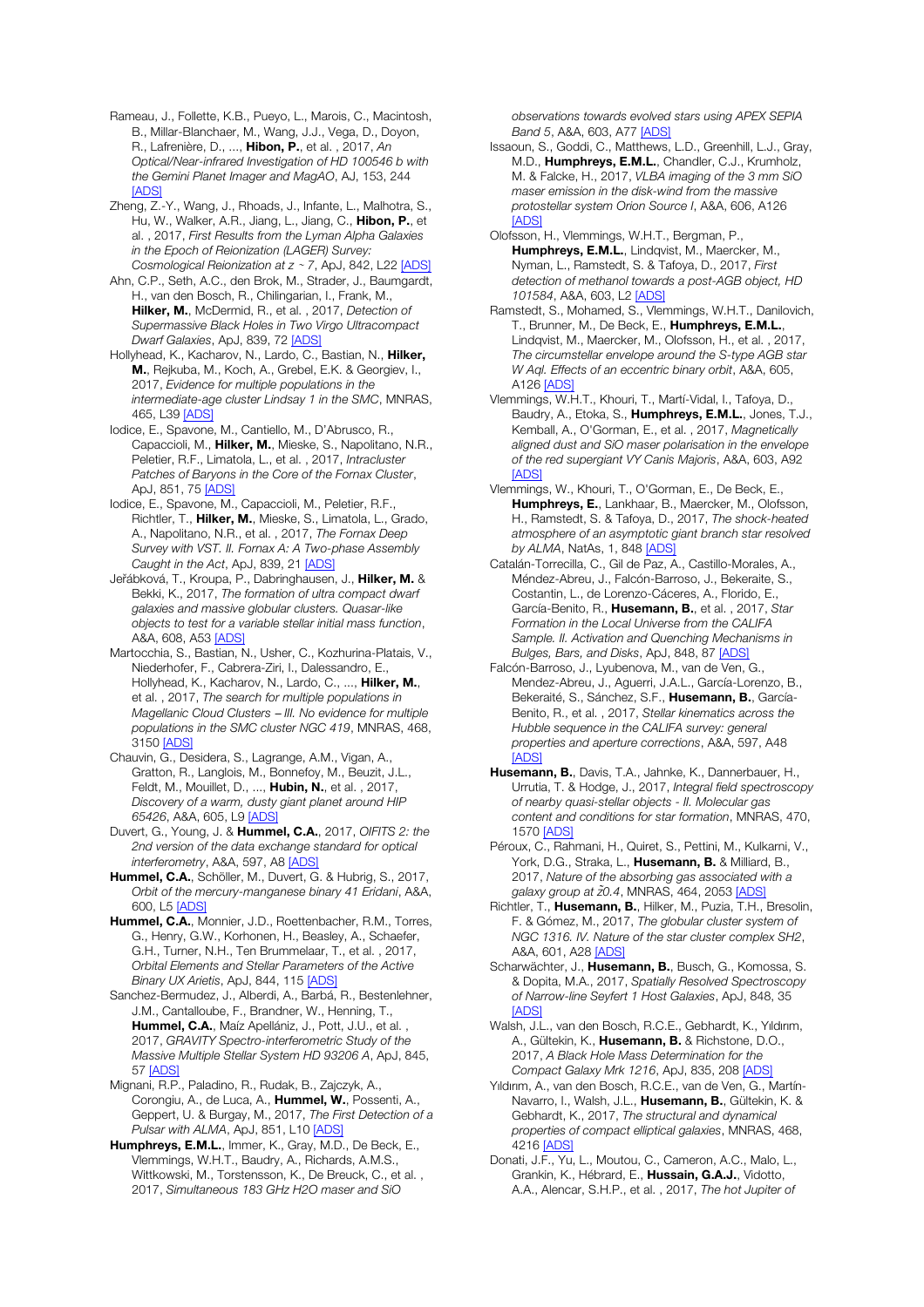Rameau, J., Follette, K.B., Pueyo, L., Marois, C., Macintosh, B., Millar-Blanchaer, M., Wang, J.J., Vega, D., Doyon, R., Lafrenière, D., ..., Hibon, P., et al. , 2017, *An Optical/Near-infrared Investigation of HD 100546 b with the Gemini Planet Imager and MagAO*, AJ, 153, 244 [ADS]

Zheng, Z.-Y., Wang, J., Rhoads, J., Infante, L., Malhotra, S., Hu, W., Walker, A.R., Jiang, L., Jiang, C., Hibon, P., et al. , 2017, *First Results from the Lyman Alpha Galaxies in the Epoch of Reionization (LAGER) Survey: Cosmological Reionization at z* <sup>∼</sup> *7*, ApJ, 842, L22 [ADS]

Ahn, C.P., Seth, A.C., den Brok, M., Strader, J., Baumgardt, H., van den Bosch, R., Chilingarian, I., Frank, M., Hilker, M., McDermid, R., et al. , 2017, *Detection of Supermassive Black Holes in Two Virgo Ultracompact Dwarf Galaxies*, ApJ, 839, 72 [ADS]

Hollyhead, K., Kacharov, N., Lardo, C., Bastian, N., Hilker, M., Rejkuba, M., Koch, A., Grebel, E.K. & Georgiev, I., 2017, *Evidence for multiple populations in the intermediate-age cluster Lindsay 1 in the SMC*, MNRAS, 465, L39 [ADS]

Iodice, E., Spavone, M., Cantiello, M., D'Abrusco, R., Capaccioli, M., Hilker, M., Mieske, S., Napolitano, N.R., Peletier, R.F., Limatola, L., et al. , 2017, *Intracluster Patches of Baryons in the Core of the Fornax Cluster*, Ap<sub>1</sub>, 851, 75 [ADS]

Iodice, E., Spavone, M., Capaccioli, M., Peletier, R.F. Richtler, T., Hilker, M., Mieske, S., Limatola, L., Grado, A., Napolitano, N.R., et al. , 2017, *The Fornax Deep Survey with VST. II. Fornax A: A Two-phase Assembly Caught in the Act*, ApJ, 839, 21 [ADS]

Jeřábková, T., Kroupa, P., Dabringhausen, J., Hilker, M. & Bekki, K., 2017, *The formation of ultra compact dwarf galaxies and massive globular clusters. Quasar-like objects to test for a variable stellar initial mass function*, A&A, 608, A53 [ADS]

Martocchia, S., Bastian, N., Usher, C., Kozhurina-Platais, V., Niederhofer, F., Cabrera-Ziri, I., Dalessandro, E., Hollyhead, K., Kacharov, N., Lardo, C., ..., Hilker, M., et al. , 2017, *The search for multiple populations in Magellanic Cloud Clusters* ─ *III. No evidence for multiple populations in the SMC cluster NGC 419*, MNRAS, 468, 3150 [ADS]

Chauvin, G., Desidera, S., Lagrange, A.M., Vigan, A., Gratton, R., Langlois, M., Bonnefoy, M., Beuzit, J.L., Feldt, M., Mouillet, D., ..., Hubin, N., et al. , 2017, *Discovery of a warm, dusty giant planet around HIP 65426*, A&A, 605, L9 [ADS]

Duvert, G., Young, J. & Hummel, C.A., 2017, *OIFITS 2: the 2nd version of the data exchange standard for optical interferometry*, A&A, 597, A8 [ADS]

Hummel, C.A., Schöller, M., Duvert, G. & Hubrig, S., 2017, *Orbit of the mercury-manganese binary 41 Eridani*, A&A, 600, L5 [ADS]

Hummel, C.A., Monnier, J.D., Roettenbacher, R.M., Torres, G., Henry, G.W., Korhonen, H., Beasley, A., Schaefer, G.H., Turner, N.H., Ten Brummelaar, T., et al. , 2017, *Orbital Elements and Stellar Parameters of the Active Binary UX Arietis*, ApJ, 844, 115 [ADS]

Sanchez-Bermudez, J., Alberdi, A., Barbá, R., Bestenlehner, J.M., Cantalloube, F., Brandner, W., Henning, T., Hummel, C.A., Maíz Apellániz, J., Pott, J.U., et al. 2017, *GRAVITY Spectro-interferometric Study of the Massive Multiple Stellar System HD 93206 A*, ApJ, 845, 57 [ADS]

Mignani, R.P., Paladino, R., Rudak, B., Zajczyk, A., Corongiu, A., de Luca, A., Hummel, W., Possenti, A., Geppert, U. & Burgay, M., 2017, *The First Detection of a Pulsar with ALMA*, ApJ, 851, L10 [ADS]

Humphreys, E.M.L., Immer, K., Gray, M.D., De Beck, E., Vlemmings, W.H.T., Baudry, A., Richards, A.M.S., Wittkowski, M., Torstensson, K., De Breuck, C., et al. , 2017, *Simultaneous 183 GHz H2O maser and SiO* 

*observations towards evolved stars using APEX SEPIA Band 5*, A&A, 603, A77 [ADS]

Issaoun, S., Goddi, C., Matthews, L.D., Greenhill, L.J., Gray, M.D., Humphreys, E.M.L., Chandler, C.J., Krumholz, M. & Falcke, H., 2017, *VLBA imaging of the 3 mm SiO maser emission in the disk-wind from the massive protostellar system Orion Source I*, A&A, 606, A126 [ADS]

Olofsson, H., Vlemmings, W.H.T., Bergman, P., Humphreys, E.M.L., Lindqvist, M., Maercker, M., Nyman, L., Ramstedt, S. & Tafoya, D., 2017, *First detection of methanol towards a post-AGB object, HD 101584*, A&A, 603, L2 [ADS]

Ramstedt, S., Mohamed, S., Vlemmings, W.H.T., Danilovich, T., Brunner, M., De Beck, E., Humphreys, E.M.L., Lindqvist, M., Maercker, M., Olofsson, H., et al. , 2017, *The circumstellar envelope around the S-type AGB star W Aql. Effects of an eccentric binary orbit*, A&A, 605, A126 [ADS]

Vlemmings, W.H.T., Khouri, T., Martí-Vidal, I., Tafoya, D., Baudry, A., Etoka, S., Humphreys, E.M.L., Jones, T.J., Kemball, A., O'Gorman, E., et al. , 2017, *Magnetically aligned dust and SiO maser polarisation in the envelope of the red supergiant VY Canis Majoris*, A&A, 603, A92 **[ADS]** 

Vlemmings, W., Khouri, T., O'Gorman, E., De Beck, E., Humphreys, E., Lankhaar, B., Maercker, M., Olofsson, H., Ramstedt, S. & Tafoya, D., 2017, *The shock-heated atmosphere of an asymptotic giant branch star resolved by ALMA*, NatAs, 1, 848 [ADS]

Catalán-Torrecilla, C., Gil de Paz, A., Castillo-Morales, A., Méndez-Abreu, J., Falcón-Barroso, J., Bekeraite, S., Costantin, L., de Lorenzo-Cáceres, A., Florido, E., García-Benito, R., Husemann, B., et al. , 2017, *Star Formation in the Local Universe from the CALIFA Sample. II. Activation and Quenching Mechanisms in Bulges, Bars, and Disks*, ApJ, 848, 87 [ADS]

Falcón-Barroso, J., Lyubenova, M., van de Ven, G., Mendez-Abreu, J., Aguerri, J.A.L., García-Lorenzo, B., Bekeraité, S., Sánchez, S.F., Husemann, B., García-Benito, R., et al. , 2017, *Stellar kinematics across the Hubble sequence in the CALIFA survey: general properties and aperture corrections*, A&A, 597, A48 [ADS]

Husemann, B., Davis, T.A., Jahnke, K., Dannerbauer, H., Urrutia, T. & Hodge, J., 2017, *Integral field spectroscopy of nearby quasi-stellar objects - II. Molecular gas content and conditions for star formation*, MNRAS, 470, 1570 [ADS]

Péroux, C., Rahmani, H., Quiret, S., Pettini, M., Kulkarni, V., York, D.G., Straka, L., Husemann, B. & Milliard, B., 2017, *Nature of the absorbing gas associated with a galaxy group at z̃0.4*, MNRAS, 464, 2053 [ADS]

Richtler, T., Husemann, B., Hilker, M., Puzia, T.H., Bresolin, F. & Gómez, M., 2017, *The globular cluster system of NGC 1316. IV. Nature of the star cluster complex SH2*, A&A, 601, A28 [ADS]

Scharwächter, J., Husemann, B., Busch, G., Komossa, S. & Dopita, M.A., 2017, *Spatially Resolved Spectroscopy of Narrow-line Seyfert 1 Host Galaxies*, ApJ, 848, 35 **[ADS]** 

Walsh, J.L., van den Bosch, R.C.E., Gebhardt, K., Yıldırım, A., Gültekin, K., Husemann, B. & Richstone, D.O., 2017, *A Black Hole Mass Determination for the Compact Galaxy Mrk 1216*, ApJ, 835, 208 [ADS]

Yıldırım, A., van den Bosch, R.C.E., van de Ven, G., Martín-Navarro, I., Walsh, J.L., Husemann, B., Gültekin, K. & Gebhardt, K., 2017, *The structural and dynamical properties of compact elliptical galaxies*, MNRAS, 468, 4216 [ADS]

Donati, J.F., Yu, L., Moutou, C., Cameron, A.C., Malo, L., Grankin, K., Hébrard, E., Hussain, G.A.J., Vidotto, A.A., Alencar, S.H.P., et al. , 2017, *The hot Jupiter of*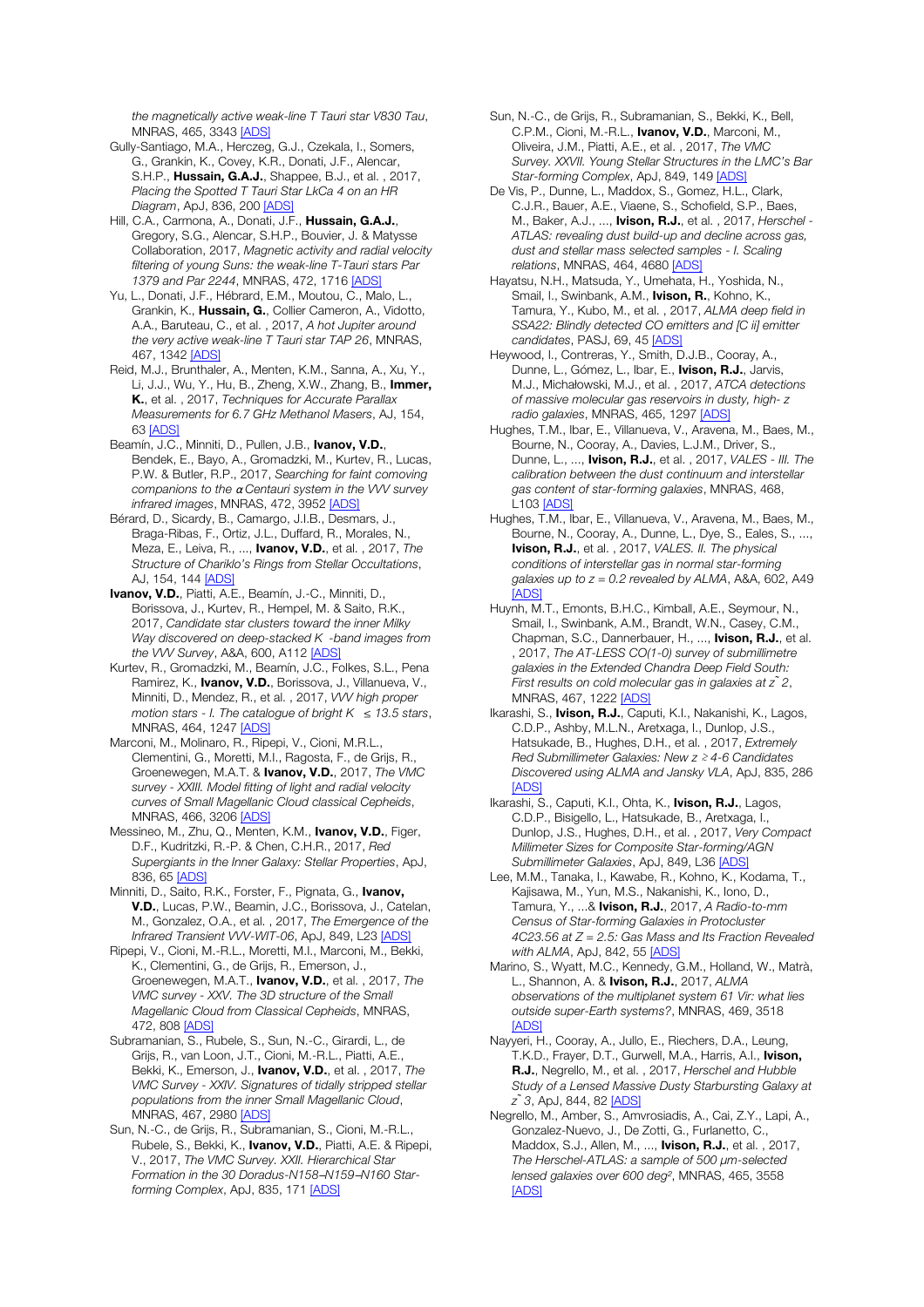*the magnetically active weak-line T Tauri star V830 Tau*, MNRAS, 465, 3343 [ADS]

Gully-Santiago, M.A., Herczeg, G.J., Czekala, I., Somers, G., Grankin, K., Covey, K.R., Donati, J.F., Alencar, S.H.P., Hussain, G.A.J., Shappee, B.J., et al., 2017, *Placing the Spotted T Tauri Star LkCa 4 on an HR Diagram*, ApJ, 836, 200 [ADS]

Hill, C.A., Carmona, A., Donati, J.F., Hussain, G.A.J., Gregory, S.G., Alencar, S.H.P., Bouvier, J. & Matysse Collaboration, 2017, *Magnetic activity and radial velocity filtering of young Suns: the weak-line T-Tauri stars Par 1379 and Par 2244*, MNRAS, 472, 1716 [ADS]

Yu, L., Donati, J.F., Hébrard, E.M., Moutou, C., Malo, L., Grankin, K., Hussain, G., Collier Cameron, A., Vidotto, A.A., Baruteau, C., et al. , 2017, *A hot Jupiter around the very active weak-line T Tauri star TAP 26*, MNRAS, 467, 1342 [ADS]

Reid, M.J., Brunthaler, A., Menten, K.M., Sanna, A., Xu, Y., Li, J.J., Wu, Y., Hu, B., Zheng, X.W., Zhang, B., Immer, K., et al. , 2017, *Techniques for Accurate Parallax Measurements for 6.7 GHz Methanol Masers*, AJ, 154, 63 [ADS]

Beamín, J.C., Minniti, D., Pullen, J.B., Ivanov, V.D., Bendek, E., Bayo, A., Gromadzki, M., Kurtev, R., Lucas, P.W. & Butler, R.P., 2017, *Searching for faint comoving companions to the* α *Centauri system in the VVV survey infrared images*, MNRAS, 472, 3952 [ADS]

Bérard, D., Sicardy, B., Camargo, J.I.B., Desmars, J., Braga-Ribas, F., Ortiz, J.L., Duffard, R., Morales, N., Meza, E., Leiva, R., ..., Ivanov, V.D., et al. , 2017, *The Structure of Chariklo's Rings from Stellar Occultations*, AJ, 154, 144 [ADS]

Ivanov, V.D., Piatti, A.E., Beamín, J.-C., Minniti, D., Borissova, J., Kurtev, R., Hempel, M. & Saito, R.K., 2017, *Candidate star clusters toward the inner Milky Way discovered on deep-stacked K-band images from the VVV Survey*, A&A, 600, A112 [ADS]

Kurtev, R., Gromadzki, M., Beamín, J.C., Folkes, S.L., Pena Ramirez, K., Ivanov, V.D., Borissova, J., Villanueva, V., Minniti, D., Mendez, R., et al. , 2017, *VVV high proper motion stars - I. The catalogue of bright K* ≤ *13.5 stars*, MNRAS, 464, 1247 [ADS]

Marconi, M., Molinaro, R., Ripepi, V., Cioni, M.R.L., Clementini, G., Moretti, M.I., Ragosta, F., de Grijs, R., Groenewegen, M.A.T. & Ivanov, V.D., 2017, *The VMC survey - XXIII. Model fitting of light and radial velocity curves of Small Magellanic Cloud classical Cepheids*, MNRAS, 466, 3206 [ADS]

Messineo, M., Zhu, Q., Menten, K.M., **Ivanov, V.D.**, Figer, D.F., Kudritzki, R.-P. & Chen, C.H.R., 2017, *Red Supergiants in the Inner Galaxy: Stellar Properties*, ApJ, 836, 65 [ADS]

Minniti, D., Saito, R.K., Forster, F., Pignata, G., Ivanov, V.D., Lucas, P.W., Beamin, J.C., Borissova, J., Catelan, M., Gonzalez, O.A., et al. , 2017, *The Emergence of the Infrared Transient VVV-WIT-06*, ApJ, 849, L23 [ADS]

Ripepi, V., Cioni, M.-R.L., Moretti, M.I., Marconi, M., Bekki, K., Clementini, G., de Grijs, R., Emerson, J., Groenewegen, M.A.T., Ivanov, V.D., et al. , 2017, *The VMC survey - XXV. The 3D structure of the Small Magellanic Cloud from Classical Cepheids*, MNRAS, 472, 808 [ADS]

Subramanian, S., Rubele, S., Sun, N.-C., Girardi, L., de Grijs, R., van Loon, J.T., Cioni, M.-R.L., Piatti, A.E., Bekki, K., Emerson, J., Ivanov, V.D., et al. , 2017, *The VMC Survey - XXIV. Signatures of tidally stripped stellar populations from the inner Small Magellanic Cloud*, MNRAS, 467, 2980 [ADS]

Sun, N.-C., de Grijs, R., Subramanian, S., Cioni, M.-R.L., Rubele, S., Bekki, K., Ivanov, V.D., Piatti, A.E. & Ripepi, V., 2017, *The VMC Survey. XXII. Hierarchical Star Formation in the 30 Doradus-N158*─*N159*─*N160 Starforming Complex*, ApJ, 835, 171 [ADS]

Sun, N.-C., de Grijs, R., Subramanian, S., Bekki, K., Bell, C.P.M., Cioni, M.-R.L., Ivanov, V.D., Marconi, M., Oliveira, J.M., Piatti, A.E., et al. , 2017, *The VMC Survey. XXVII. Young Stellar Structures in the LMC's Bar Star-forming Complex*, ApJ, 849, 149 [ADS]

De Vis, P., Dunne, L., Maddox, S., Gomez, H.L., Clark, C.J.R., Bauer, A.E., Viaene, S., Schofield, S.P., Baes, M., Baker, A.J., ..., Ivison, R.J., et al. , 2017, *Herschel - ATLAS: revealing dust build-up and decline across gas, dust and stellar mass selected samples - I. Scaling relations*, MNRAS, 464, 4680 [ADS]

Hayatsu, N.H., Matsuda, Y., Umehata, H., Yoshida, N., Smail, I., Swinbank, A.M., **Ivison, R.**, Kohno, K., Tamura, Y., Kubo, M., et al. , 2017, *ALMA deep field in SSA22: Blindly detected CO emitters and [C ii] emitter candidates*, PASJ, 69, 45 [ADS]

Heywood, I., Contreras, Y., Smith, D.J.B., Cooray, A., Dunne, L., Gómez, L., Ibar, E., Ivison, R.J., Jarvis, M.J., Michałowski, M.J., et al. , 2017, *ATCA detections of massive molecular gas reservoirs in dusty, high- z radio galaxies*, MNRAS, 465, 1297 [ADS]

Hughes, T.M., Ibar, E., Villanueva, V., Aravena, M., Baes, M., Bourne, N., Cooray, A., Davies, L.J.M., Driver, S., Dunne, L., ..., Ivison, R.J., et al. , 2017, *VALES - III. The calibration between the dust continuum and interstellar gas content of star-forming galaxies*, MNRAS, 468, L103 [ADS]

Hughes, T.M., Ibar, E., Villanueva, V., Aravena, M., Baes, M., Bourne, N., Cooray, A., Dunne, L., Dye, S., Eales, S., ..., Ivison, R.J., et al. , 2017, *VALES. II. The physical conditions of interstellar gas in normal star-forming galaxies up to z = 0.2 revealed by ALMA*, A&A, 602, A49 **[ADS]** 

Huynh, M.T., Emonts, B.H.C., Kimball, A.E., Seymour, N., Smail, I., Swinbank, A.M., Brandt, W.N., Casey, C.M., Chapman, S.C., Dannerbauer, H., ..., Ivison, R.J., et al. , 2017, *The AT-LESS CO(1-0) survey of submillimetre galaxies in the Extended Chandra Deep Field South: First results on cold molecular gas in galaxies at z ̃2*, MNRAS, 467, 1222 [ADS]

Ikarashi, S., Ivison, R.J., Caputi, K.I., Nakanishi, K., Lagos, C.D.P., Ashby, M.L.N., Aretxaga, I., Dunlop, J.S., Hatsukade, B., Hughes, D.H., et al. , 2017, *Extremely Red Submillimeter Galaxies: New z* ≳ *4-6 Candidates Discovered using ALMA and Jansky VLA*, ApJ, 835, 286 **[ADS]** 

Ikarashi, S., Caputi, K.I., Ohta, K., Ivison, R.J., Lagos, C.D.P., Bisigello, L., Hatsukade, B., Aretxaga, I., Dunlop, J.S., Hughes, D.H., et al. , 2017, *Very Compact Millimeter Sizes for Composite Star-forming/AGN Submillimeter Galaxies*, ApJ, 849, L36 [ADS]

Lee, M.M., Tanaka, I., Kawabe, R., Kohno, K., Kodama, T., Kajisawa, M., Yun, M.S., Nakanishi, K., Iono, D., Tamura, Y., ...& Ivison, R.J., 2017, *A Radio-to-mm Census of Star-forming Galaxies in Protocluster 4C23.56 at Z = 2.5: Gas Mass and Its Fraction Revealed with ALMA*, ApJ, 842, 55 [ADS]

Marino, S., Wyatt, M.C., Kennedy, G.M., Holland, W., Matrà, L., Shannon, A. & Ivison, R.J., 2017, *ALMA observations of the multiplanet system 61 Vir: what lies outside super-Earth systems?*, MNRAS, 469, 3518 **[ADS]** 

Nayyeri, H., Cooray, A., Jullo, E., Riechers, D.A., Leung, T.K.D., Frayer, D.T., Gurwell, M.A., Harris, A.I., Ivison, R.J., Negrello, M., et al. , 2017, *Herschel and Hubble Study of a Lensed Massive Dusty Starbursting Galaxy at z ̃3*, ApJ, 844, 82 [ADS]

Negrello, M., Amber, S., Amvrosiadis, A., Cai, Z.Y., Lapi, A., Gonzalez-Nuevo, J., De Zotti, G., Furlanetto, C., Maddox, S.J., Allen, M., ..., Ivison, R.J., et al. , 2017, *The Herschel-ATLAS: a sample of 500* μ*m-selected lensed galaxies over 600 deg*², MNRAS, 465, 3558 [ADS]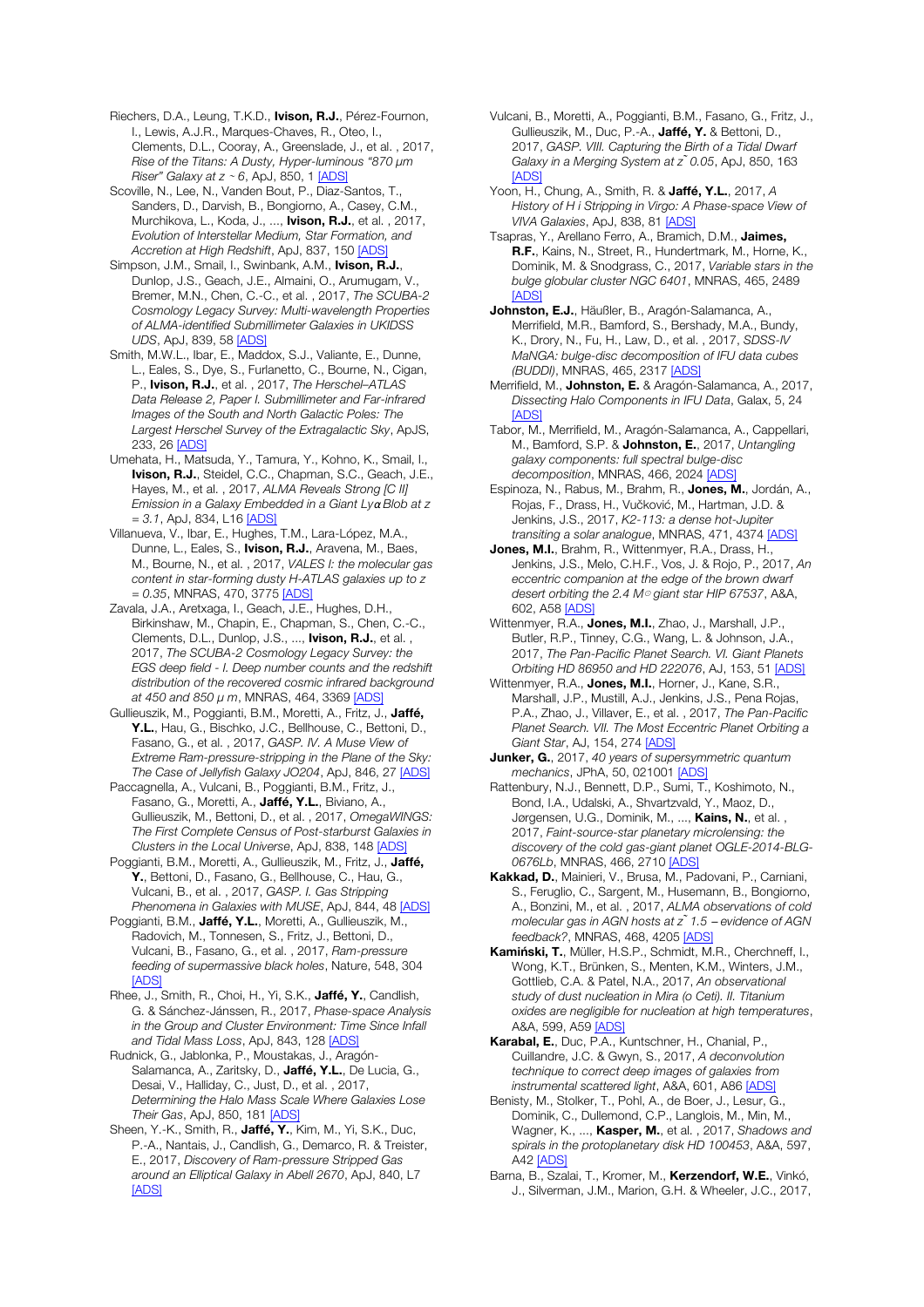Riechers, D.A., Leung, T.K.D., **Ivison, R.J.**, Pérez-Fournon, I., Lewis, A.J.R., Marques-Chaves, R., Oteo, I., Clements, D.L., Cooray, A., Greenslade, J., et al. , 2017, *Rise of the Titans: A Dusty, Hyper-luminous "870* μ*m Riser" Galaxy at z* <sup>∼</sup> *6*, ApJ, 850, 1 [ADS]

Scoville, N., Lee, N., Vanden Bout, P., Diaz-Santos, T., Sanders, D., Darvish, B., Bongiorno, A., Casey, C.M., Murchikova, L., Koda, J., ..., **Ivison, R.J.**, et al., 2017, *Evolution of Interstellar Medium, Star Formation, and Accretion at High Redshift*, ApJ, 837, 150 [ADS]

Simpson, J.M., Smail, I., Swinbank, A.M., Ivison, R.J., Dunlop, J.S., Geach, J.E., Almaini, O., Arumugam, V., Bremer, M.N., Chen, C.-C., et al. , 2017, *The SCUBA-2 Cosmology Legacy Survey: Multi-wavelength Properties of ALMA-identified Submillimeter Galaxies in UKIDSS UDS*, ApJ, 839, 58 [ADS]

Smith, M.W.L., Ibar, E., Maddox, S.J., Valiante, E., Dunne, L., Eales, S., Dye, S., Furlanetto, C., Bourne, N., Cigan, P., Ivison, R.J., et al. , 2017, *The Herschel–ATLAS Data Release 2, Paper I. Submillimeter and Far-infrared Images of the South and North Galactic Poles: The Largest Herschel Survey of the Extragalactic Sky*, ApJS, 233, 26 [ADS]

Umehata, H., Matsuda, Y., Tamura, Y., Kohno, K., Smail, I., Ivison, R.J., Steidel, C.C., Chapman, S.C., Geach, J.E., Hayes, M., et al. , 2017, *ALMA Reveals Strong [C II] Emission in a Galaxy Embedded in a Giant Ly*α *Blob at z = 3.1*, ApJ, 834, L16 [ADS]

Villanueva, V., Ibar, E., Hughes, T.M., Lara-López, M.A., Dunne, L., Eales, S., Ivison, R.J., Aravena, M., Baes, M., Bourne, N., et al. , 2017, *VALES I: the molecular gas content in star-forming dusty H-ATLAS galaxies up to z = 0.35*, MNRAS, 470, 3775 [ADS]

Zavala, J.A., Aretxaga, I., Geach, J.E., Hughes, D.H., Birkinshaw, M., Chapin, E., Chapman, S., Chen, C.-C., Clements, D.L., Dunlop, J.S., ..., **Ivison, R.J.**, et al., 2017, *The SCUBA-2 Cosmology Legacy Survey: the EGS deep field - I. Deep number counts and the redshift distribution of the recovered cosmic infrared background at 450 and 850* μ *m*, MNRAS, 464, 3369 [ADS]

Gullieuszik, M., Poggianti, B.M., Moretti, A., Fritz, J., Jaffé, Y.L., Hau, G., Bischko, J.C., Bellhouse, C., Bettoni, D., Fasano, G., et al. , 2017, *GASP. IV. A Muse View of Extreme Ram-pressure-stripping in the Plane of the Sky: The Case of Jellyfish Galaxy JO204*, ApJ, 846, 27 [ADS]

Paccagnella, A., Vulcani, B., Poggianti, B.M., Fritz, J., Fasano, G., Moretti, A., Jaffé, Y.L., Biviano, A., Gullieuszik, M., Bettoni, D., et al. , 2017, *OmegaWINGS: The First Complete Census of Post-starburst Galaxies in Clusters in the Local Universe*, ApJ, 838, 148 [ADS]

Poggianti, B.M., Moretti, A., Gullieuszik, M., Fritz, J., Jaffé, Y., Bettoni, D., Fasano, G., Bellhouse, C., Hau, G., Vulcani, B., et al. , 2017, *GASP. I. Gas Stripping Phenomena in Galaxies with MUSE*, ApJ, 844, 48 [ADS]

Poggianti, B.M., Jaffé, Y.L., Moretti, A., Gullieuszik, M., Radovich, M., Tonnesen, S., Fritz, J., Bettoni, D., Vulcani, B., Fasano, G., et al. , 2017, *Ram-pressure feeding of supermassive black holes*, Nature, 548, 304 [ADS]

Rhee, J., Smith, R., Choi, H., Yi, S.K., Jaffé, Y., Candlish, G. & Sánchez-Jánssen, R., 2017, *Phase-space Analysis in the Group and Cluster Environment: Time Since Infall and Tidal Mass Loss*, ApJ, 843, 128 [ADS]

Rudnick, G., Jablonka, P., Moustakas, J., Aragón-Salamanca, A., Zaritsky, D., Jaffé, Y.L., De Lucia, G., Desai, V., Halliday, C., Just, D., et al. , 2017, *Determining the Halo Mass Scale Where Galaxies Lose Their Gas*, ApJ, 850, 181 [ADS]

Sheen, Y.-K., Smith, R., Jaffé, Y., Kim, M., Yi, S.K., Duc, P.-A., Nantais, J., Candlish, G., Demarco, R. & Treister, E., 2017, *Discovery of Ram-pressure Stripped Gas around an Elliptical Galaxy in Abell 2670*, ApJ, 840, L7 [ADS]

Vulcani, B., Moretti, A., Poggianti, B.M., Fasano, G., Fritz, J., Gullieuszik, M., Duc, P.-A., Jaffé, Y. & Bettoni, D., 2017, *GASP. VIII. Capturing the Birth of a Tidal Dwarf Galaxy in a Merging System at z ̃0.05*, ApJ, 850, 163 [ADS]

Yoon, H., Chung, A., Smith, R. & Jaffé, Y.L., 2017, *A History of H i Stripping in Virgo: A Phase-space View of VIVA Galaxies*, ApJ, 838, 81 [ADS]

Tsapras, Y., Arellano Ferro, A., Bramich, D.M., Jaimes, R.F., Kains, N., Street, R., Hundertmark, M., Horne, K., Dominik, M. & Snodgrass, C., 2017, *Variable stars in the bulge globular cluster NGC 6401*, MNRAS, 465, 2489 [ADS]

Johnston, E.J., Häußler, B., Aragón-Salamanca, A., Merrifield, M.R., Bamford, S., Bershady, M.A., Bundy, K., Drory, N., Fu, H., Law, D., et al. , 2017, *SDSS-IV MaNGA: bulge-disc decomposition of IFU data cubes (BUDDI)*, MNRAS, 465, 2317 [ADS]

Merrifield, M., Johnston, E. & Aragón-Salamanca, A., 2017, *Dissecting Halo Components in IFU Data*, Galax, 5, 24 **[ADS]** 

Tabor, M., Merrifield, M., Aragón-Salamanca, A., Cappellari, M., Bamford, S.P. & Johnston, E., 2017, *Untangling galaxy components: full spectral bulge-disc decomposition*, MNRAS, 466, 2024 [ADS]

Espinoza, N., Rabus, M., Brahm, R., Jones, M., Jordán, A., Rojas, F., Drass, H., Vučković, M., Hartman, J.D. & Jenkins, J.S., 2017, *K2-113: a dense hot-Jupiter transiting a solar analogue*, MNRAS, 471, 4374 [ADS]

Jones, M.I., Brahm, R., Wittenmyer, R.A., Drass, H., Jenkins, J.S., Melo, C.H.F., Vos, J. & Rojo, P., 2017, *An eccentric companion at the edge of the brown dwarf desert orbiting the 2.4 M*⊙ *giant star HIP 67537*, A&A, 602, A58 [ADS]

Wittenmyer, R.A., Jones, M.I., Zhao, J., Marshall, J.P., Butler, R.P., Tinney, C.G., Wang, L. & Johnson, J.A., 2017, *The Pan-Pacific Planet Search. VI. Giant Planets Orbiting HD 86950 and HD 222076*, AJ, 153, 51 [ADS]

Wittenmyer, R.A., Jones, M.I., Horner, J., Kane, S.R., Marshall, J.P., Mustill, A.J., Jenkins, J.S., Pena Rojas, P.A., Zhao, J., Villaver, E., et al. , 2017, *The Pan-Pacific Planet Search. VII. The Most Eccentric Planet Orbiting a Giant Star*, AJ, 154, 274 [ADS]

Junker, G., 2017, *40 years of supersymmetric quantum mechanics*, JPhA, 50, 021001 [ADS]

Rattenbury, N.J., Bennett, D.P., Sumi, T., Koshimoto, N., Bond, I.A., Udalski, A., Shvartzvald, Y., Maoz, D., Jørgensen, U.G., Dominik, M., ..., Kains, N., et al., 2017, *Faint-source-star planetary microlensing: the discovery of the cold gas-giant planet OGLE-2014-BLG-0676Lb*, MNRAS, 466, 2710 [ADS]

Kakkad, D., Mainieri, V., Brusa, M., Padovani, P., Carniani, S., Feruglio, C., Sargent, M., Husemann, B., Bongiorno, A., Bonzini, M., et al. , 2017, *ALMA observations of cold molecular gas in AGN hosts at z ̃1.5* ─ *evidence of AGN feedback?*, MNRAS, 468, 4205 [ADS]

Kamiński, T., Müller, H.S.P., Schmidt, M.R., Cherchneff, I., Wong, K.T., Brünken, S., Menten, K.M., Winters, J.M., Gottlieb, C.A. & Patel, N.A., 2017, *An observational study of dust nucleation in Mira (o Ceti). II. Titanium oxides are negligible for nucleation at high temperatures*, A&A, 599, A59 [ADS]

Karabal, E., Duc, P.A., Kuntschner, H., Chanial, P., Cuillandre, J.C. & Gwyn, S., 2017, *A deconvolution technique to correct deep images of galaxies from instrumental scattered light*, A&A, 601, A86 [ADS]

Benisty, M., Stolker, T., Pohl, A., de Boer, J., Lesur, G., Dominik, C., Dullemond, C.P., Langlois, M., Min, M., Wagner, K., ..., Kasper, M., et al. , 2017, *Shadows and spirals in the protoplanetary disk HD 100453*, A&A, 597, A42 [ADS]

Barna, B., Szalai, T., Kromer, M., Kerzendorf, W.E., Vinkó, J., Silverman, J.M., Marion, G.H. & Wheeler, J.C., 2017,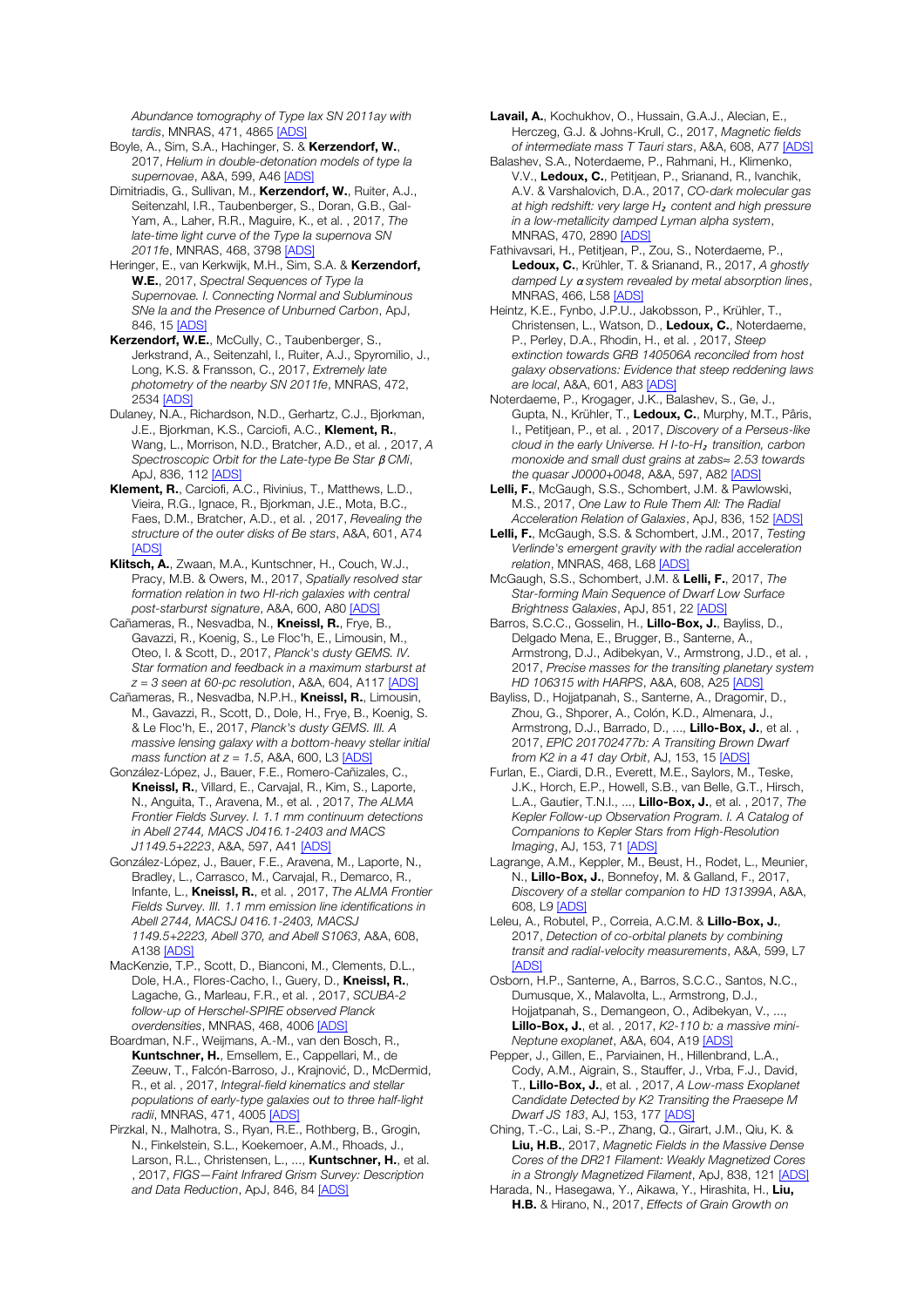*Abundance tomography of Type Iax SN 2011ay with tardis*, MNRAS, 471, 4865 [ADS]

Boyle, A., Sim, S.A., Hachinger, S. & Kerzendorf, W., 2017, *Helium in double-detonation models of type Ia supernovae*, A&A, 599, A46 [ADS]

Dimitriadis, G., Sullivan, M., Kerzendorf, W., Ruiter, A.J., Seitenzahl, I.R., Taubenberger, S., Doran, G.B., Gal-Yam, A., Laher, R.R., Maguire, K., et al. , 2017, *The late-time light curve of the Type Ia supernova SN 2011fe*, MNRAS, 468, 3798 [ADS]

Heringer, E., van Kerkwijk, M.H., Sim, S.A. & Kerzendorf, W.E., 2017, *Spectral Sequences of Type Ia Supernovae. I. Connecting Normal and Subluminous SNe Ia and the Presence of Unburned Carbon*, ApJ, 846, 15 [ADS]

Kerzendorf, W.E., McCully, C., Taubenberger, S., Jerkstrand, A., Seitenzahl, I., Ruiter, A.J., Spyromilio, J., Long, K.S. & Fransson, C., 2017, *Extremely late photometry of the nearby SN 2011fe*, MNRAS, 472, 2534 [ADS]

Dulaney, N.A., Richardson, N.D., Gerhartz, C.J., Bjorkman, J.E., Bjorkman, K.S., Carciofi, A.C., Klement, R., Wang, L., Morrison, N.D., Bratcher, A.D., et al. , 2017, *A Spectroscopic Orbit for the Late-type Be Star* β *CMi*, ApJ, 836, 112 [ADS]

Klement, R., Carciofi, A.C., Rivinius, T., Matthews, L.D., Vieira, R.G., Ignace, R., Bjorkman, J.E., Mota, B.C., Faes, D.M., Bratcher, A.D., et al. , 2017, *Revealing the structure of the outer disks of Be stars*, A&A, 601, A74 [ADS]

Klitsch, A., Zwaan, M.A., Kuntschner, H., Couch, W.J., Pracy, M.B. & Owers, M., 2017, *Spatially resolved star formation relation in two HI-rich galaxies with central post-starburst signature*, A&A, 600, A80 [ADS]

Cañameras, R., Nesvadba, N., Kneissl, R., Frve, B., Gavazzi, R., Koenig, S., Le Floc'h, E., Limousin, M., Oteo, I. & Scott, D., 2017, *Planck's dusty GEMS. IV. Star formation and feedback in a maximum starburst at z = 3 seen at 60-pc resolution*, A&A, 604, A117 [ADS]

Cañameras, R., Nesvadba, N.P.H., Kneissl, R., Limousin, M., Gavazzi, R., Scott, D., Dole, H., Frye, B., Koenig, S. & Le Floc'h, E., 2017, *Planck's dusty GEMS. III. A massive lensing galaxy with a bottom-heavy stellar initial mass function at*  $z = 1.5$ *, A&A, 600, L3 [ADS*]

González-López, J., Bauer, F.E., Romero-Cañizales, C., Kneissl, R., Villard, E., Carvajal, R., Kim, S., Laporte, N., Anguita, T., Aravena, M., et al. , 2017, *The ALMA Frontier Fields Survey. I. 1.1 mm continuum detections in Abell 2744, MACS J0416.1-2403 and MACS J1149.5+2223*, A&A, 597, A41 [ADS]

González-López, J., Bauer, F.E., Aravena, M., Laporte, N., Bradley, L., Carrasco, M., Carvajal, R., Demarco, R., Infante, L., Kneissl, R., et al. , 2017, *The ALMA Frontier Fields Survey. III. 1.1 mm emission line identifications in Abell 2744, MACSJ 0416.1-2403, MACSJ 1149.5+2223, Abell 370, and Abell S1063*, A&A, 608, A138 [ADS]

MacKenzie, T.P., Scott, D., Bianconi, M., Clements, D.L., Dole, H.A., Flores-Cacho, I., Guery, D., Kneissl, R., Lagache, G., Marleau, F.R., et al. , 2017, *SCUBA-2 follow-up of Herschel-SPIRE observed Planck overdensities*, MNRAS, 468, 4006 [ADS]

Boardman, N.F., Weijmans, A.-M., van den Bosch, R., Kuntschner, H., Emsellem, E., Cappellari, M., de Zeeuw, T., Falcón-Barroso, J., Krajnović, D., McDermid, R., et al. , 2017, *Integral-field kinematics and stellar populations of early-type galaxies out to three half-light radii*, MNRAS, 471, 4005 [ADS]

Pirzkal, N., Malhotra, S., Ryan, R.E., Rothberg, B., Grogin, N., Finkelstein, S.L., Koekemoer, A.M., Rhoads, J., Larson, R.L., Christensen, L., ..., Kuntschner, H., et al. , 2017, *FIGS—Faint Infrared Grism Survey: Description and Data Reduction*, ApJ, 846, 84 [ADS]

Lavail, A., Kochukhov, O., Hussain, G.A.J., Alecian, E., Herczeg, G.J. & Johns-Krull, C., 2017, *Magnetic fields of intermediate mass T Tauri stars*, A&A, 608, A77 [ADS]

Balashev, S.A., Noterdaeme, P., Rahmani, H., Klimenko, V.V., Ledoux, C., Petitjean, P., Srianand, R., Ivanchik, A.V. & Varshalovich, D.A., 2017, *CO-dark molecular gas at high redshift: very large H*₂ *content and high pressure in a low-metallicity damped Lyman alpha system*, MNRAS, 470, 2890 [ADS]

Fathivavsari, H., Petitjean, P., Zou, S., Noterdaeme, P., Ledoux, C., Krühler, T. & Srianand, R., 2017, *A ghostly damped Ly* α *system revealed by metal absorption lines*, MNRAS, 466, L58 [ADS]

Heintz, K.E., Fynbo, J.P.U., Jakobsson, P., Krühler, T., Christensen, L., Watson, D., Ledoux, C., Noterdaeme, P., Perley, D.A., Rhodin, H., et al. , 2017, *Steep extinction towards GRB 140506A reconciled from host galaxy observations: Evidence that steep reddening laws are local*, A&A, 601, A83 [ADS]

Noterdaeme, P., Krogager, J.K., Balashev, S., Ge, J., Gupta, N., Krühler, T., Ledoux, C., Murphy, M.T., Pâris, I., Petitjean, P., et al. , 2017, *Discovery of a Perseus-like cloud in the early Universe. H I-to-H*₂ *transition, carbon monoxide and small dust grains at zabs*≈ *2.53 towards the quasar J0000+0048*, A&A, 597, A82 [ADS]

Lelli, F., McGaugh, S.S., Schombert, J.M. & Pawlowski, M.S., 2017, *One Law to Rule Them All: The Radial Acceleration Relation of Galaxies*, ApJ, 836, 152 [ADS]

Lelli, F., McGaugh, S.S. & Schombert, J.M., 2017, *Testing Verlinde's emergent gravity with the radial acceleration relation*, MNRAS, 468, L68 [ADS]

McGaugh, S.S., Schombert, J.M. & Lelli, F., 2017, *The Star-forming Main Sequence of Dwarf Low Surface Brightness Galaxies*, ApJ, 851, 22 [ADS]

Barros, S.C.C., Gosselin, H., Lillo-Box, J., Bayliss, D., Delgado Mena, E., Brugger, B., Santerne, A., Armstrong, D.J., Adibekyan, V., Armstrong, J.D., et al. , 2017, *Precise masses for the transiting planetary system HD 106315 with HARPS*, A&A, 608, A25 [ADS]

Bayliss, D., Hojjatpanah, S., Santerne, A., Dragomir, D., Zhou, G., Shporer, A., Colón, K.D., Almenara, J., Armstrong, D.J., Barrado, D., ..., Lillo-Box, J., et al., 2017, *EPIC 201702477b: A Transiting Brown Dwarf from K2 in a 41 day Orbit*, AJ, 153, 15 [ADS]

Furlan, E., Ciardi, D.R., Everett, M.E., Saylors, M., Teske, J.K., Horch, E.P., Howell, S.B., van Belle, G.T., Hirsch, L.A., Gautier, T.N.I., ..., Lillo-Box, J., et al. , 2017, *The Kepler Follow-up Observation Program. I. A Catalog of Companions to Kepler Stars from High-Resolution Imaging*, AJ, 153, 71 [ADS]

Lagrange, A.M., Keppler, M., Beust, H., Rodet, L., Meunier, N., Lillo-Box, J., Bonnefoy, M. & Galland, F., 2017, *Discovery of a stellar companion to HD 131399A*, A&A, 608, L9 [ADS]

Leleu, A., Robutel, P., Correia, A.C.M. & Lillo-Box, J., 2017, *Detection of co-orbital planets by combining transit and radial-velocity measurements*, A&A, 599, L7 [ADS]

Osborn, H.P., Santerne, A., Barros, S.C.C., Santos, N.C., Dumusque, X., Malavolta, L., Armstrong, D.J., Hojjatpanah, S., Demangeon, O., Adibekyan, V., ..., Lillo-Box, J., et al. , 2017, *K2-110 b: a massive mini-Neptune exoplanet*, A&A, 604, A19 [ADS]

Pepper, J., Gillen, E., Parviainen, H., Hillenbrand, L.A., Cody, A.M., Aigrain, S., Stauffer, J., Vrba, F.J., David, T., Lillo-Box, J., et al. , 2017, *A Low-mass Exoplanet Candidate Detected by K2 Transiting the Praesepe M Dwarf JS 183*, AJ, 153, 177 [ADS]

Ching, T.-C., Lai, S.-P., Zhang, Q., Girart, J.M., Qiu, K. & Liu, H.B., 2017, *Magnetic Fields in the Massive Dense Cores of the DR21 Filament: Weakly Magnetized Cores in a Strongly Magnetized Filament*, ApJ, 838, 121 [ADS]

Harada, N., Hasegawa, Y., Aikawa, Y., Hirashita, H., Liu, H.B. & Hirano, N., 2017, *Effects of Grain Growth on*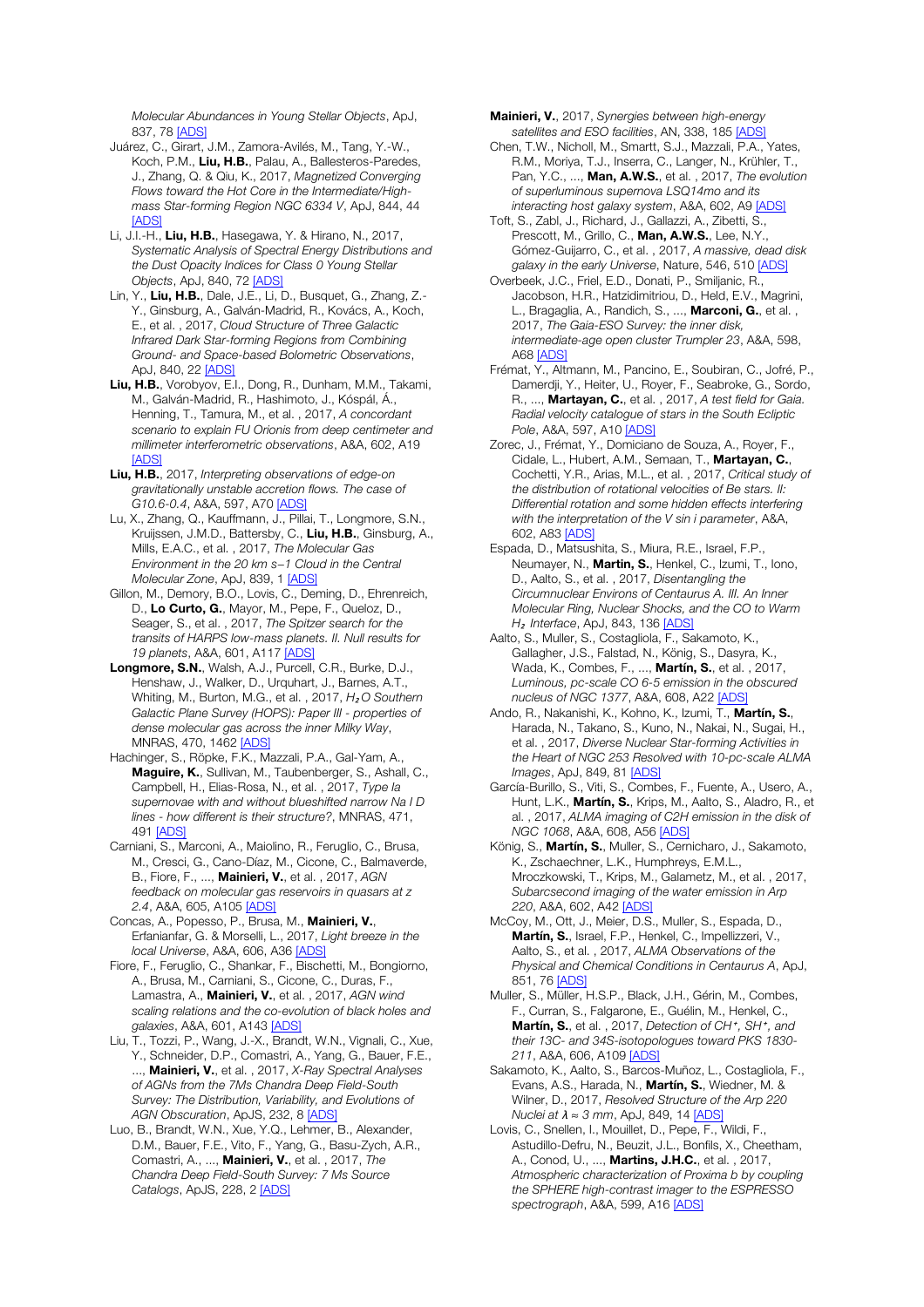*Molecular Abundances in Young Stellar Objects*, ApJ, 837, 78 [ADS]

- Juárez, C., Girart, J.M., Zamora-Avilés, M., Tang, Y.-W., Koch, P.M., Liu, H.B., Palau, A., Ballesteros-Paredes, J., Zhang, Q. & Qiu, K., 2017, *Magnetized Converging Flows toward the Hot Core in the Intermediate/Highmass Star-forming Region NGC 6334 V*, ApJ, 844, 44 [ADS]
- Li, J.I.-H., Liu, H.B., Hasegawa, Y. & Hirano, N., 2017, *Systematic Analysis of Spectral Energy Distributions and the Dust Opacity Indices for Class 0 Young Stellar Objects*, ApJ, 840, 72 [ADS]
- Lin, Y., Liu, H.B., Dale, J.E., Li, D., Busquet, G., Zhang, Z.- Y., Ginsburg, A., Galván-Madrid, R., Kovács, A., Koch, E., et al. , 2017, *Cloud Structure of Three Galactic Infrared Dark Star-forming Regions from Combining Ground- and Space-based Bolometric Observations*, ApJ, 840, 22 [ADS]
- Liu, H.B., Vorobyov, E.I., Dong, R., Dunham, M.M., Takami, M., Galván-Madrid, R., Hashimoto, J., Kóspál, Á., Henning, T., Tamura, M., et al. , 2017, *A concordant scenario to explain FU Orionis from deep centimeter and millimeter interferometric observations*, A&A, 602, A19 [ADS]
- Liu, H.B., 2017, *Interpreting observations of edge-on gravitationally unstable accretion flows. The case of G10.6-0.4*, A&A, 597, A70 [ADS]
- Lu, X., Zhang, Q., Kauffmann, J., Pillai, T., Longmore, S.N., Kruijssen, J.M.D., Battersby, C., Liu, H.B., Ginsburg, A., Mills, E.A.C., et al. , 2017, *The Molecular Gas Environment in the 20 km s*−*1 Cloud in the Central Molecular Zone*, ApJ, 839, 1 [ADS]
- Gillon, M., Demory, B.O., Lovis, C., Deming, D., Ehrenreich, D., Lo Curto, G., Mayor, M., Pepe, F., Queloz, D., Seager, S., et al. , 2017, *The Spitzer search for the transits of HARPS low-mass planets. II. Null results for 19 planets*, A&A, 601, A117 [ADS]
- Longmore, S.N., Walsh, A.J., Purcell, C.R., Burke, D.J., Henshaw, J., Walker, D., Urquhart, J., Barnes, A.T., Whiting, M., Burton, M.G., et al., 2017, H<sub>2</sub>O Southern *Galactic Plane Survey (HOPS): Paper III - properties of dense molecular gas across the inner Milky Way*, MNRAS, 470, 1462 [ADS]
- Hachinger, S., Röpke, F.K., Mazzali, P.A., Gal-Yam, A., Maguire, K., Sullivan, M., Taubenberger, S., Ashall, C., Campbell, H., Elias-Rosa, N., et al. , 2017, *Type Ia supernovae with and without blueshifted narrow Na I D lines - how different is their structure?*, MNRAS, 471, 491 [ADS]
- Carniani, S., Marconi, A., Maiolino, R., Feruglio, C., Brusa, M., Cresci, G., Cano-Díaz, M., Cicone, C., Balmaverde, B., Fiore, F., ..., Mainieri, V., et al. , 2017, *AGN feedback on molecular gas reservoirs in quasars at z 2.4*, A&A, 605, A105 [ADS]
- Concas, A., Popesso, P., Brusa, M., Mainieri, V., Erfanianfar, G. & Morselli, L., 2017, *Light breeze in the local Universe*, A&A, 606, A36 [ADS]
- Fiore, F., Feruglio, C., Shankar, F., Bischetti, M., Bongiorno, A., Brusa, M., Carniani, S., Cicone, C., Duras, F., Lamastra, A., Mainieri, V., et al. , 2017, *AGN wind scaling relations and the co-evolution of black holes and galaxies*, A&A, 601, A143 [ADS]
- Liu, T., Tozzi, P., Wang, J.-X., Brandt, W.N., Vignali, C., Xue, Y., Schneider, D.P., Comastri, A., Yang, G., Bauer, F.E., ..., Mainieri, V., et al. , 2017, *X-Ray Spectral Analyses of AGNs from the 7Ms Chandra Deep Field-South Survey: The Distribution, Variability, and Evolutions of AGN Obscuration*, ApJS, 232, 8 [ADS]
- Luo, B., Brandt, W.N., Xue, Y.Q., Lehmer, B., Alexander, D.M., Bauer, F.E., Vito, F., Yang, G., Basu-Zych, A.R., Comastri, A., ..., Mainieri, V., et al. , 2017, *The Chandra Deep Field-South Survey: 7 Ms Source Catalogs*, ApJS, 228, 2 [ADS]

Mainieri, V., 2017, *Synergies between high-energy satellites and ESO facilities*, AN, 338, 185 [ADS]

- Chen, T.W., Nicholl, M., Smartt, S.J., Mazzali, P.A., Yates, R.M., Moriya, T.J., Inserra, C., Langer, N., Krühler, T., Pan, Y.C., ..., Man, A.W.S., et al. , 2017, *The evolution of superluminous supernova LSQ14mo and its interacting host galaxy system*, A&A, 602, A9 [ADS]
- Toft, S., Zabl, J., Richard, J., Gallazzi, A., Zibetti, S., Prescott, M., Grillo, C., Man. A.W.S., Lee, N.Y., Gómez-Guijarro, C., et al. , 2017, *A massive, dead disk galaxy in the early Universe*, Nature, 546, 510 [ADS]
- Overbeek, J.C., Friel, E.D., Donati, P., Smiljanic, R., Jacobson, H.R., Hatzidimitriou, D., Held, E.V., Magrini, L., Bragaglia, A., Randich, S., ..., Marconi, G., et al., 2017, *The Gaia-ESO Survey: the inner disk, intermediate-age open cluster Trumpler 23*, A&A, 598, A68 [ADS]
- Frémat, Y., Altmann, M., Pancino, E., Soubiran, C., Jofré, P., Damerdji, Y., Heiter, U., Royer, F., Seabroke, G., Sordo, R., ..., Martayan, C., et al. , 2017, *A test field for Gaia. Radial velocity catalogue of stars in the South Ecliptic Pole*, A&A, 597, A10 [ADS]
- Zorec, J., Frémat, Y., Domiciano de Souza, A., Royer, F., Cidale, L., Hubert, A.M., Semaan, T., Martayan, C., Cochetti, Y.R., Arias, M.L., et al. , 2017, *Critical study of the distribution of rotational velocities of Be stars. II: Differential rotation and some hidden effects interfering with the interpretation of the V sin i parameter*, A&A, 602, A83 [ADS]
- Espada, D., Matsushita, S., Miura, R.E., Israel, F.P., Neumayer, N., Martin, S., Henkel, C., Izumi, T., Iono, D., Aalto, S., et al. , 2017, *Disentangling the Circumnuclear Environs of Centaurus A. III. An Inner Molecular Ring, Nuclear Shocks, and the CO to Warm H*₂ *Interface*, ApJ, 843, 136 [ADS]
- Aalto, S., Muller, S., Costagliola, F., Sakamoto, K., Gallagher, J.S., Falstad, N., König, S., Dasyra, K., Wada, K., Combes, F., ..., Martín, S., et al. , 2017, *Luminous, pc-scale CO 6-5 emission in the obscured nucleus of NGC 1377*, A&A, 608, A22 [ADS]
- Ando, R., Nakanishi, K., Kohno, K., Izumi, T., Martín, S., Harada, N., Takano, S., Kuno, N., Nakai, N., Sugai, H., et al. , 2017, *Diverse Nuclear Star-forming Activities in the Heart of NGC 253 Resolved with 10-pc-scale ALMA Images*, ApJ, 849, 81 [ADS]
- García-Burillo, S., Viti, S., Combes, F., Fuente, A., Usero, A., Hunt, L.K., Martín, S., Krips, M., Aalto, S., Aladro, R., et al. , 2017, *ALMA imaging of C2H emission in the disk of NGC 1068*, A&A, 608, A56 [ADS]
- König, S., Martín, S., Muller, S., Cernicharo, J., Sakamoto, K., Zschaechner, L.K., Humphreys, E.M.L., Mroczkowski, T., Krips, M., Galametz, M., et al. , 2017, *Subarcsecond imaging of the water emission in Arp 220*, A&A, 602, A42 [ADS]
- McCoy, M., Ott, J., Meier, D.S., Muller, S., Espada, D., Martín, S., Israel, F.P., Henkel, C., Impellizzeri, V., Aalto, S., et al. , 2017, *ALMA Observations of the Physical and Chemical Conditions in Centaurus A*, ApJ, 851, 76 [ADS]
- Muller, S., Müller, H.S.P., Black, J.H., Gérin, M., Combes, F., Curran, S., Falgarone, E., Guélin, M., Henkel, C., Martín, S., et al., 2017, *Detection of CH<sup>+</sup>*, SH<sup>+</sup>, and *their 13C- and 34S-isotopologues toward PKS 1830- 211*, A&A, 606, A109 [ADS]
- Sakamoto, K., Aalto, S., Barcos-Muñoz, L., Costagliola, F., Evans, A.S., Harada, N., Martín, S., Wiedner, M. & Wilner, D., 2017, *Resolved Structure of the Arp 220 Nuclei at λ* ≈ 3 mm, ApJ, 849, 14 [ADS
- Lovis, C., Snellen, I., Mouillet, D., Pepe, F., Wildi, F., Astudillo-Defru, N., Beuzit, J.L., Bonfils, X., Cheetham, A., Conod, U., ..., Martins, J.H.C., et al. , 2017, *Atmospheric characterization of Proxima b by coupling the SPHERE high-contrast imager to the ESPRESSO spectrograph*, A&A, 599, A16 [ADS]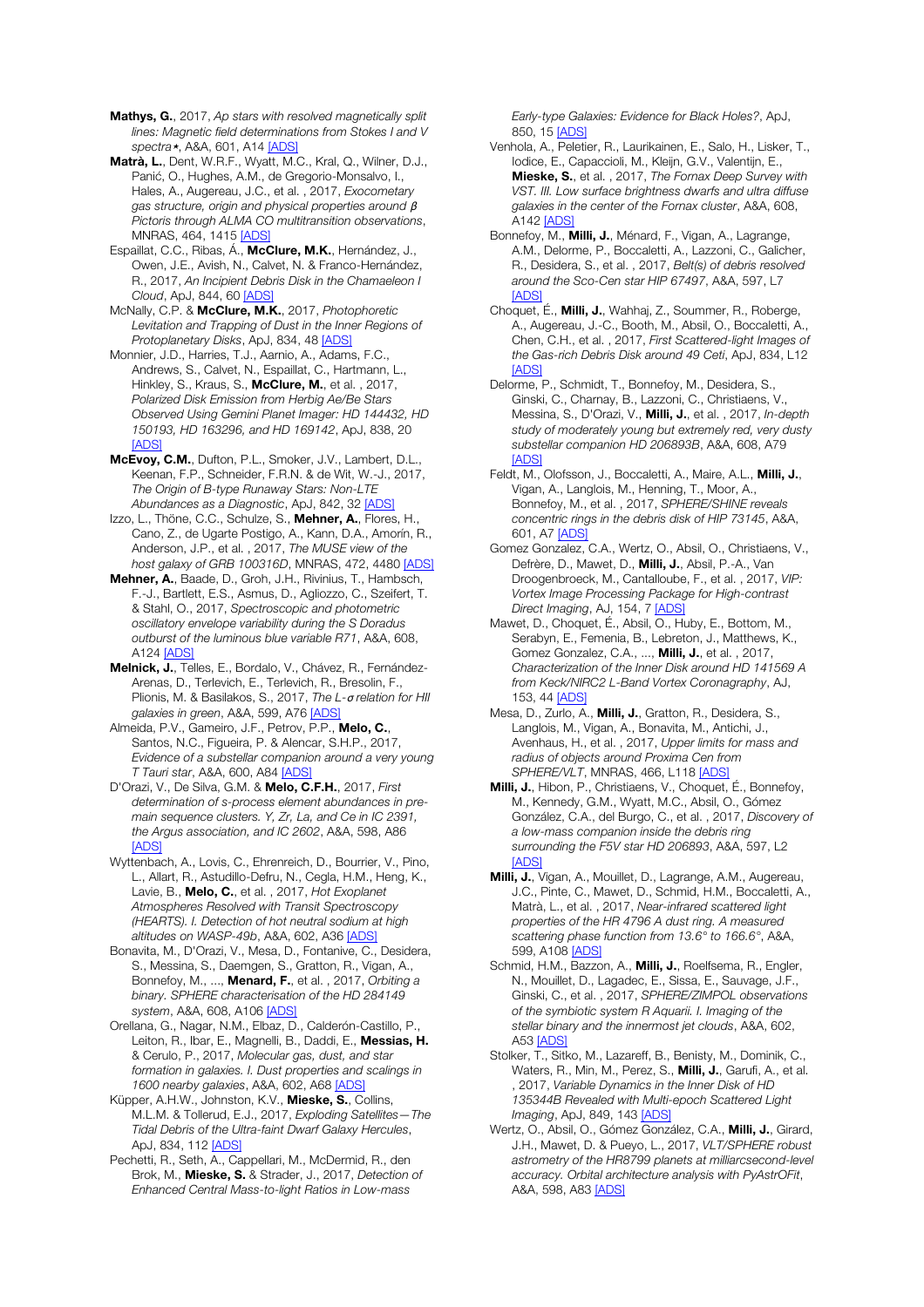- Mathys, G., 2017, *Ap stars with resolved magnetically split lines: Magnetic field determinations from Stokes I and V spectra*⋆, A&A, 601, A14 [ADS]
- Matrà, L., Dent, W.R.F., Wyatt, M.C., Kral, Q., Wilner, D.J., Panić, O., Hughes, A.M., de Gregorio-Monsalvo, I., Hales, A., Augereau, J.C., et al. , 2017, *Exocometary gas structure, origin and physical properties around* β *Pictoris through ALMA CO multitransition observations*, MNRAS, 464, 1415 [ADS]
- Espaillat, C.C., Ribas, Á., McClure, M.K., Hernández, J., Owen, J.E., Avish, N., Calvet, N. & Franco-Hernández, R., 2017, *An Incipient Debris Disk in the Chamaeleon I Cloud*, ApJ, 844, 60 [ADS]
- McNally, C.P. & McClure, M.K., 2017, *Photophoretic Levitation and Trapping of Dust in the Inner Regions of Protoplanetary Disks*, ApJ, 834, 48 [ADS]
- Monnier, J.D., Harries, T.J., Aarnio, A., Adams, F.C., Andrews, S., Calvet, N., Espaillat, C., Hartmann, L., Hinkley, S., Kraus, S., McClure, M., et al., 2017, *Polarized Disk Emission from Herbig Ae/Be Stars Observed Using Gemini Planet Imager: HD 144432, HD 150193, HD 163296, and HD 169142*, ApJ, 838, 20 [ADS]
- McEvoy, C.M., Dufton, P.L., Smoker, J.V., Lambert, D.L., Keenan, F.P., Schneider, F.R.N. & de Wit, W.-J., 2017, *The Origin of B-type Runaway Stars: Non-LTE Abundances as a Diagnostic*, ApJ, 842, 32 [ADS]
- Izzo, L., Thöne, C.C., Schulze, S., Mehner, A., Flores, H., Cano, Z., de Ugarte Postigo, A., Kann, D.A., Amorín, R., Anderson, J.P., et al. , 2017, *The MUSE view of the host galaxy of GRB 100316D*, MNRAS, 472, 4480 [ADS]
- Mehner, A., Baade, D., Groh, J.H., Rivinius, T., Hambsch, F.-J., Bartlett, E.S., Asmus, D., Agliozzo, C., Szeifert, T. & Stahl, O., 2017, *Spectroscopic and photometric oscillatory envelope variability during the S Doradus outburst of the luminous blue variable R71*, A&A, 608, A<sub>124</sub> [ADS]
- Melnick, J., Telles, E., Bordalo, V., Chávez, R., Fernández-Arenas, D., Terlevich, E., Terlevich, R., Bresolin, F., Plionis, M. & Basilakos, S., 2017, *The L-*σ *relation for HII galaxies in green*, A&A, 599, A76 [ADS]
- Almeida, P.V., Gameiro, J.F., Petrov, P.P., Melo, C., Santos, N.C., Figueira, P. & Alencar, S.H.P., 2017, *Evidence of a substellar companion around a very young T Tauri star*, A&A, 600, A84 [ADS]
- D'Orazi, V., De Silva, G.M. & Melo, C.F.H., 2017, *First determination of s-process element abundances in premain sequence clusters. Y, Zr, La, and Ce in IC 2391, the Argus association, and IC 2602*, A&A, 598, A86 [ADS]
- Wyttenbach, A., Lovis, C., Ehrenreich, D., Bourrier, V., Pino, L., Allart, R., Astudillo-Defru, N., Cegla, H.M., Heng, K., Lavie, B., Melo, C., et al. , 2017, *Hot Exoplanet Atmospheres Resolved with Transit Spectroscopy (HEARTS). I. Detection of hot neutral sodium at high altitudes on WASP-49b*, A&A, 602, A36 [ADS]
- Bonavita, M., D'Orazi, V., Mesa, D., Fontanive, C., Desidera, S., Messina, S., Daemgen, S., Gratton, R., Vigan, A., Bonnefoy, M., ..., Menard, F., et al. , 2017, *Orbiting a binary. SPHERE characterisation of the HD 284149 system*, A&A, 608, A106 [ADS]
- Orellana, G., Nagar, N.M., Elbaz, D., Calderón-Castillo, P., Leiton, R., Ibar, E., Magnelli, B., Daddi, E., Messias, H. & Cerulo, P., 2017, *Molecular gas, dust, and star formation in galaxies. I. Dust properties and scalings in 1600 nearby galaxies*, A&A, 602, A68 [ADS]
- Küpper, A.H.W., Johnston, K.V., Mieske, S., Collins, M.L.M. & Tollerud, E.J., 2017, *Exploding Satellites—The Tidal Debris of the Ultra-faint Dwarf Galaxy Hercules*, ApJ, 834, 112 [ADS]
- Pechetti, R., Seth, A., Cappellari, M., McDermid, R., den Brok, M., Mieske, S. & Strader, J., 2017, *Detection of Enhanced Central Mass-to-light Ratios in Low-mass*

*Early-type Galaxies: Evidence for Black Holes?*, ApJ, 850, 15 [ADS]

- Venhola, A., Peletier, R., Laurikainen, E., Salo, H., Lisker, T., Iodice, E., Capaccioli, M., Kleijn, G.V., Valentijn, E., Mieske, S., et al. , 2017, *The Fornax Deep Survey with VST. III. Low surface brightness dwarfs and ultra diffuse galaxies in the center of the Fornax cluster*, A&A, 608, A142 [ADS]
- Bonnefoy, M., Milli, J., Ménard, F., Vigan, A., Lagrange, A.M., Delorme, P., Boccaletti, A., Lazzoni, C., Galicher, R., Desidera, S., et al. , 2017, *Belt(s) of debris resolved around the Sco-Cen star HIP 67497*, A&A, 597, L7 [ADS]
- Choquet, É., **Milli, J.**, Wahhai, Z., Soummer, R., Roberge, A., Augereau, J.-C., Booth, M., Absil, O., Boccaletti, A., Chen, C.H., et al. , 2017, *First Scattered-light Images of the Gas-rich Debris Disk around 49 Ceti*, ApJ, 834, L12 **[ADS]**
- Delorme, P., Schmidt, T., Bonnefoy, M., Desidera, S., Ginski, C., Charnay, B., Lazzoni, C., Christiaens, V., Messina, S., D'Orazi, V., Milli, J., et al. , 2017, *In-depth study of moderately young but extremely red, very dusty substellar companion HD 206893B*, A&A, 608, A79  $[ADS]$
- Feldt, M., Olofsson, J., Boccaletti, A., Maire, A.L., Milli, J., Vigan, A., Langlois, M., Henning, T., Moor, A., Bonnefoy, M., et al. , 2017, *SPHERE/SHINE reveals concentric rings in the debris disk of HIP 73145*, A&A, 601, A7 [ADS]
- Gomez Gonzalez, C.A., Wertz, O., Absil, O., Christiaens, V., Defrère, D., Mawet, D., Milli, J., Absil, P.-A., Van Droogenbroeck, M., Cantalloube, F., et al. , 2017, *VIP: Vortex Image Processing Package for High-contrast Direct Imaging*, AJ, 154, 7 [ADS]
- Mawet, D., Choquet, É., Absil, O., Huby, E., Bottom, M., Serabyn, E., Femenia, B., Lebreton, J., Matthews, K., Gomez Gonzalez, C.A., ..., Milli, J., et al. , 2017, *Characterization of the Inner Disk around HD 141569 A from Keck/NIRC2 L-Band Vortex Coronagraphy*, AJ, 153, 44 [ADS]
- Mesa, D., Zurlo, A., Milli, J., Gratton, R., Desidera, S., Langlois, M., Vigan, A., Bonavita, M., Antichi, J., Avenhaus, H., et al. , 2017, *Upper limits for mass and radius of objects around Proxima Cen from SPHERE/VLT*, MNRAS, 466, L118 [ADS]
- Milli, J., Hibon, P., Christiaens, V., Choquet, É., Bonnefoy, M., Kennedy, G.M., Wyatt, M.C., Absil, O., Gómez González, C.A., del Burgo, C., et al. , 2017, *Discovery of a low-mass companion inside the debris ring surrounding the F5V star HD 206893*, A&A, 597, L2 [ADS]
- Milli, J., Vigan, A., Mouillet, D., Lagrange, A.M., Augereau, J.C., Pinte, C., Mawet, D., Schmid, H.M., Boccaletti, A., Matrà, L., et al. , 2017, *Near-infrared scattered light properties of the HR 4796 A dust ring. A measured scattering phase function from 13.6° to 166.6°*, A&A, 599, A108 [ADS]
- Schmid, H.M., Bazzon, A., Milli, J., Roelfsema, R., Engler, N., Mouillet, D., Lagadec, E., Sissa, E., Sauvage, J.F., Ginski, C., et al. , 2017, *SPHERE/ZIMPOL observations of the symbiotic system R Aquarii. I. Imaging of the stellar binary and the innermost jet clouds*, A&A, 602, A53 [ADS]
- Stolker, T., Sitko, M., Lazareff, B., Benisty, M., Dominik, C., Waters, R., Min, M., Perez, S., Milli, J., Garufi, A., et al. , 2017, *Variable Dynamics in the Inner Disk of HD 135344B Revealed with Multi-epoch Scattered Light Imaging*, ApJ, 849, 143 [ADS]
- Wertz, O., Absil, O., Gómez González, C.A., Milli, J., Girard, J.H., Mawet, D. & Pueyo, L., 2017, *VLT/SPHERE robust astrometry of the HR8799 planets at milliarcsecond-level accuracy. Orbital architecture analysis with PyAstrOFit*, A&A, 598, A83 [ADS]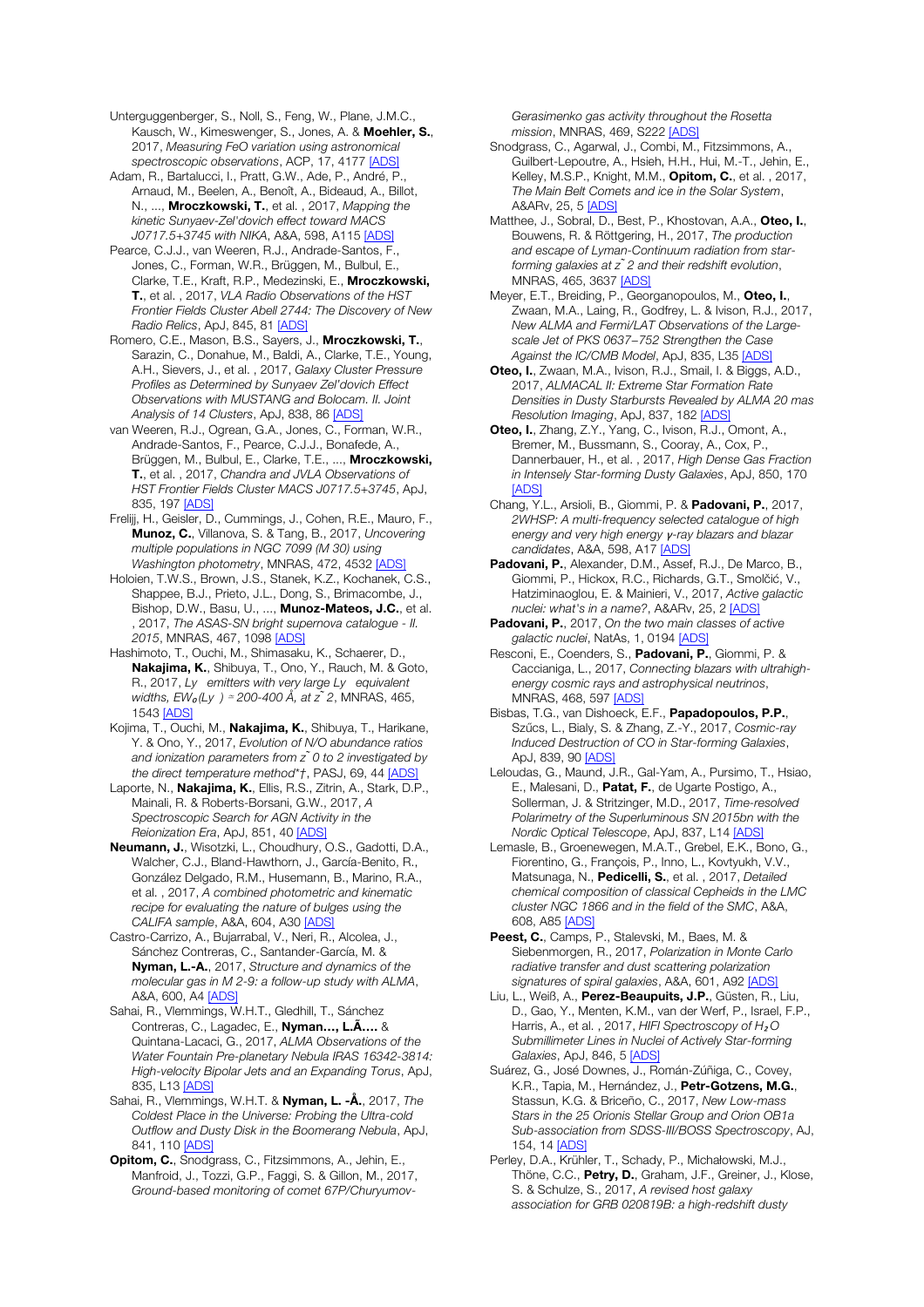Unterguggenberger, S., Noll, S., Feng, W., Plane, J.M.C., Kausch, W., Kimeswenger, S., Jones, A. & Moehler, S., 2017, *Measuring FeO variation using astronomical spectroscopic observations*, ACP, 17, 4177 [ADS]

Adam, R., Bartalucci, I., Pratt, G.W., Ade, P., André, P., Arnaud, M., Beelen, A., Benoît, A., Bideaud, A., Billot, N., ..., Mroczkowski, T., et al. , 2017, *Mapping the kinetic Sunyaev-Zel'dovich effect toward MACS J0717.5+3745 with NIKA*, A&A, 598, A115 [ADS]

Pearce, C.J.J., van Weeren, R.J., Andrade-Santos, F., Jones, C., Forman, W.R., Brüggen, M., Bulbul, E., Clarke, T.E., Kraft, R.P., Medezinski, E., Mroczkowski, T., et al. , 2017, *VLA Radio Observations of the HST Frontier Fields Cluster Abell 2744: The Discovery of New Radio Relics*, ApJ, 845, 81 [ADS]

Romero, C.E., Mason, B.S., Sayers, J., Mroczkowski, T., Sarazin, C., Donahue, M., Baldi, A., Clarke, T.E., Young, A.H., Sievers, J., et al. , 2017, *Galaxy Cluster Pressure Profiles as Determined by Sunyaev Zel'dovich Effect Observations with MUSTANG and Bolocam. II. Joint Analysis of 14 Clusters*, ApJ, 838, 86 [ADS]

van Weeren, R.J., Ogrean, G.A., Jones, C., Forman, W.R., Andrade-Santos, F., Pearce, C.J.J., Bonafede, A., Brüggen, M., Bulbul, E., Clarke, T.E., ..., Mroczkowski, T., et al. , 2017, *Chandra and JVLA Observations of HST Frontier Fields Cluster MACS J0717.5+3745*, ApJ, 835, 197 [ADS]

Frelijj, H., Geisler, D., Cummings, J., Cohen, R.E., Mauro, F., Munoz, C., Villanova, S. & Tang, B., 2017, *Uncovering multiple populations in NGC 7099 (M 30) using Washington photometry*, MNRAS, 472, 4532 [ADS]

Holoien, T.W.S., Brown, J.S., Stanek, K.Z., Kochanek, C.S., Shappee, B.J., Prieto, J.L., Dong, S., Brimacombe, J., Bishop, D.W., Basu, U., ..., Munoz-Mateos, J.C., et al. , 2017, *The ASAS-SN bright supernova catalogue - II. 2015*, MNRAS, 467, 1098 [ADS]

Hashimoto, T., Ouchi, M., Shimasaku, K., Schaerer, D., Nakajima, K., Shibuya, T., Ono, Y., Rauch, M. & Goto, R., 2017, *Ly emitters with very large Ly equivalent widths, EW*<sup>*o*</sup>(Ly ) ≃ 200-400 Å, at z<sup>*̃*</sup> 2, MNRAS, 465, 1543 [ADS]

Kojima, T., Ouchi, M., Nakaiima, K., Shibuya, T., Harikane, Y. & Ono, Y., 2017, *Evolution of N/O abundance ratios and ionization parameters from z ̃0 to 2 investigated by the direct temperature method\*†*, PASJ, 69, 44 [ADS]

Laporte, N., **Nakajima, K.**, Ellis, R.S., Zitrin, A., Stark, D.P., Mainali, R. & Roberts-Borsani, G.W., 2017, *A Spectroscopic Search for AGN Activity in the Reionization Era*, ApJ, 851, 40 [ADS]

Neumann, J., Wisotzki, L., Choudhury, O.S., Gadotti, D.A., Walcher, C.J., Bland-Hawthorn, J., García-Benito, R., González Delgado, R.M., Husemann, B., Marino, R.A., et al. , 2017, *A combined photometric and kinematic recipe for evaluating the nature of bulges using the CALIFA sample*, A&A, 604, A30 [ADS]

Castro-Carrizo, A., Bujarrabal, V., Neri, R., Alcolea, J., Sánchez Contreras, C., Santander-García, M. & Nyman, L.-A., 2017, *Structure and dynamics of the molecular gas in M 2-9: a follow-up study with ALMA*, A&A, 600, A4 [ADS]

Sahai, R., Vlemmings, W.H.T., Gledhill, T., Sánchez Contreras, C., Lagadec, E., Nyman…, L.Ã…. & Quintana-Lacaci, G., 2017, *ALMA Observations of the Water Fountain Pre-planetary Nebula IRAS 16342-3814: High-velocity Bipolar Jets and an Expanding Torus*, ApJ, 835, L13 [ADS]

Sahai, R., Vlemmings, W.H.T. & Nyman, L. -Å., 2017, *The Coldest Place in the Universe: Probing the Ultra-cold Outflow and Dusty Disk in the Boomerang Nebula*, ApJ, 841, 110 [ADS]

Opitom, C., Snodgrass, C., Fitzsimmons, A., Jehin, E., Manfroid, J., Tozzi, G.P., Faggi, S. & Gillon, M., 2017, *Ground-based monitoring of comet 67P/Churyumov-* *Gerasimenko gas activity throughout the Rosetta mission*, MNRAS, 469, S222 [ADS]

Snodgrass, C., Agarwal, J., Combi, M., Fitzsimmons, A., Guilbert-Lepoutre, A., Hsieh, H.H., Hui, M.-T., Jehin, E., Kelley, M.S.P., Knight, M.M., Opitom, C., et al., 2017, *The Main Belt Comets and ice in the Solar System*, A&ARv, 25, 5 [ADS]

Matthee, J., Sobral, D., Best, P., Khostovan, A.A., Oteo, I., Bouwens, R. & Röttgering, H., 2017, *The production and escape of Lyman-Continuum radiation from starforming galaxies at z ̃2 and their redshift evolution*, MNRAS, 465, 3637 [ADS]

Meyer, E.T., Breiding, P., Georganopoulos, M., Oteo, I., Zwaan, M.A., Laing, R., Godfrey, L. & Ivison, R.J., 2017, *New ALMA and Fermi/LAT Observations of the Largescale Jet of PKS 0637*−*752 Strengthen the Case Against the IC/CMB Model*, ApJ, 835, L35 [ADS]

Oteo, I., Zwaan, M.A., Ivison, R.J., Smail, I. & Biggs, A.D., 2017, *ALMACAL II: Extreme Star Formation Rate Densities in Dusty Starbursts Revealed by ALMA 20 mas Resolution Imaging*, ApJ, 837, 182 [ADS]

Oteo, I., Zhang, Z.Y., Yang, C., Ivison, R.J., Omont, A., Bremer, M., Bussmann, S., Cooray, A., Cox, P., Dannerbauer, H., et al. , 2017, *High Dense Gas Fraction in Intensely Star-forming Dusty Galaxies*, ApJ, 850, 170 [ADS]

Chang, Y.L., Arsioli, B., Giommi, P. & Padovani, P., 2017, *2WHSP: A multi-frequency selected catalogue of high energy and very high energy* γ*-ray blazars and blazar candidates*, A&A, 598, A17 [ADS]

Padovani, P., Alexander, D.M., Assef, R.J., De Marco, B., Giommi, P., Hickox, R.C., Richards, G.T., Smolčić, V., Hatziminaoglou, E. & Mainieri, V., 2017, *Active galactic nuclei: what's in a name?*, A&ARv, 25, 2 [ADS]

Padovani, P., 2017, *On the two main classes of active galactic nuclei*, NatAs, 1, 0194 [ADS]

Resconi, E., Coenders, S., Padovani, P., Giommi, P. & Caccianiga, L., 2017, *Connecting blazars with ultrahighenergy cosmic rays and astrophysical neutrinos*, MNRAS, 468, 597 [ADS]

Bisbas, T.G., van Dishoeck, E.F., Papadopoulos, P.P., Szűcs, L., Bialy, S. & Zhang, Z.-Y., 2017, *Cosmic-ray Induced Destruction of CO in Star-forming Galaxies*, ApJ, 839, 90 [ADS]

Leloudas, G., Maund, J.R., Gal-Yam, A., Pursimo, T., Hsiao, E., Malesani, D., Patat, F., de Ugarte Postigo, A., Sollerman, J. & Stritzinger, M.D., 2017, *Time-resolved Polarimetry of the Superluminous SN 2015bn with the Nordic Optical Telescope*, ApJ, 837, L14 [ADS]

Lemasle, B., Groenewegen, M.A.T., Grebel, E.K., Bono, G., Fiorentino, G., François, P., Inno, L., Kovtyukh, V.V., Matsunaga, N., Pedicelli, S., et al. , 2017, *Detailed chemical composition of classical Cepheids in the LMC cluster NGC 1866 and in the field of the SMC*, A&A, 608, A85 [ADS]

Peest, C., Camps, P., Stalevski, M., Baes, M. & Siebenmorgen, R., 2017, *Polarization in Monte Carlo radiative transfer and dust scattering polarization signatures of spiral galaxies*, A&A, 601, A92 [ADS]

Liu, L., Weiß, A., Perez-Beaupuits, J.P., Güsten, R., Liu, D., Gao, Y., Menten, K.M., van der Werf, P., Israel, F.P., Harris, A., et al., 2017, *HIFI Spectroscopy of H*<sub>2</sub>O *Submillimeter Lines in Nuclei of Actively Star-forming Galaxies*, ApJ, 846, 5 [ADS]

Suárez, G., José Downes, J., Román-Zúñiga, C., Covey, K.R., Tapia, M., Hernández, J., Petr-Gotzens, M.G., Stassun, K.G. & Briceño, C., 2017, *New Low-mass Stars in the 25 Orionis Stellar Group and Orion OB1a Sub-association from SDSS-III/BOSS Spectroscopy*, AJ, 154, 14 [ADS]

Perley, D.A., Krühler, T., Schady, P., Michałowski, M.J., Thöne, C.C., Petry, D., Graham, J.F., Greiner, J., Klose, S. & Schulze, S., 2017, *A revised host galaxy association for GRB 020819B: a high-redshift dusty*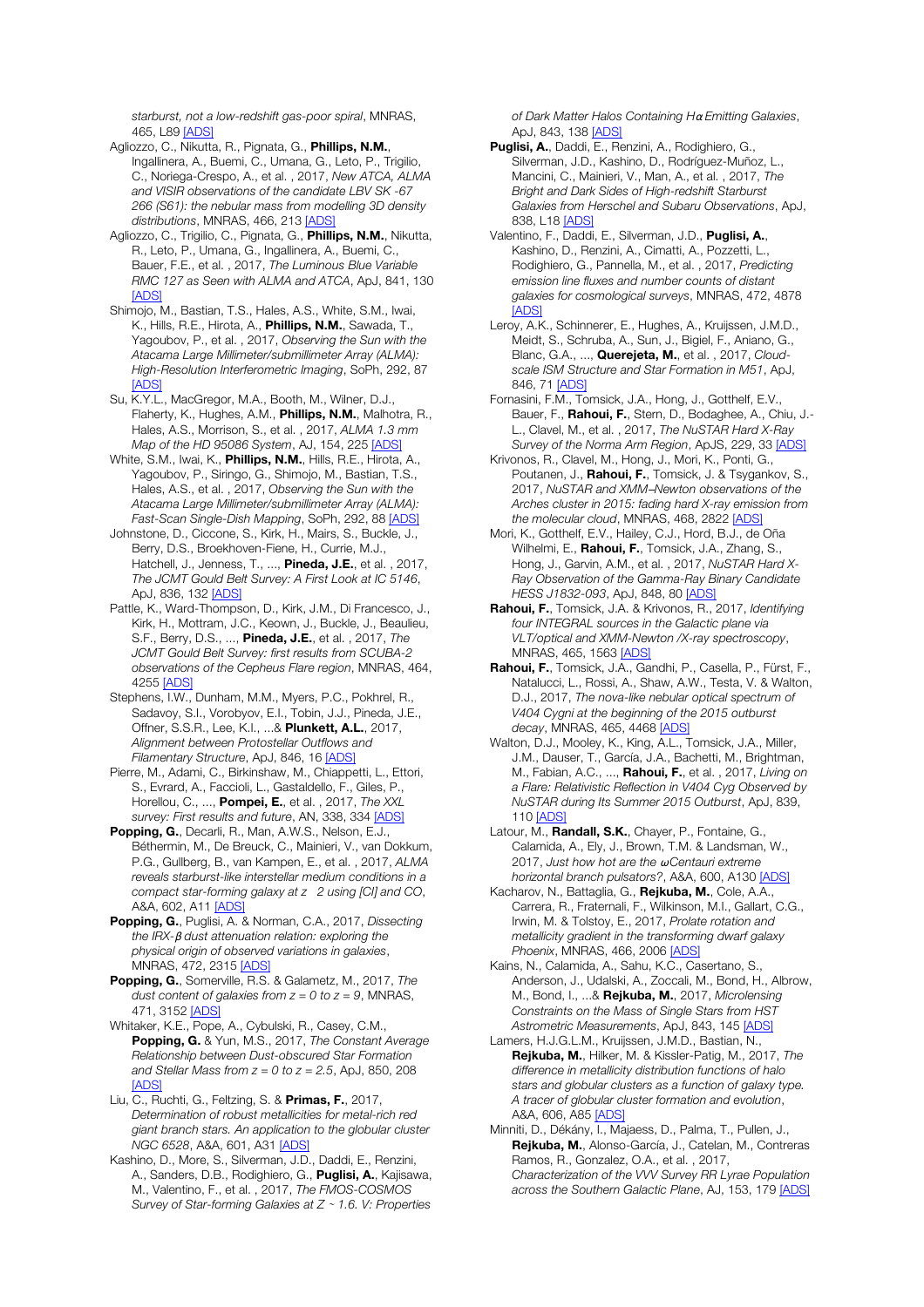*starburst, not a low-redshift gas-poor spiral*, MNRAS, 465 | 89 **[ADS]** 

- Agliozzo, C., Nikutta, R., Pignata, G., Phillips, N.M., Ingallinera, A., Buemi, C., Umana, G., Leto, P., Trigilio, C., Noriega-Crespo, A., et al. , 2017, *New ATCA, ALMA and VISIR observations of the candidate LBV SK -67 266 (S61): the nebular mass from modelling 3D density distributions*, MNRAS, 466, 213 [ADS]
- Agliozzo, C., Trigilio, C., Pignata, G., Phillips, N.M., Nikutta, R., Leto, P., Umana, G., Ingallinera, A., Buemi, C., Bauer, F.E., et al. , 2017, *The Luminous Blue Variable RMC 127 as Seen with ALMA and ATCA*, ApJ, 841, 130 [ADS]
- Shimojo, M., Bastian, T.S., Hales, A.S., White, S.M., Iwai, K., Hills, R.E., Hirota, A., Phillips, N.M., Sawada, T., Yagoubov, P., et al. , 2017, *Observing the Sun with the Atacama Large Millimeter/submillimeter Array (ALMA): High-Resolution Interferometric Imaging*, SoPh, 292, 87 [ADS]
- Su, K.Y.L., MacGregor, M.A., Booth, M., Wilner, D.J., Flaherty, K., Hughes, A.M., Phillips, N.M., Malhotra, R., Hales, A.S., Morrison, S., et al. , 2017, *ALMA 1.3 mm Map of the HD 95086 System*, AJ, 154, 225 [ADS]
- White, S.M., Iwai, K., Phillips, N.M., Hills, R.E., Hirota, A., Yagoubov, P., Siringo, G., Shimojo, M., Bastian, T.S., Hales, A.S., et al. , 2017, *Observing the Sun with the Atacama Large Millimeter/submillimeter Array (ALMA): Fast-Scan Single-Dish Mapping*, SoPh, 292, 88 [ADS]
- Johnstone, D., Ciccone, S., Kirk, H., Mairs, S., Buckle, J., Berry, D.S., Broekhoven-Fiene, H., Currie, M.J., Hatchell, J., Jenness, T., ..., **Pineda, J.E.**, et al., 2017, *The JCMT Gould Belt Survey: A First Look at IC 5146*, ApJ, 836, 132 [ADS]
- Pattle, K., Ward-Thompson, D., Kirk, J.M., Di Francesco, J., Kirk, H., Mottram, J.C., Keown, J., Buckle, J., Beaulieu, S.F., Berry, D.S., ..., Pineda, J.E., et al. , 2017, *The JCMT Gould Belt Survey: first results from SCUBA-2 observations of the Cepheus Flare region*, MNRAS, 464, 4255 [ADS]
- Stephens, I.W., Dunham, M.M., Myers, P.C., Pokhrel, R., Sadavoy, S.I., Vorobyov, E.I., Tobin, J.J., Pineda, J.E., Offner, S.S.R., Lee, K.I., ...& Plunkett, A.L., 2017, *Alignment between Protostellar Outflows and Filamentary Structure*, ApJ, 846, 16 [ADS]
- Pierre, M., Adami, C., Birkinshaw, M., Chiappetti, L., Ettori, S., Evrard, A., Faccioli, L., Gastaldello, F., Giles, P., Horellou, C., ..., Pompei, E., et al. , 2017, *The XXL survey: First results and future*, AN, 338, 334 [ADS]
- Popping, G., Decarli, R., Man, A.W.S., Nelson, E.J., Béthermin, M., De Breuck, C., Mainieri, V., van Dokkum, P.G., Gullberg, B., van Kampen, E., et al. , 2017, *ALMA reveals starburst-like interstellar medium conditions in a compact star-forming galaxy at z 2 using [CI] and CO*, A&A, 602, A11 [ADS]
- Popping, G., Puglisi, A. & Norman, C.A., 2017, *Dissecting the IRX-*β *dust attenuation relation: exploring the physical origin of observed variations in galaxies*, MNRAS, 472, 2315 [ADS]
- Popping, G., Somerville, R.S. & Galametz, M., 2017, *The dust content of galaxies from z = 0 to z = 9*, MNRAS, 471, 3152 [ADS]
- Whitaker, K.E., Pope, A., Cybulski, R., Casey, C.M., Popping, G. & Yun, M.S., 2017, *The Constant Average Relationship between Dust-obscured Star Formation and Stellar Mass from z = 0 to z = 2.5*, ApJ, 850, 208 **[ADS]**
- Liu, C., Ruchti, G., Feltzing, S. & Primas, F., 2017, *Determination of robust metallicities for metal-rich red giant branch stars. An application to the globular cluster NGC 6528*, A&A, 601, A31 [ADS]
- Kashino, D., More, S., Silverman, J.D., Daddi, E., Renzini, A., Sanders, D.B., Rodighiero, G., Puglisi, A., Kajisawa, M., Valentino, F., et al. , 2017, *The FMOS-COSMOS Survey of Star-forming Galaxies at Z* <sup>∼</sup> *1.6. V: Properties*

*of Dark Matter Halos Containing H*α *Emitting Galaxies*, ApJ, 843, 138 [ADS]

- Puglisi, A., Daddi, E., Renzini, A., Rodighiero, G., Silverman, J.D., Kashino, D., Rodríguez-Muñoz, L., Mancini, C., Mainieri, V., Man, A., et al. , 2017, *The Bright and Dark Sides of High-redshift Starburst Galaxies from Herschel and Subaru Observations*, ApJ, 838, L18 [ADS]
- Valentino, F., Daddi, E., Silverman, J.D., Puglisi, A., Kashino, D., Renzini, A., Cimatti, A., Pozzetti, L., Rodighiero, G., Pannella, M., et al. , 2017, *Predicting emission line fluxes and number counts of distant galaxies for cosmological surveys*, MNRAS, 472, 4878 [ADS]
- Leroy, A.K., Schinnerer, E., Hughes, A., Kruijssen, J.M.D., Meidt, S., Schruba, A., Sun, J., Bigiel, F., Aniano, G., Blanc, G.A., ..., Querejeta, M., et al. , 2017, *Cloudscale ISM Structure and Star Formation in M51*, ApJ, 846, 71 [ADS]
- Fornasini, F.M., Tomsick, J.A., Hong, J., Gotthelf, E.V., Bauer, F., Rahoui, F., Stern, D., Bodaghee, A., Chiu, J.- L., Clavel, M., et al. , 2017, *The NuSTAR Hard X-Ray Survey of the Norma Arm Region*, ApJS, 229, 33 [ADS]
- Krivonos, R., Clavel, M., Hong, J., Mori, K., Ponti, G., Poutanen, J., Rahoui, F., Tomsick, J. & Tsygankov, S., 2017, *NuSTAR and XMM*─*Newton observations of the Arches cluster in 2015: fading hard X-ray emission from the molecular cloud*, MNRAS, 468, 2822 [ADS]
- Mori, K., Gotthelf, E.V., Hailey, C.J., Hord, B.J., de Oña Wilhelmi, E., **Rahoui, F.**, Tomsick, J.A., Zhang, S., Hong, J., Garvin, A.M., et al. , 2017, *NuSTAR Hard X-Ray Observation of the Gamma-Ray Binary Candidate HESS J1832-093*, ApJ, 848, 80 [ADS]
- Rahoui, F., Tomsick, J.A. & Krivonos, R., 2017, *Identifying four INTEGRAL sources in the Galactic plane via VLT/optical and XMM-Newton /X-ray spectroscopy*, MNRAS, 465, 1563 [ADS]
- Rahoui, F., Tomsick, J.A., Gandhi, P., Casella, P., Fürst, F., Natalucci, L., Rossi, A., Shaw, A.W., Testa, V. & Walton, D.J., 2017, *The nova-like nebular optical spectrum of V404 Cygni at the beginning of the 2015 outburst decay*, MNRAS, 465, 4468 [ADS]
- Walton, D.J., Mooley, K., King, A.L., Tomsick, J.A., Miller, J.M., Dauser, T., García, J.A., Bachetti, M., Brightman, M., Fabian, A.C., ..., Rahoui, F., et al. , 2017, *Living on a Flare: Relativistic Reflection in V404 Cyg Observed by NuSTAR during Its Summer 2015 Outburst*, ApJ, 839, 110 [ADS]
- Latour, M., Randall, S.K., Chayer, P., Fontaine, G., Calamida, A., Ely, J., Brown, T.M. & Landsman. W., 2017, *Just how hot are the* ω *Centauri extreme horizontal branch pulsators?*, A&A, 600, A130 [ADS]
- Kacharov, N., Battaglia, G., Rejkuba, M., Cole, A.A., Carrera, R., Fraternali, F., Wilkinson, M.I., Gallart, C.G., Irwin, M. & Tolstoy, E., 2017, *Prolate rotation and metallicity gradient in the transforming dwarf galaxy Phoenix*, MNRAS, 466, 2006 [ADS]
- Kains, N., Calamida, A., Sahu, K.C., Casertano, S., Anderson, J., Udalski, A., Zoccali, M., Bond, H., Albrow, M., Bond, I., ...& Rejkuba, M., 2017, *Microlensing Constraints on the Mass of Single Stars from HST Astrometric Measurements*, ApJ, 843, 145 [ADS]
- Lamers, H.J.G.L.M., Kruijssen, J.M.D., Bastian, N., Rejkuba, M., Hilker, M. & Kissler-Patig, M., 2017, *The difference in metallicity distribution functions of halo stars and globular clusters as a function of galaxy type. A tracer of globular cluster formation and evolution*, A&A, 606, A85 [ADS]
- Minniti, D., Dékány, I., Majaess, D., Palma, T., Pullen, J., Rejkuba, M., Alonso-García, J., Catelan, M., Contreras Ramos, R., Gonzalez, O.A., et al. , 2017, *Characterization of the VVV Survey RR Lyrae Population across the Southern Galactic Plane*, AJ, 153, 179 [ADS]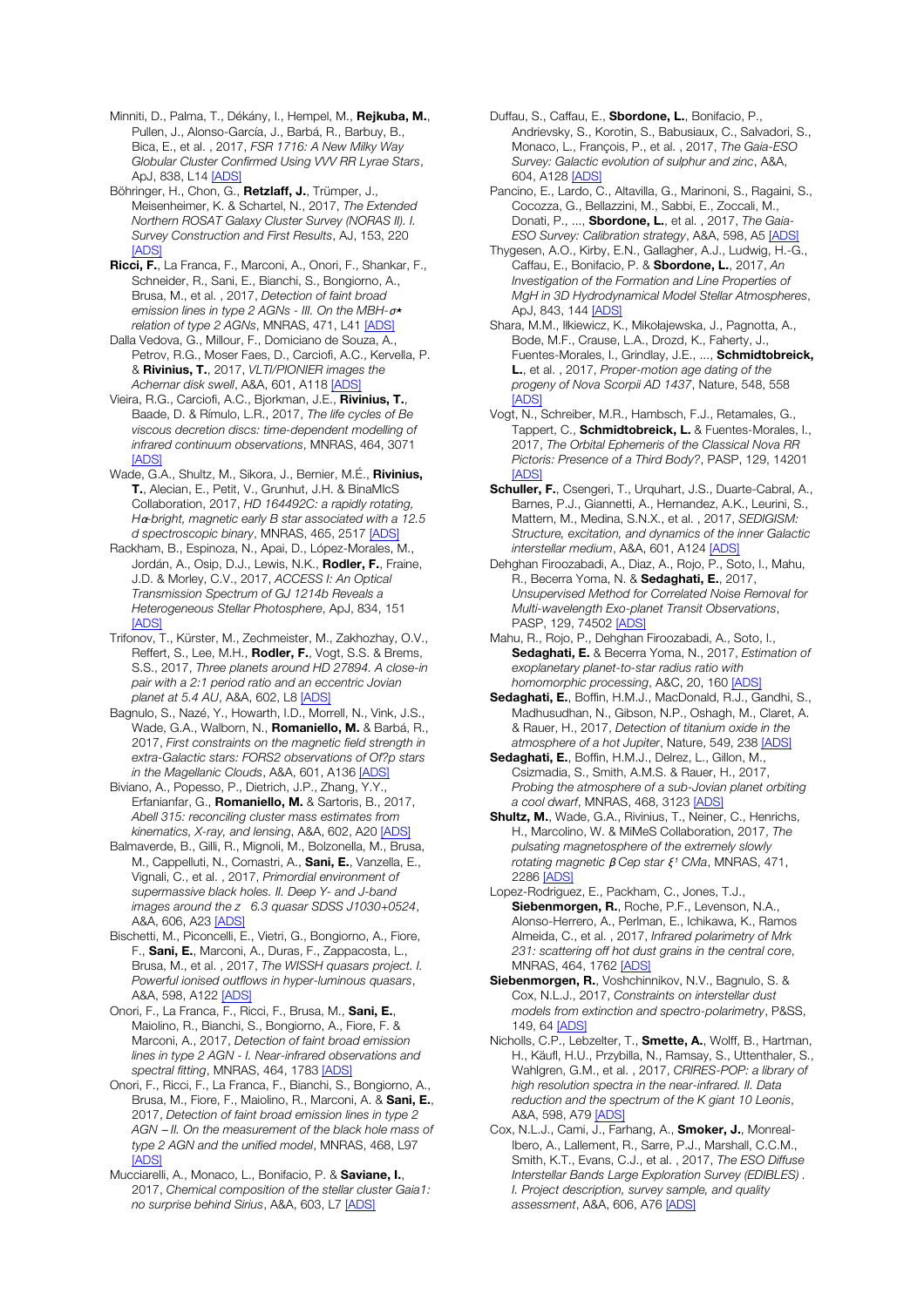Minniti, D., Palma, T., Dékány, I., Hempel, M., Rejkuba, M., Pullen, J., Alonso-García, J., Barbá, R., Barbuy, B., Bica, E., et al. , 2017, *FSR 1716: A New Milky Way Globular Cluster Confirmed Using VVV RR Lyrae Stars*, ApJ, 838, L14 [ADS]

Böhringer, H., Chon, G., Retzlaff, J., Trümper, J., Meisenheimer, K. & Schartel, N., 2017, *The Extended Northern ROSAT Galaxy Cluster Survey (NORAS II). I. Survey Construction and First Results*, AJ, 153, 220 [ADS]

Ricci, F., La Franca, F., Marconi, A., Onori, F., Shankar, F., Schneider, R., Sani, E., Bianchi, S., Bongiorno, A., Brusa, M., et al. , 2017, *Detection of faint broad emission lines in type 2 AGNs - III. On the MBH-*σ<sup>⋆</sup> *relation of type 2 AGNs*, MNRAS, 471, L41 [ADS]

Dalla Vedova, G., Millour, F., Domiciano de Souza, A., Petrov, R.G., Moser Faes, D., Carciofi, A.C., Kervella, P. & Rivinius, T., 2017, *VLTI/PIONIER images the Achernar disk swell*, A&A, 601, A118 [ADS]

Vieira, R.G., Carciofi, A.C., Bjorkman, J.E., Rivinius, T., Baade, D. & Rímulo, L.R., 2017, *The life cycles of Be viscous decretion discs: time-dependent modelling of infrared continuum observations*, MNRAS, 464, 3071 [ADS]

Wade, G.A., Shultz, M., Sikora, J., Bernier, M.É., Rivinius, T., Alecian, E., Petit, V., Grunhut, J.H. & BinaMIcS Collaboration, 2017, *HD 164492C: a rapidly rotating, H*α*-bright, magnetic early B star associated with a 12.5 d spectroscopic binary*, MNRAS, 465, 2517 [ADS]

Rackham, B., Espinoza, N., Apai, D., López-Morales, M., Jordán, A., Osip, D.J., Lewis, N.K., Rodler, F., Fraine, J.D. & Morley, C.V., 2017, *ACCESS I: An Optical Transmission Spectrum of GJ 1214b Reveals a Heterogeneous Stellar Photosphere*, ApJ, 834, 151 [ADS]

Trifonov, T., Kürster, M., Zechmeister, M., Zakhozhay, O.V., Reffert, S., Lee, M.H., Rodler, F., Vogt, S.S. & Brems, S.S., 2017, *Three planets around HD 27894. A close-in pair with a 2:1 period ratio and an eccentric Jovian planet at 5.4 AU*, A&A, 602, L8 [ADS]

Bagnulo, S., Nazé, Y., Howarth, I.D., Morrell, N., Vink, J.S., Wade, G.A., Walborn, N., **Romaniello, M.** & Barbá, R., 2017, *First constraints on the magnetic field strength in extra-Galactic stars: FORS2 observations of Of?p stars in the Magellanic Clouds*, A&A, 601, A136 [ADS]

Biviano, A., Popesso, P., Dietrich, J.P., Zhang, Y.Y., Erfanianfar, G., Romaniello, M. & Sartoris, B., 2017, *Abell 315: reconciling cluster mass estimates from kinematics, X-ray, and lensing*, A&A, 602, A20 [ADS]

Balmaverde, B., Gilli, R., Mignoli, M., Bolzonella, M., Brusa, M., Cappelluti, N., Comastri, A., Sani, E., Vanzella, E., Vignali, C., et al. , 2017, *Primordial environment of supermassive black holes. II. Deep Y- and J-band images around the z 6.3 quasar SDSS J1030+0524*, A&A, 606, A23 [ADS]

Bischetti, M., Piconcelli, E., Vietri, G., Bongiorno, A., Fiore, F., Sani, E., Marconi, A., Duras, F., Zappacosta, L., Brusa, M., et al. , 2017, *The WISSH quasars project. I. Powerful ionised outflows in hyper-luminous quasars*, A&A, 598, A122 [ADS]

Onori, F., La Franca, F., Ricci, F., Brusa, M., Sani, E., Maiolino, R., Bianchi, S., Bongiorno, A., Fiore, F. & Marconi, A., 2017, *Detection of faint broad emission lines in type 2 AGN - I. Near-infrared observations and spectral fitting*, MNRAS, 464, 1783 [ADS]

Onori, F., Ricci, F., La Franca, F., Bianchi, S., Bongiorno, A., Brusa, M., Fiore, F., Maiolino, R., Marconi, A. & Sani, E., 2017, *Detection of faint broad emission lines in type 2 AGN* ─ *II. On the measurement of the black hole mass of type 2 AGN and the unified model*, MNRAS, 468, L97 [ADS]

Mucciarelli, A., Monaco, L., Bonifacio, P. & Saviane, I., 2017, *Chemical composition of the stellar cluster Gaia1: no surprise behind Sirius*, A&A, 603, L7 [ADS]

Duffau, S., Caffau, E., Sbordone, L., Bonifacio, P., Andrievsky, S., Korotin, S., Babusiaux, C., Salvadori, S., Monaco, L., François, P., et al. , 2017, *The Gaia-ESO Survey: Galactic evolution of sulphur and zinc*, A&A, 604, A128 [ADS]

Pancino, E., Lardo, C., Altavilla, G., Marinoni, S., Ragaini, S., Cocozza, G., Bellazzini, M., Sabbi, E., Zoccali, M., Donati, P., ..., Sbordone, L., et al. , 2017, *The Gaia-ESO Survey: Calibration strategy*, A&A, 598, A5 [ADS]

Thygesen, A.O., Kirby, E.N., Gallagher, A.J., Ludwig, H.-G., Caffau, E., Bonifacio, P. & Sbordone, L., 2017, *An Investigation of the Formation and Line Properties of MgH in 3D Hydrodynamical Model Stellar Atmospheres*, ApJ, 843, 144 [ADS]

Shara, M.M., Iłkiewicz, K., Mikołajewska, J., Pagnotta, A., Bode, M.F., Crause, L.A., Drozd, K., Faherty, J., Fuentes-Morales, I., Grindlay, J.E., ..., Schmidtobreick, L., et al. , 2017, *Proper-motion age dating of the progeny of Nova Scorpii AD 1437*, Nature, 548, 558 [ADS]

Vogt, N., Schreiber, M.R., Hambsch, F.J., Retamales, G., Tappert, C., Schmidtobreick, L. & Fuentes-Morales, I., 2017, *The Orbital Ephemeris of the Classical Nova RR Pictoris: Presence of a Third Body?*, PASP, 129, 14201 **[ADS]** 

Schuller, F., Csengeri, T., Urquhart, J.S., Duarte-Cabral, A., Barnes, P.J., Giannetti, A., Hernandez, A.K., Leurini, S., Mattern, M., Medina, S.N.X., et al. , 2017, *SEDIGISM: Structure, excitation, and dynamics of the inner Galactic interstellar medium*, A&A, 601, A124 [ADS]

Dehghan Firoozabadi, A., Diaz, A., Rojo, P., Soto, I., Mahu, R., Becerra Yoma, N. & Sedaghati, E., 2017, *Unsupervised Method for Correlated Noise Removal for Multi-wavelength Exo-planet Transit Observations*, PASP, 129, 74502 [ADS]

Mahu, R., Rojo, P., Dehghan Firoozabadi, A., Soto, I., Sedaghati, E. & Becerra Yoma, N., 2017, *Estimation of exoplanetary planet-to-star radius ratio with homomorphic processing*, A&C, 20, 160 [ADS]

Sedaghati, E., Boffin, H.M.J., MacDonald, R.J., Gandhi, S., Madhusudhan, N., Gibson, N.P., Oshagh, M., Claret, A. & Rauer, H., 2017, *Detection of titanium oxide in the atmosphere of a hot Jupiter*, Nature, 549, 238 [ADS]

Sedaghati, E., Boffin, H.M.J., Delrez, L., Gillon, M., Csizmadia, S., Smith, A.M.S. & Rauer, H., 2017, *Probing the atmosphere of a sub-Jovian planet orbiting a cool dwarf*, MNRAS, 468, 3123 [ADS]

Shultz, M., Wade, G.A., Rivinius, T., Neiner, C., Henrichs, H., Marcolino, W. & MiMeS Collaboration, 2017, *The pulsating magnetosphere of the extremely slowly rotating magnetic β Cep star*  $\xi$ *<sup>1</sup> CMa, MNRAS, 471,* 2286 [ADS]

Lopez-Rodriguez, E., Packham, C., Jones, T.J., Siebenmorgen, R., Roche, P.F., Levenson, N.A., Alonso-Herrero, A., Perlman, E., Ichikawa, K., Ramos Almeida, C., et al. , 2017, *Infrared polarimetry of Mrk 231: scattering off hot dust grains in the central core*, MNRAS, 464, 1762 [ADS]

Siebenmorgen, R., Voshchinnikov, N.V., Bagnulo, S. & Cox, N.L.J., 2017, *Constraints on interstellar dust models from extinction and spectro-polarimetry*, P&SS, 149, 64 [ADS]

Nicholls, C.P., Lebzelter, T., Smette, A., Wolff, B., Hartman, H., Käufl, H.U., Przybilla, N., Ramsay, S., Uttenthaler, S., Wahlgren, G.M., et al. , 2017, *CRIRES-POP: a library of high resolution spectra in the near-infrared. II. Data reduction and the spectrum of the K giant 10 Leonis*, A&A, 598, A79 [ADS]

Cox, N.L.J., Cami, J., Farhang, A., Smoker, J., Monreal-Ibero, A., Lallement, R., Sarre, P.J., Marshall, C.C.M., Smith, K.T., Evans, C.J., et al. , 2017, *The ESO Diffuse Interstellar Bands Large Exploration Survey (EDIBLES) . I. Project description, survey sample, and quality assessment*, A&A, 606, A76 [ADS]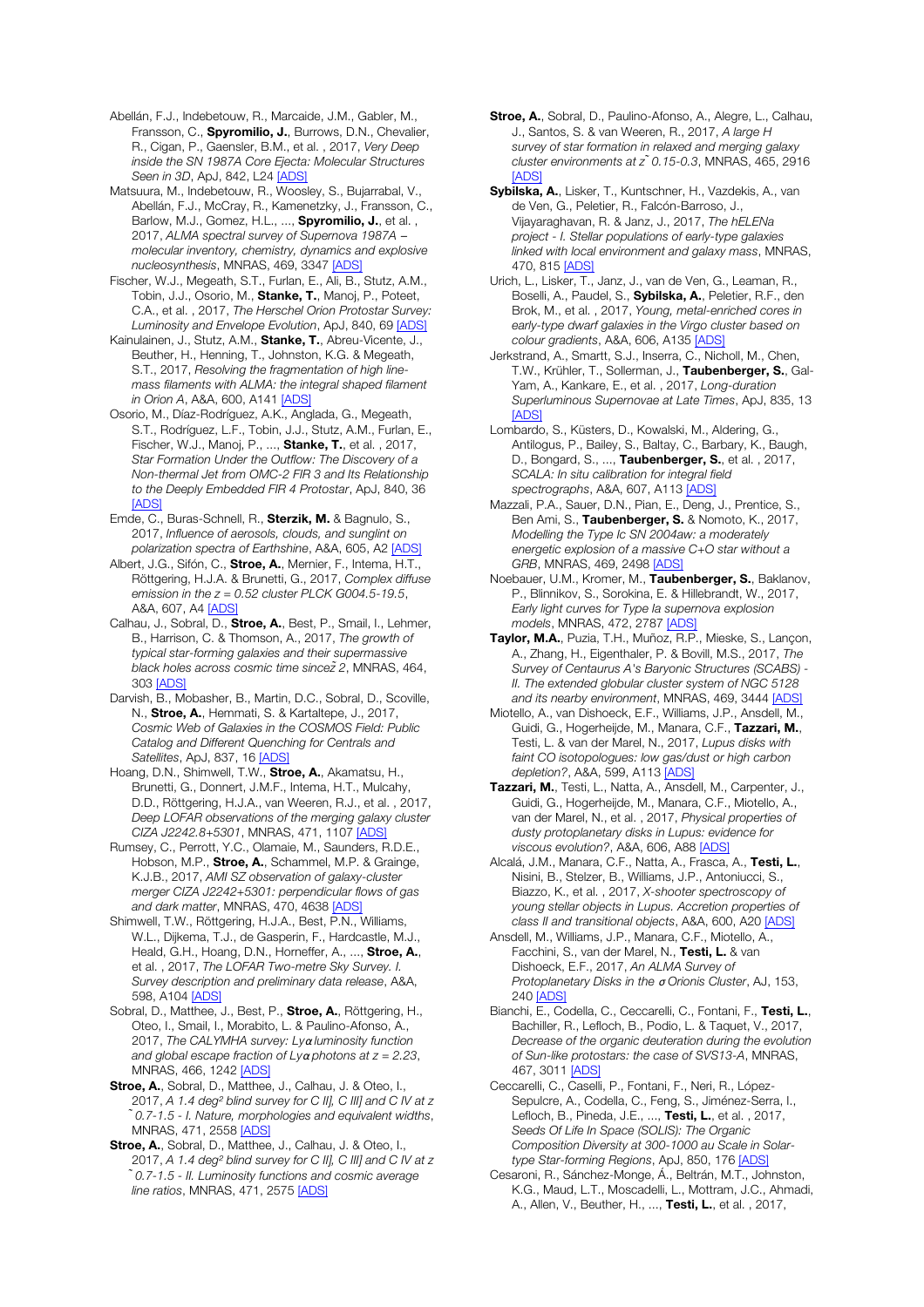Abellán, F.J., Indebetouw, R., Marcaide, J.M., Gabler, M., Fransson, C., Spyromilio, J., Burrows, D.N., Chevalier, R., Cigan, P., Gaensler, B.M., et al. , 2017, *Very Deep inside the SN 1987A Core Ejecta: Molecular Structures Seen in 3D*, ApJ, 842, L24 [ADS]

Matsuura, M., Indebetouw, R., Woosley, S., Bujarrabal, V., Abellán, F.J., McCray, R., Kamenetzky, J., Fransson, C., Barlow, M.J., Gomez, H.L., ..., Spyromilio, J., et al., 2017, *ALMA spectral survey of Supernova 1987A* ─ *molecular inventory, chemistry, dynamics and explosive nucleosynthesis*, MNRAS, 469, 3347 [ADS]

Fischer, W.J., Megeath, S.T., Furlan, E., Ali, B., Stutz, A.M., Tobin, J.J., Osorio, M., Stanke, T., Manoj, P., Poteet, C.A., et al. , 2017, *The Herschel Orion Protostar Survey: Luminosity and Envelope Evolution*, ApJ, 840, 69 [ADS]

Kainulainen, J., Stutz, A.M., Stanke, T., Abreu-Vicente, J., Beuther, H., Henning, T., Johnston, K.G. & Megeath, S.T., 2017, *Resolving the fragmentation of high linemass filaments with ALMA: the integral shaped filament in Orion A*, A&A, 600, A141 [ADS]

Osorio, M., Díaz-Rodríguez, A.K., Anglada, G., Megeath, S.T., Rodríguez, L.F., Tobin, J.J., Stutz, A.M., Furlan, E., Fischer, W.J., Manoj, P., ..., **Stanke, T.**, et al., 2017, *Star Formation Under the Outflow: The Discovery of a Non-thermal Jet from OMC-2 FIR 3 and Its Relationship to the Deeply Embedded FIR 4 Protostar*, ApJ, 840, 36 [ADS]

Emde, C., Buras-Schnell, R., Sterzik, M. & Bagnulo, S., 2017, *Influence of aerosols, clouds, and sunglint on polarization spectra of Earthshine*, A&A, 605, A2 [ADS]

Albert, J.G., Sifón, C., Stroe, A., Mernier, F., Intema, H.T., Röttgering, H.J.A. & Brunetti, G., 2017, *Complex diffuse emission in the z = 0.52 cluster PLCK G004.5-19.5*, A&A, 607, A4 [ADS]

Calhau, J., Sobral, D., Stroe, A., Best, P., Smail, I., Lehmer, B., Harrison, C. & Thomson, A., 2017, *The growth of typical star-forming galaxies and their supermassive black holes across cosmic time sincez̃2*, MNRAS, 464, 303 [ADS]

Darvish, B., Mobasher, B., Martin, D.C., Sobral, D., Scoville, N., Stroe, A., Hemmati, S. & Kartaltepe, J., 2017, *Cosmic Web of Galaxies in the COSMOS Field: Public Catalog and Different Quenching for Centrals and Satellites*, ApJ, 837, 16 [ADS]

Hoang, D.N., Shimwell, T.W., Stroe, A., Akamatsu, H., Brunetti, G., Donnert, J.M.F., Intema, H.T., Mulcahy, D.D., Röttgering, H.J.A., van Weeren, R.J., et al. , 2017, *Deep LOFAR observations of the merging galaxy cluster CIZA J2242.8+5301*, MNRAS, 471, 1107 [ADS]

Rumsey, C., Perrott, Y.C., Olamaie, M., Saunders, R.D.E., Hobson, M.P., Stroe, A., Schammel, M.P. & Grainge, K.J.B., 2017, *AMI SZ observation of galaxy-cluster merger CIZA J2242+5301: perpendicular flows of gas and dark matter*, MNRAS, 470, 4638 [ADS]

Shimwell, T.W., Röttgering, H.J.A., Best, P.N., Williams, W.L., Dijkema, T.J., de Gasperin, F., Hardcastle, M.J., Heald, G.H., Hoang, D.N., Horneffer, A., ..., Stroe, A., et al. , 2017, *The LOFAR Two-metre Sky Survey. I. Survey description and preliminary data release*, A&A, 598, A104 [ADS]

Sobral, D., Matthee, J., Best, P., Stroe, A., Röttgering, H., Oteo, I., Smail, I., Morabito, L. & Paulino-Afonso, A., 2017, *The CALYMHA survey: Ly*α *luminosity function and global escape fraction of Ly*α *photons at z = 2.23*, MNRAS, 466, 1242 [ADS]

Stroe, A., Sobral, D., Matthee, J., Calhau, J. & Oteo, I., 2017, *A 1.4 deg*² *blind survey for C II], C III] and C IV at z ̃0.7-1.5 - I. Nature, morphologies and equivalent widths*, MNRAS, 471, 2558 [ADS]

Stroe, A., Sobral, D., Matthee, J., Calhau, J. & Oteo, I., 2017, *A 1.4 deg*² *blind survey for C II], C III] and C IV at z ̃0.7-1.5 - II. Luminosity functions and cosmic average line ratios*, MNRAS, 471, 2575 [ADS]

Stroe, A., Sobral, D., Paulino-Afonso, A., Alegre, L., Calhau, J., Santos, S. & van Weeren, R., 2017, *A large H survey of star formation in relaxed and merging galaxy cluster environments at z ̃0.15-0.3*, MNRAS, 465, 2916 [ADS]

Sybilska, A., Lisker, T., Kuntschner, H., Vazdekis, A., van de Ven, G., Peletier, R., Falcón-Barroso, J., Vijayaraghavan, R. & Janz, J., 2017, *The hELENa project - I. Stellar populations of early-type galaxies linked with local environment and galaxy mass*, MNRAS, 470, 815 [ADS]

Urich, L., Lisker, T., Janz, J., van de Ven, G., Leaman, R., Boselli, A., Paudel, S., Sybilska, A., Peletier, R.F., den Brok, M., et al. , 2017, *Young, metal-enriched cores in early-type dwarf galaxies in the Virgo cluster based on colour gradients*, A&A, 606, A135 [ADS]

Jerkstrand, A., Smartt, S.J., Inserra, C., Nicholl, M., Chen, T.W., Krühler, T., Sollerman, J., Taubenberger, S., Gal-Yam, A., Kankare, E., et al. , 2017, *Long-duration Superluminous Supernovae at Late Times*, ApJ, 835, 13 **[ADS]** 

Lombardo, S., Küsters, D., Kowalski, M., Aldering, G., Antilogus, P., Bailey, S., Baltay, C., Barbary, K., Baugh, D., Bongard, S., ..., Taubenberger, S., et al. , 2017, *SCALA: In situ calibration for integral field spectrographs*, A&A, 607, A113 [ADS]

Mazzali, P.A., Sauer, D.N., Pian, E., Deng, J., Prentice, S., Ben Ami, S., Taubenberger, S. & Nomoto, K., 2017, *Modelling the Type Ic SN 2004aw: a moderately energetic explosion of a massive C+O star without a GRB*, MNRAS, 469, 2498 [ADS]

Noebauer, U.M., Kromer, M., Taubenberger, S., Baklanov, P., Blinnikov, S., Sorokina, E. & Hillebrandt, W., 2017, *Early light curves for Type Ia supernova explosion models*, MNRAS, 472, 2787 [ADS]

Taylor, M.A., Puzia, T.H., Muñoz, R.P., Mieske, S., Lançon, A., Zhang, H., Eigenthaler, P. & Bovill, M.S., 2017, *The Survey of Centaurus A's Baryonic Structures (SCABS) - II. The extended globular cluster system of NGC 5128 and its nearby environment*, MNRAS, 469, 3444 [ADS]

Miotello, A., van Dishoeck, E.F., Williams, J.P., Ansdell, M., Guidi, G., Hogerheijde, M., Manara, C.F., Tazzari, M., Testi, L. & van der Marel, N., 2017, *Lupus disks with faint CO isotopologues: low gas/dust or high carbon depletion?*, A&A, 599, A113 [ADS]

Tazzari, M., Testi, L., Natta, A., Ansdell, M., Carpenter, J., Guidi, G., Hogerheijde, M., Manara, C.F., Miotello, A., van der Marel, N., et al. , 2017, *Physical properties of dusty protoplanetary disks in Lupus: evidence for viscous evolution?*, A&A, 606, A88 [ADS]

Alcalá, J.M., Manara, C.F., Natta, A., Frasca, A., Testi, L., Nisini, B., Stelzer, B., Williams, J.P., Antoniucci, S., Biazzo, K., et al. , 2017, *X-shooter spectroscopy of young stellar objects in Lupus. Accretion properties of class II and transitional objects*, A&A, 600, A20 [ADS]

Ansdell, M., Williams, J.P., Manara, C.F., Miotello, A., Facchini, S., van der Marel, N., Testi, L. & van Dishoeck, E.F., 2017, *An ALMA Survey of Protoplanetary Disks in the* σ *Orionis Cluster*, AJ, 153, 240 [ADS]

Bianchi, E., Codella, C., Ceccarelli, C., Fontani, F., Testi, L., Bachiller, R., Lefloch, B., Podio, L. & Taquet, V., 2017, *Decrease of the organic deuteration during the evolution of Sun-like protostars: the case of SVS13-A*, MNRAS, 467, 3011 [ADS]

Ceccarelli, C., Caselli, P., Fontani, F., Neri, R., López-Sepulcre, A., Codella, C., Feng, S., Jiménez-Serra, I., Lefloch, B., Pineda, J.E., ..., Testi, L., et al. , 2017, *Seeds Of Life In Space (SOLIS): The Organic Composition Diversity at 300-1000 au Scale in Solartype Star-forming Regions*, ApJ, 850, 176 [ADS]

Cesaroni, R., Sánchez-Monge, Á., Beltrán, M.T., Johnston, K.G., Maud, L.T., Moscadelli, L., Mottram, J.C., Ahmadi, A., Allen, V., Beuther, H., ..., Testi, L., et al., 2017,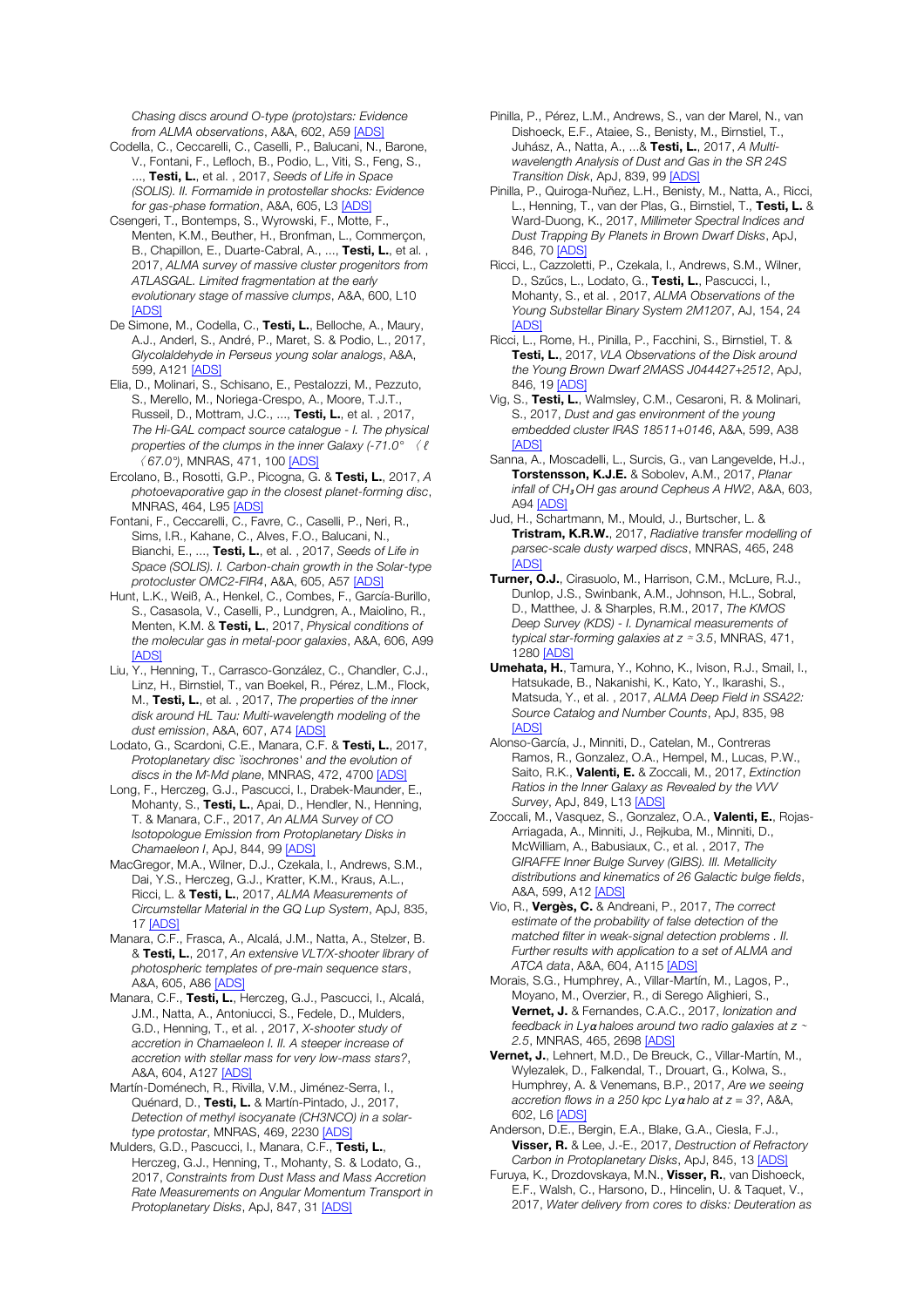*Chasing discs around O-type (proto)stars: Evidence from ALMA observations*, A&A, 602, A59 [ADS]

- Codella, C., Ceccarelli, C., Caselli, P., Balucani, N., Barone, V., Fontani, F., Lefloch, B., Podio, L., Viti, S., Feng, S., ..., Testi, L., et al. , 2017, *Seeds of Life in Space (SOLIS). II. Formamide in protostellar shocks: Evidence for gas-phase formation*, A&A, 605, L3 [ADS]
- Csengeri, T., Bontemps, S., Wyrowski, F., Motte, F., Menten, K.M., Beuther, H., Bronfman, L., Commerçon, B., Chapillon, E., Duarte-Cabral, A., ..., Testi, L., et al., 2017, *ALMA survey of massive cluster progenitors from ATLASGAL. Limited fragmentation at the early evolutionary stage of massive clumps*, A&A, 600, L10 **[ADS]**
- De Simone, M., Codella, C., Testi, L., Belloche, A., Maury, A.J., Anderl, S., André, P., Maret, S. & Podio, L., 2017, *Glycolaldehyde in Perseus young solar analogs*, A&A, 599, A121 [ADS]
- Elia, D., Molinari, S., Schisano, E., Pestalozzi, M., Pezzuto, S., Merello, M., Noriega-Crespo, A., Moore, T.J.T., Russeil, D., Mottram, J.C., ..., Testi, L., et al. , 2017, *The Hi-GAL compact source catalogue - I. The physical properties of the clumps in the inner Galaxy (-71.0°* 〈 ℓ 〈 *67.0°)*, MNRAS, 471, 100 [ADS]
- Ercolano, B., Rosotti, G.P., Picogna, G. & Testi, L., 2017, *A photoevaporative gap in the closest planet-forming disc*, MNRAS, 464, L95 [ADS]
- Fontani, F., Ceccarelli, C., Favre, C., Caselli, P., Neri, R., Sims, I.R., Kahane, C., Alves, F.O., Balucani, N., Bianchi, E., ..., Testi, L., et al. , 2017, *Seeds of Life in Space (SOLIS). I. Carbon-chain growth in the Solar-type protocluster OMC2-FIR4*, A&A, 605, A57 [ADS]
- Hunt, L.K., Weiß, A., Henkel, C., Combes, F., García-Burillo, S., Casasola, V., Caselli, P., Lundgren, A., Maiolino, R., Menten, K.M. & Testi, L., 2017, *Physical conditions of the molecular gas in metal-poor galaxies*, A&A, 606, A99 [ADS]
- Liu, Y., Henning, T., Carrasco-González, C., Chandler, C.J., Linz, H., Birnstiel, T., van Boekel, R., Pérez, L.M., Flock, M., Testi, L., et al. , 2017, *The properties of the inner disk around HL Tau: Multi-wavelength modeling of the dust emission*, A&A, 607, A74 [ADS]
- Lodato, G., Scardoni, C.E., Manara, C.F. & Testi, L., 2017, *Protoplanetary disc `isochrones' and the evolution of discs in the Ṁ-Md plane*, MNRAS, 472, 4700 [ADS]
- Long, F., Herczeg, G.J., Pascucci, I., Drabek-Maunder, E., Mohanty, S., Testi, L., Apai, D., Hendler, N., Henning, T. & Manara, C.F., 2017, *An ALMA Survey of CO Isotopologue Emission from Protoplanetary Disks in Chamaeleon I*, ApJ, 844, 99 [ADS]
- MacGregor, M.A., Wilner, D.J., Czekala, I., Andrews, S.M., Dai, Y.S., Herczeg, G.J., Kratter, K.M., Kraus, A.L., Ricci, L. & Testi, L., 2017, *ALMA Measurements of Circumstellar Material in the GQ Lup System*, ApJ, 835, 17 [ADS]
- Manara, C.F., Frasca, A., Alcalá, J.M., Natta, A., Stelzer, B. & Testi, L., 2017, *An extensive VLT/X-shooter library of photospheric templates of pre-main sequence stars*, A&A, 605, A86 [ADS]
- Manara, C.F., Testi, L., Herczeg, G.J., Pascucci, I., Alcalá, J.M., Natta, A., Antoniucci, S., Fedele, D., Mulders, G.D., Henning, T., et al. , 2017, *X-shooter study of accretion in Chamaeleon I. II. A steeper increase of accretion with stellar mass for very low-mass stars?*, A&A, 604, A127 [ADS]
- Martín-Doménech, R., Rivilla, V.M., Jiménez-Serra, I., Quénard, D., Testi, L. & Martín-Pintado, J., 2017, *Detection of methyl isocyanate (CH3NCO) in a solartype protostar*, MNRAS, 469, 2230 [ADS]
- Mulders, G.D., Pascucci, I., Manara, C.F., Testi, L., Herczeg, G.J., Henning, T., Mohanty, S. & Lodato, G., 2017, *Constraints from Dust Mass and Mass Accretion Rate Measurements on Angular Momentum Transport in Protoplanetary Disks*, ApJ, 847, 31 [ADS]
- Pinilla, P., Pérez, L.M., Andrews, S., van der Marel, N., van Dishoeck, E.F., Ataiee, S., Benisty, M., Birnstiel, T., Juhász, A., Natta, A., ...& Testi, L., 2017, *A Multiwavelength Analysis of Dust and Gas in the SR 24S Transition Disk*, ApJ, 839, 99 [ADS]
- Pinilla, P., Quiroga-Nuñez, L.H., Benisty, M., Natta, A., Ricci, L., Henning, T., van der Plas, G., Birnstiel, T., Testi, L. & Ward-Duong, K., 2017, *Millimeter Spectral Indices and Dust Trapping By Planets in Brown Dwarf Disks*, ApJ, 846, 70 [ADS]
- Ricci, L., Cazzoletti, P., Czekala, I., Andrews, S.M., Wilner, D., Szűcs, L., Lodato, G., Testi, L., Pascucci, I., Mohanty, S., et al. , 2017, *ALMA Observations of the Young Substellar Binary System 2M1207*, AJ, 154, 24 [ADS]
- Ricci, L., Rome, H., Pinilla, P., Facchini, S., Birnstiel, T. & Testi, L., 2017, *VLA Observations of the Disk around the Young Brown Dwarf 2MASS J044427+2512*, ApJ, 846, 19 [ADS]
- Vig, S., Testi, L., Walmsley, C.M., Cesaroni, R. & Molinari, S., 2017, *Dust and gas environment of the young embedded cluster IRAS 18511+0146*, A&A, 599, A38 [ADS]
- Sanna, A., Moscadelli, L., Surcis, G., van Langevelde, H.J., Torstensson, K.J.E. & Sobolev, A.M., 2017, *Planar infall of CH*<sup>₃</sup> *OH gas around Cepheus A HW2*, A&A, 603, A94 [ADS]
- Jud, H., Schartmann, M., Mould, J., Burtscher, L. & Tristram, K.R.W., 2017, *Radiative transfer modelling of parsec-scale dusty warped discs*, MNRAS, 465, 248 [ADS]
- Turner, O.J., Cirasuolo, M., Harrison, C.M., McLure, R.J., Dunlop, J.S., Swinbank, A.M., Johnson, H.L., Sobral, D., Matthee, J. & Sharples, R.M., 2017, *The KMOS Deep Survey (KDS) - I. Dynamical measurements of typical star-forming galaxies at z* ≃ *3.5*, MNRAS, 471, 1280 [ADS]
- Umehata, H., Tamura, Y., Kohno, K., Ivison, R.J., Smail, I., Hatsukade, B., Nakanishi, K., Kato, Y., Ikarashi, S., Matsuda, Y., et al. , 2017, *ALMA Deep Field in SSA22: Source Catalog and Number Counts*, ApJ, 835, 98 **[ADS]**
- Alonso-García, J., Minniti, D., Catelan, M., Contreras Ramos, R., Gonzalez, O.A., Hempel, M., Lucas, P.W., Saito, R.K., Valenti, E. & Zoccali, M., 2017, *Extinction Ratios in the Inner Galaxy as Revealed by the VVV Survey*, ApJ, 849, L13 [ADS]
- Zoccali, M., Vasquez, S., Gonzalez, O.A., Valenti, E., Rojas-Arriagada, A., Minniti, J., Rejkuba, M., Minniti, D., McWilliam, A., Babusiaux, C., et al. , 2017, *The GIRAFFE Inner Bulge Survey (GIBS). III. Metallicity distributions and kinematics of 26 Galactic bulge fields*, A&A, 599, A12 [ADS]
- Vio, R., Vergès, C. & Andreani, P., 2017, *The correct estimate of the probability of false detection of the matched filter in weak-signal detection problems . II. Further results with application to a set of ALMA and ATCA data*, A&A, 604, A115 [ADS]
- Morais, S.G., Humphrey, A., Villar-Martín, M., Lagos, P., Moyano, M., Overzier, R., di Serego Alighieri, S., Vernet, J. & Fernandes, C.A.C., 2017, *Ionization and feedback in Ly*α *haloes around two radio galaxies at z* <sup>∼</sup> *2.5*, MNRAS, 465, 2698 [ADS]
- Vernet, J., Lehnert, M.D., De Breuck, C., Villar-Martín, M., Wylezalek, D., Falkendal, T., Drouart, G., Kolwa, S., Humphrey, A. & Venemans, B.P., 2017, *Are we seeing accretion flows in a 250 kpc Ly*α *halo at z = 3?*, A&A, 602, L6 [ADS]
- Anderson, D.E., Bergin, E.A., Blake, G.A., Ciesla, F.J., Visser, R. & Lee, J.-E., 2017, *Destruction of Refractory Carbon in Protoplanetary Disks*, ApJ, 845, 13 [ADS]
- Furuya, K., Drozdovskaya, M.N., Visser, R., van Dishoeck, E.F., Walsh, C., Harsono, D., Hincelin, U. & Taquet, V., 2017, *Water delivery from cores to disks: Deuteration as*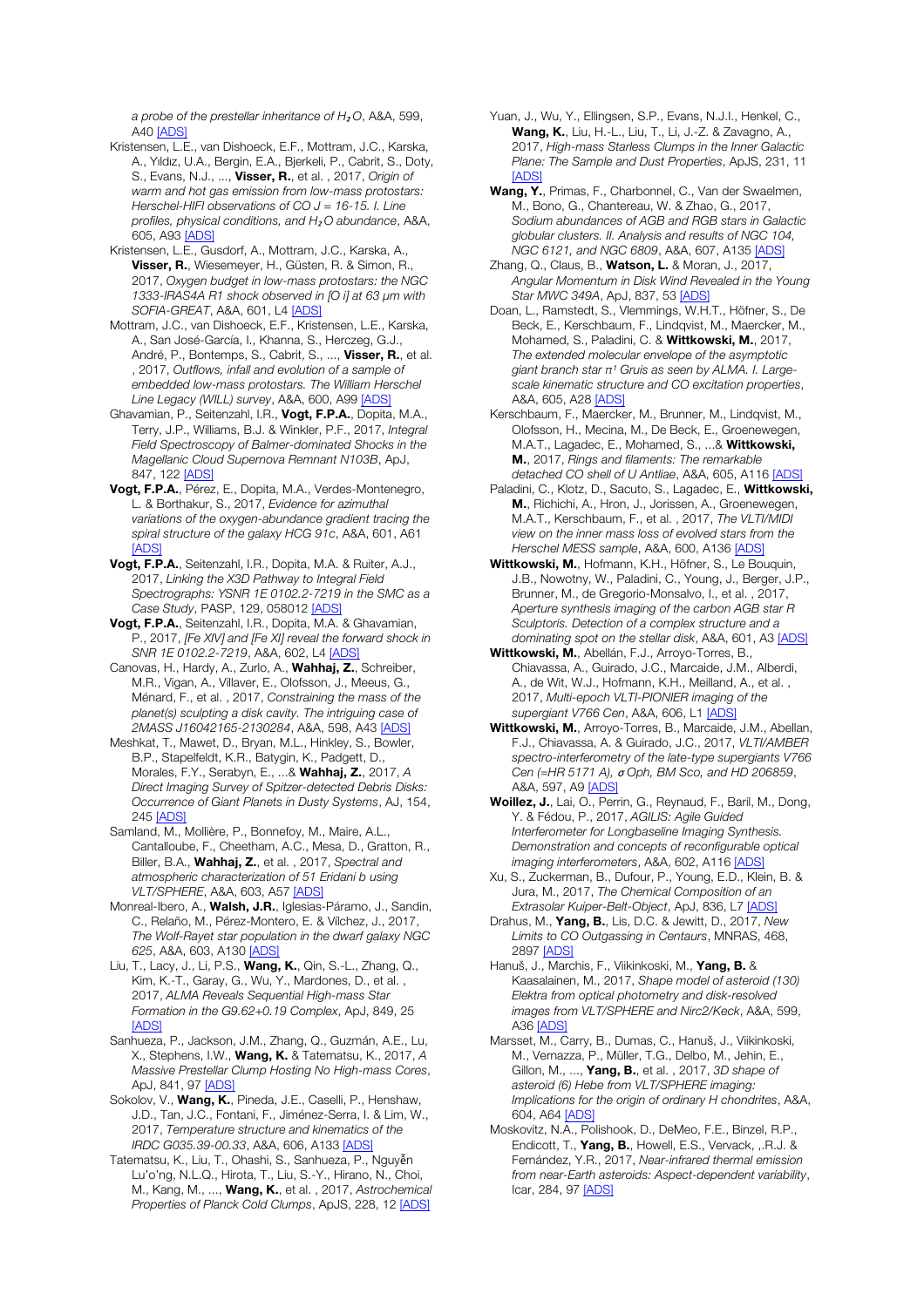*a probe of the prestellar inheritance of H*<sup>₂</sup> *O*, A&A, 599, A40 [ADS]

- Kristensen, L.E., van Dishoeck, E.F., Mottram, J.C., Karska, A., Yıldız, U.A., Bergin, E.A., Bjerkeli, P., Cabrit, S., Doty, S., Evans, N.J., ..., Visser, R., et al. , 2017, *Origin of warm and hot gas emission from low-mass protostars: Herschel-HIFI observations of CO J = 16-15. I. Line profiles, physical conditions, and H*<sup>₂</sup> *O abundance*, A&A, 605, A93 [ADS]
- Kristensen, L.E., Gusdorf, A., Mottram, J.C., Karska, A., Visser, R., Wiesemeyer, H., Güsten, R. & Simon, R., 2017, *Oxygen budget in low-mass protostars: the NGC 1333-IRAS4A R1 shock observed in [O i] at 63* μ*m with SOFIA-GREAT*, A&A, 601, L4 [ADS]
- Mottram, J.C., van Dishoeck, E.F., Kristensen, L.E., Karska, A., San José-García, I., Khanna, S., Herczeg, G.J., André, P., Bontemps, S., Cabrit, S., ..., Visser, R., et al. , 2017, *Outflows, infall and evolution of a sample of embedded low-mass protostars. The William Herschel Line Legacy (WILL) survey*, A&A, 600, A99 [ADS]
- Ghavamian, P., Seitenzahl, I.R., Vogt, F.P.A., Dopita, M.A., Terry, J.P., Williams, B.J. & Winkler, P.F., 2017, *Integral Field Spectroscopy of Balmer-dominated Shocks in the Magellanic Cloud Supernova Remnant N103B*, ApJ, 847, 122 [ADS]
- Vogt, F.P.A., Pérez, E., Dopita, M.A., Verdes-Montenegro, L. & Borthakur, S., 2017, *Evidence for azimuthal variations of the oxygen-abundance gradient tracing the spiral structure of the galaxy HCG 91c*, A&A, 601, A61 **IADS**
- Vogt, F.P.A., Seitenzahl, I.R., Dopita, M.A. & Ruiter, A.J., 2017, *Linking the X3D Pathway to Integral Field Spectrographs: YSNR 1E 0102.2-7219 in the SMC as a Case Study*, PASP, 129, 058012 [ADS]
- Vogt, F.P.A., Seitenzahl, I.R., Dopita, M.A. & Ghavamian, P., 2017, *[Fe XIV] and [Fe XI] reveal the forward shock in SNR 1E 0102.2-7219*, A&A, 602, L4 [ADS]
- Canovas, H., Hardy, A., Zurlo, A., Wahhaj, Z., Schreiber, M.R., Vigan, A., Villaver, E., Olofsson, J., Meeus, G., Ménard, F., et al. , 2017, *Constraining the mass of the planet(s) sculpting a disk cavity. The intriguing case of 2MASS J16042165-2130284*, A&A, 598, A43 [ADS]
- Meshkat, T., Mawet, D., Bryan, M.L., Hinkley, S., Bowler, B.P., Stapelfeldt, K.R., Batygin, K., Padgett, D., Morales, F.Y., Serabyn, E., ...& Wahhaj, Z., 2017, *A Direct Imaging Survey of Spitzer-detected Debris Disks: Occurrence of Giant Planets in Dusty Systems*, AJ, 154, 245 [ADS]
- Samland, M., Mollière, P., Bonnefoy, M., Maire, A.L., Cantalloube, F., Cheetham, A.C., Mesa, D., Gratton, R., Biller, B.A., Wahhaj, Z., et al. , 2017, *Spectral and atmospheric characterization of 51 Eridani b using VLT/SPHERE*, A&A, 603, A57 [ADS]
- Monreal-Ibero, A., Walsh, J.R., Iglesias-Páramo, J., Sandin, C., Relaño, M., Pérez-Montero, E. & Vílchez, J., 2017, *The Wolf-Rayet star population in the dwarf galaxy NGC 625*, A&A, 603, A130 [ADS]
- Liu, T., Lacy, J., Li, P.S., **Wang, K.**, Qin, S.-L., Zhang, Q., Kim, K.-T., Garay, G., Wu, Y., Mardones, D., et al. , 2017, *ALMA Reveals Sequential High-mass Star Formation in the G9.62+0.19 Complex*, ApJ, 849, 25 **[ADS]**
- Sanhueza, P., Jackson, J.M., Zhang, Q., Guzmán, A.E., Lu, X., Stephens, I.W., Wang, K. & Tatematsu, K., 2017, *A Massive Prestellar Clump Hosting No High-mass Cores*, ApJ, 841, 97 [ADS]
- Sokolov, V., Wang, K., Pineda, J.E., Caselli, P., Henshaw, J.D., Tan, J.C., Fontani, F., Jiménez-Serra, I. & Lim, W., 2017, *Temperature structure and kinematics of the IRDC G035.39-00.33*, A&A, 606, A133 [ADS]
- Tatematsu, K., Liu, T., Ohashi, S., Sanhueza, P., Nguyễn Lu'o'ng, N.L.Q., Hirota, T., Liu, S.-Y., Hirano, N., Choi, M., Kang, M., ..., Wang, K., et al. , 2017, *Astrochemical Properties of Planck Cold Clumps*, ApJS, 228, 12 [ADS]
- Yuan, J., Wu, Y., Ellingsen, S.P., Evans, N.J.I., Henkel, C., Wang, K., Liu, H.-L., Liu, T., Li, J.-Z. & Zavagno, A., 2017, *High-mass Starless Clumps in the Inner Galactic Plane: The Sample and Dust Properties*, ApJS, 231, 11 [ADS]
- Wang, Y., Primas, F., Charbonnel, C., Van der Swaelmen, M., Bono, G., Chantereau, W. & Zhao, G., 2017, *Sodium abundances of AGB and RGB stars in Galactic globular clusters. II. Analysis and results of NGC 104, NGC 6121, and NGC 6809*, A&A, 607, A135 [ADS]
- Zhang, Q., Claus, B., Watson, L. & Moran, J., 2017, *Angular Momentum in Disk Wind Revealed in the Young Star MWC 349A*, ApJ, 837, 53 [ADS]
- Doan, L., Ramstedt, S., Vlemmings, W.H.T., Höfner, S., De Beck, E., Kerschbaum, F., Lindqvist, M., Maercker, M., Mohamed, S., Paladini, C. & Wittkowski, M., 2017, *The extended molecular envelope of the asymptotic*  giant branch star π<sup>1</sup> Gruis as seen by ALMA. I. Large*scale kinematic structure and CO excitation properties*, A&A, 605, A28 [ADS]
- Kerschbaum, F., Maercker, M., Brunner, M., Lindqvist, M., Olofsson, H., Mecina, M., De Beck, E., Groenewegen, M.A.T., Lagadec, E., Mohamed, S., ...& Wittkowski, M., 2017, *Rings and filaments: The remarkable detached CO shell of U Antliae*, A&A, 605, A116 [ADS]
- Paladini, C., Klotz, D., Sacuto, S., Lagadec, E., Wittkowski, M., Richichi, A., Hron, J., Jorissen, A., Groenewegen, M.A.T., Kerschbaum, F., et al. , 2017, *The VLTI/MIDI view on the inner mass loss of evolved stars from the Herschel MESS sample*, A&A, 600, A136 [ADS]
- Wittkowski, M., Hofmann, K.H., Höfner, S., Le Bouquin, J.B., Nowotny, W., Paladini, C., Young, J., Berger, J.P., Brunner, M., de Gregorio-Monsalvo, I., et al. , 2017, *Aperture synthesis imaging of the carbon AGB star R Sculptoris. Detection of a complex structure and a dominating spot on the stellar disk*, A&A, 601, A3 [ADS]
- Wittkowski, M., Abellán, F.J., Arroyo-Torres, B., Chiavassa, A., Guirado, J.C., Marcaide, J.M., Alberdi, A., de Wit, W.J., Hofmann, K.H., Meilland, A., et al. , 2017, *Multi-epoch VLTI-PIONIER imaging of the supergiant V766 Cen*, A&A, 606, L1 [ADS]
- Wittkowski, M., Arroyo-Torres, B., Marcaide, J.M., Abellan, F.J., Chiavassa, A. & Guirado, J.C., 2017, *VLTI/AMBER spectro-interferometry of the late-type supergiants V766 Cen (=HR 5171 A),* σ *Oph, BM Sco, and HD 206859*, A&A, 597, A9 [ADS]
- Woillez, J., Lai, O., Perrin, G., Reynaud, F., Baril, M., Dong, Y. & Fédou, P., 2017, *AGILIS: Agile Guided Interferometer for Longbaseline Imaging Synthesis. Demonstration and concepts of reconfigurable optical imaging interferometers*, A&A, 602, A116 [ADS]
- Xu, S., Zuckerman, B., Dufour, P., Young, E.D., Klein, B. & Jura, M., 2017, *The Chemical Composition of an Extrasolar Kuiper-Belt-Object*, ApJ, 836, L7 [ADS]
- Drahus, M., Yang, B., Lis, D.C. & Jewitt, D., 2017, *New Limits to CO Outgassing in Centaurs*, MNRAS, 468, 2897 [ADS]
- Hanuš, J., Marchis, F., Viikinkoski, M., Yang, B. & Kaasalainen, M., 2017, *Shape model of asteroid (130) Elektra from optical photometry and disk-resolved images from VLT/SPHERE and Nirc2/Keck*, A&A, 599, A36 [ADS]
- Marsset, M., Carry, B., Dumas, C., Hanuš, J., Viikinkoski, M., Vernazza, P., Müller, T.G., Delbo, M., Jehin, E., Gillon, M., ..., Yang, B., et al. , 2017, *3D shape of asteroid (6) Hebe from VLT/SPHERE imaging: Implications for the origin of ordinary H chondrites*, A&A, 604, A64 [ADS]
- Moskovitz, N.A., Polishook, D., DeMeo, F.E., Binzel, R.P., Endicott, T., Yang, B., Howell, E.S., Vervack, ,.R.J. & Fernández, Y.R., 2017, *Near-infrared thermal emission from near-Earth asteroids: Aspect-dependent variability*, Icar, 284, 97 [ADS]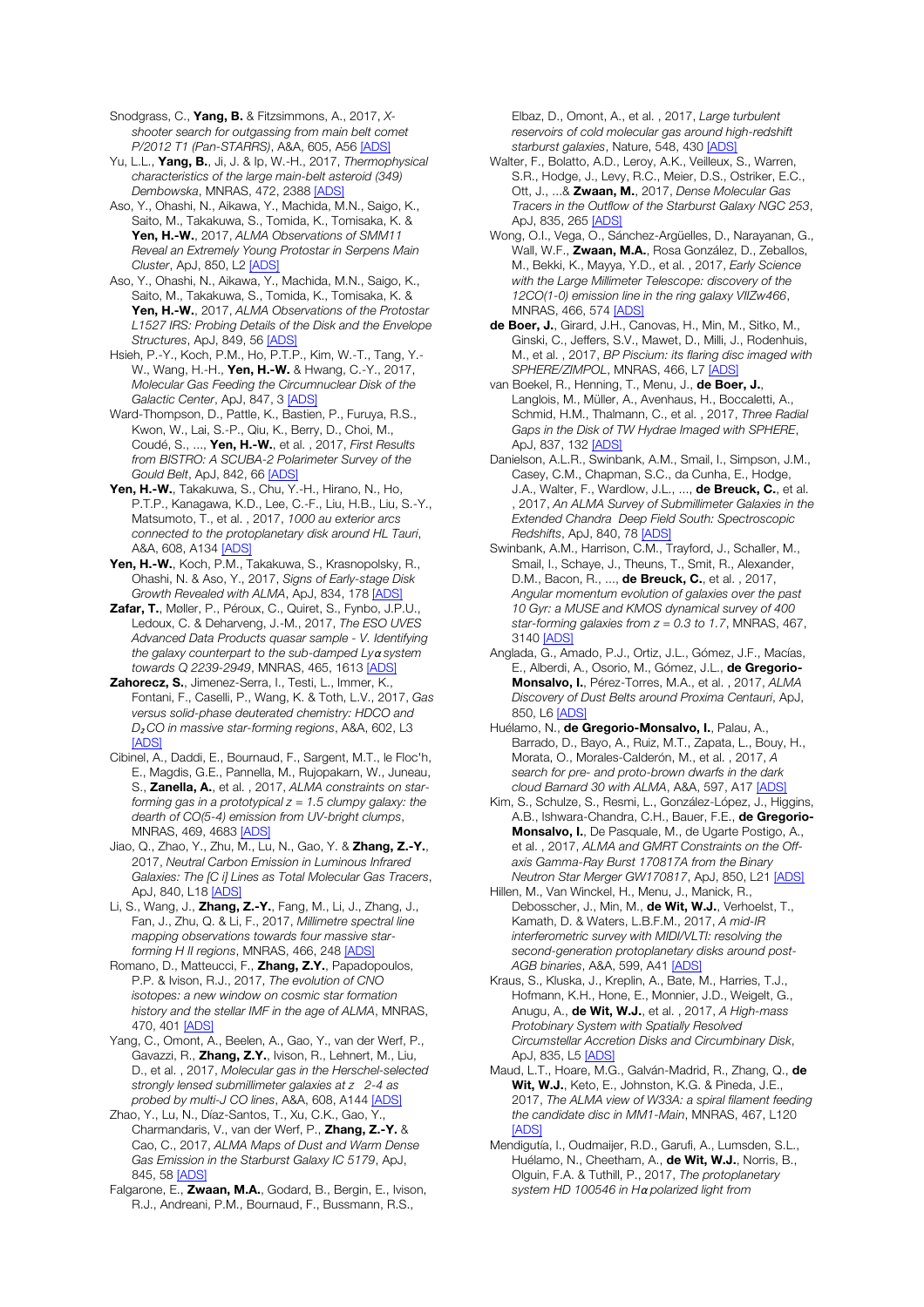Snodgrass, C., Yang, B. & Fitzsimmons, A., 2017, *Xshooter search for outgassing from main belt comet P/2012 T1 (Pan-STARRS)*, A&A, 605, A56 [ADS]

Yu, L.L., Yang, B., Ji, J. & Ip, W.-H., 2017, *Thermophysical characteristics of the large main-belt asteroid (349) Dembowska*, MNRAS, 472, 2388 [ADS]

Aso, Y., Ohashi, N., Aikawa, Y., Machida, M.N., Saigo, K., Saito, M., Takakuwa, S., Tomida, K., Tomisaka, K. & Yen, H.-W., 2017, *ALMA Observations of SMM11 Reveal an Extremely Young Protostar in Serpens Main Cluster*, ApJ, 850, L2 [ADS]

Aso, Y., Ohashi, N., Aikawa, Y., Machida, M.N., Saigo, K., Saito, M., Takakuwa, S., Tomida, K., Tomisaka, K. & Yen, H.-W., 2017, *ALMA Observations of the Protostar L1527 IRS: Probing Details of the Disk and the Envelope Structures*, ApJ, 849, 56 [ADS]

Hsieh, P.-Y., Koch, P.M., Ho, P.T.P., Kim, W.-T., Tang, Y.- W., Wang, H.-H., **Yen, H.-W.** & Hwang, C.-Y., 2017, *Molecular Gas Feeding the Circumnuclear Disk of the Galactic Center*, ApJ, 847, 3 [ADS]

Ward-Thompson, D., Pattle, K., Bastien, P., Furuya, R.S., Kwon, W., Lai, S.-P., Qiu, K., Berry, D., Choi, M., Coudé, S., ..., Yen, H.-W., et al. , 2017, *First Results from BISTRO: A SCUBA-2 Polarimeter Survey of the Gould Belt*, ApJ, 842, 66 [ADS]

Yen, H.-W., Takakuwa, S., Chu, Y.-H., Hirano, N., Ho, P.T.P., Kanagawa, K.D., Lee, C.-F., Liu, H.B., Liu, S.-Y., Matsumoto, T., et al. , 2017, *1000 au exterior arcs connected to the protoplanetary disk around HL Tauri*, A&A, 608, A134 [ADS]

Yen, H.-W., Koch, P.M., Takakuwa, S., Krasnopolsky, R., Ohashi, N. & Aso, Y., 2017, *Signs of Early-stage Disk Growth Revealed with ALMA*, ApJ, 834, 178 [ADS]

Zafar, T., Møller, P., Péroux, C., Quiret, S., Fynbo, J.P.U. Ledoux, C. & Deharveng, J.-M., 2017, *The ESO UVES Advanced Data Products quasar sample - V. Identifying the galaxy counterpart to the sub-damped Ly*α *system towards Q 2239-2949*, MNRAS, 465, 1613 [ADS]

Zahorecz, S., Jimenez-Serra, I., Testi, L., Immer, K., Fontani, F., Caselli, P., Wang, K. & Toth, L.V., 2017, *Gas versus solid-phase deuterated chemistry: HDCO and D*<sup>₂</sup> *CO in massive star-forming regions*, A&A, 602, L3 [ADS]

Cibinel, A., Daddi, E., Bournaud, F., Sargent, M.T., le Floc'h, E., Magdis, G.E., Pannella, M., Rujopakarn, W., Juneau, S., Zanella, A., et al. , 2017, *ALMA constraints on starforming gas in a prototypical z = 1.5 clumpy galaxy: the dearth of CO(5-4) emission from UV-bright clumps*, MNRAS, 469, 4683 [ADS]

Jiao, Q., Zhao, Y., Zhu, M., Lu, N., Gao, Y. & Zhang, Z.-Y., 2017, *Neutral Carbon Emission in Luminous Infrared Galaxies: The [C i] Lines as Total Molecular Gas Tracers*, ApJ, 840, L18 [ADS]

Li, S., Wang, J., Zhang, Z.-Y., Fang, M., Li, J., Zhang, J., Fan, J., Zhu, Q. & Li, F., 2017, *Millimetre spectral line mapping observations towards four massive starforming H II regions*, MNRAS, 466, 248 [ADS]

Romano, D., Matteucci, F., Zhang, Z.Y., Papadopoulos, P.P. & Ivison, R.J., 2017, *The evolution of CNO isotopes: a new window on cosmic star formation history and the stellar IMF in the age of ALMA*, MNRAS, 470, 401 [ADS]

Yang, C., Omont, A., Beelen, A., Gao, Y., van der Werf, P., Gavazzi, R., Zhang, Z.Y., Ivison, R., Lehnert, M., Liu, D., et al. , 2017, *Molecular gas in the Herschel-selected strongly lensed submillimeter galaxies at z 2-4 as probed by multi-J CO lines*, A&A, 608, A144 [ADS]

Zhao, Y., Lu, N., Díaz-Santos, T., Xu, C.K., Gao, Y., Charmandaris, V., van der Werf, P., Zhang, Z.-Y. & Cao, C., 2017, *ALMA Maps of Dust and Warm Dense Gas Emission in the Starburst Galaxy IC 5179*, ApJ, 845, 58 [ADS]

Falgarone, E., Zwaan, M.A., Godard, B., Bergin, E., Ivison, R.J., Andreani, P.M., Bournaud, F., Bussmann, R.S.,

Elbaz, D., Omont, A., et al. , 2017, *Large turbulent reservoirs of cold molecular gas around high-redshift starburst galaxies*, Nature, 548, 430 [ADS]

Walter, F., Bolatto, A.D., Leroy, A.K., Veilleux, S., Warren, S.R., Hodge, J., Levy, R.C., Meier, D.S., Ostriker, E.C., Ott, J., ...& Zwaan, M., 2017, *Dense Molecular Gas Tracers in the Outflow of the Starburst Galaxy NGC 253*, ApJ, 835, 265 [ADS]

Wong, O.I., Vega, O., Sánchez-Argüelles, D., Narayanan, G., Wall, W.F., Zwaan, M.A., Rosa González, D., Zeballos, M., Bekki, K., Mayya, Y.D., et al. , 2017, *Early Science with the Large Millimeter Telescope: discovery of the 12CO(1-0) emission line in the ring galaxy VIIZw466*, MNRAS, 466, 574 [ADS]

de Boer, J., Girard, J.H., Canovas, H., Min, M., Sitko, M., Ginski, C., Jeffers, S.V., Mawet, D., Milli, J., Rodenhuis, M., et al. , 2017, *BP Piscium: its flaring disc imaged with SPHERE/ZIMPOL*, MNRAS, 466, L7 [ADS]

van Boekel, R., Henning, T., Menu, J., de Boer, J., Langlois, M., Müller, A., Avenhaus, H., Boccaletti, A., Schmid, H.M., Thalmann, C., et al. , 2017, *Three Radial Gaps in the Disk of TW Hydrae Imaged with SPHERE*, ApJ, 837, 132 [ADS]

Danielson, A.L.R., Swinbank, A.M., Smail, I., Simpson, J.M., Casey, C.M., Chapman, S.C., da Cunha, E., Hodge, J.A., Walter, F., Wardlow, J.L., ..., de Breuck, C., et al. , 2017, *An ALMA Survey of Submillimeter Galaxies in the Extended Chandra Deep Field South: Spectroscopic Redshifts*, ApJ, 840, 78 [ADS]

Swinbank, A.M., Harrison, C.M., Trayford, J., Schaller, M., Smail, I., Schaye, J., Theuns, T., Smit, R., Alexander, D.M., Bacon, R., ..., de Breuck, C., et al. , 2017, *Angular momentum evolution of galaxies over the past 10 Gyr: a MUSE and KMOS dynamical survey of 400 star-forming galaxies from z = 0.3 to 1.7*, MNRAS, 467, 3140 [ADS]

Anglada, G., Amado, P.J., Ortiz, J.L., Gómez, J.F., Macías, E., Alberdi, A., Osorio, M., Gómez, J.L., de Gregorio-Monsalvo, I., Pérez-Torres, M.A., et al. , 2017, *ALMA Discovery of Dust Belts around Proxima Centauri*, ApJ, 850, L6 [ADS]

Huélamo, N., de Gregorio-Monsalvo, I., Palau, A., Barrado, D., Bayo, A., Ruiz, M.T., Zapata, L., Bouy, H., Morata, O., Morales-Calderón, M., et al. , 2017, *A search for pre- and proto-brown dwarfs in the dark cloud Barnard 30 with ALMA*, A&A, 597, A17 [ADS]

Kim, S., Schulze, S., Resmi, L., González-López, J., Higgins, A.B., Ishwara-Chandra, C.H., Bauer, F.E., de Gregorio-Monsalvo, I., De Pasquale, M., de Ugarte Postigo, A. et al. , 2017, *ALMA and GMRT Constraints on the Offaxis Gamma-Ray Burst 170817A from the Binary Neutron Star Merger GW170817*, ApJ, 850, L21 [ADS]

Hillen, M., Van Winckel, H., Menu, J., Manick, R., Debosscher, J., Min, M., de Wit, W.J., Verhoelst, T., Kamath, D. & Waters, L.B.F.M., 2017, *A mid-IR interferometric survey with MIDI/VLTI: resolving the second-generation protoplanetary disks around post-AGB binaries*, A&A, 599, A41 [ADS]

Kraus, S., Kluska, J., Kreplin, A., Bate, M., Harries, T.J., Hofmann, K.H., Hone, E., Monnier, J.D., Weigelt, G., Anugu, A., de Wit, W.J., et al. , 2017, *A High-mass Protobinary System with Spatially Resolved Circumstellar Accretion Disks and Circumbinary Disk*, ApJ, 835, L5 [ADS]

Maud, L.T., Hoare, M.G., Galván-Madrid, R., Zhang, Q., de Wit. W.J., Keto, E., Johnston, K.G. & Pineda, J.E., 2017, *The ALMA view of W33A: a spiral filament feeding the candidate disc in MM1-Main*, MNRAS, 467, L120 **[ADS]** 

Mendigutía, I., Oudmaijer, R.D., Garufi, A., Lumsden, S.L., Huélamo, N., Cheetham, A., de Wit, W.J., Norris, B., Olguin, F.A. & Tuthill, P., 2017, *The protoplanetary system HD 100546 in H*α *polarized light from*